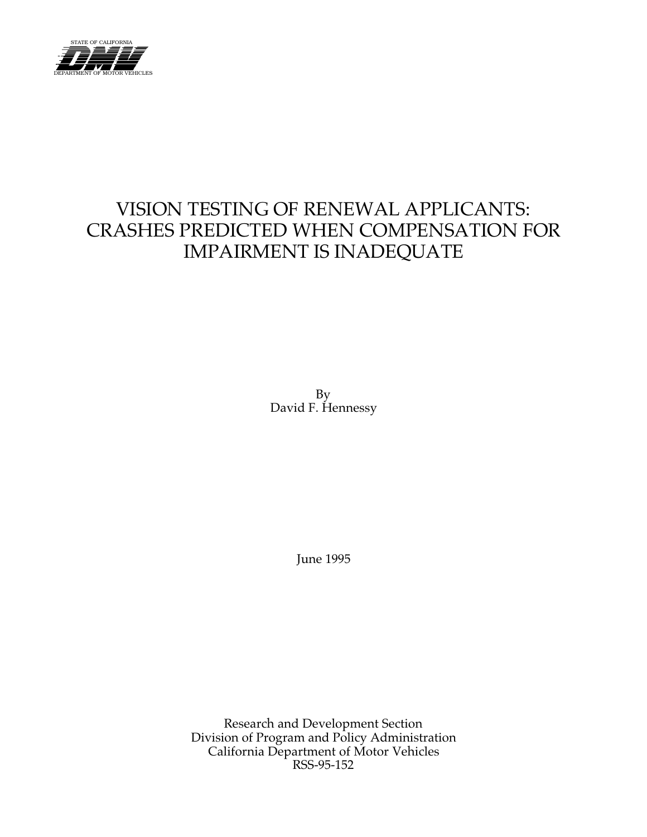

# VISION TESTING OF RENEWAL APPLICANTS: CRASHES PREDICTED WHEN COMPENSATION FOR IMPAIRMENT IS INADEQUATE

By David F. Hennessy

June 1995

Research and Development Section Division of Program and Policy Administration California Department of Motor Vehicles RSS-95-152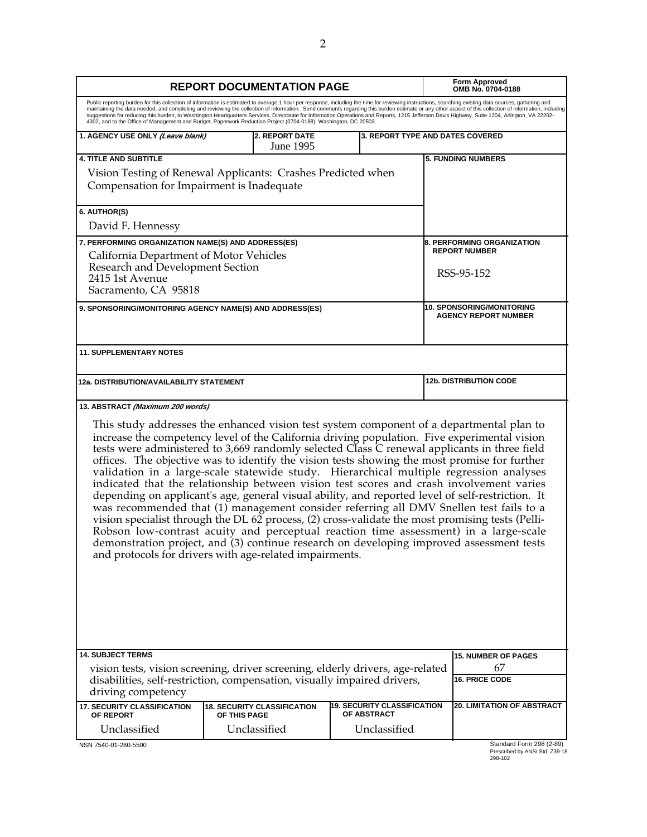|                                                                                                                                                                                                                                                                                                                                                                                                                                                                                                                                                                                                                                                                                                                                    | <b>REPORT DOCUMENTATION PAGE</b>                   |                                                   |                                                                                                                                                                                                        |  |
|------------------------------------------------------------------------------------------------------------------------------------------------------------------------------------------------------------------------------------------------------------------------------------------------------------------------------------------------------------------------------------------------------------------------------------------------------------------------------------------------------------------------------------------------------------------------------------------------------------------------------------------------------------------------------------------------------------------------------------|----------------------------------------------------|---------------------------------------------------|--------------------------------------------------------------------------------------------------------------------------------------------------------------------------------------------------------|--|
| Public reporting burden for this collection of information is estimated to average 1 hour per response, including the time for reviewing instructions, searching existing data sources, gathering and<br>suggestions for reducing this burden, to Washington Headquarters Services, Directorate for Information Operations and Reports, 1215 Jefferson Davis Highway, Suite 1204, Arlington, VA 22202-<br>4302, and to the Office of Management and Budget, Paperwork Reduction Project (0704-0188), Washington, DC 20503.                                                                                                                                                                                                         |                                                    |                                                   | maintaining the data needed, and completing and reviewing the collection of information. Send comments regarding this burden estimate or any other aspect of this collection of information, including |  |
| <b>2. REPORT DATE</b><br>1. AGENCY USE ONLY (Leave blank)<br><b>3. REPORT TYPE AND DATES COVERED</b><br>June 1995                                                                                                                                                                                                                                                                                                                                                                                                                                                                                                                                                                                                                  |                                                    |                                                   |                                                                                                                                                                                                        |  |
| <b>4. TITLE AND SUBTITLE</b>                                                                                                                                                                                                                                                                                                                                                                                                                                                                                                                                                                                                                                                                                                       |                                                    |                                                   | <b>5. FUNDING NUMBERS</b>                                                                                                                                                                              |  |
| Vision Testing of Renewal Applicants: Crashes Predicted when<br>Compensation for Impairment is Inadequate                                                                                                                                                                                                                                                                                                                                                                                                                                                                                                                                                                                                                          |                                                    |                                                   |                                                                                                                                                                                                        |  |
| 6. AUTHOR(S)                                                                                                                                                                                                                                                                                                                                                                                                                                                                                                                                                                                                                                                                                                                       |                                                    |                                                   |                                                                                                                                                                                                        |  |
| David F. Hennessy                                                                                                                                                                                                                                                                                                                                                                                                                                                                                                                                                                                                                                                                                                                  |                                                    |                                                   |                                                                                                                                                                                                        |  |
| 7. PERFORMING ORGANIZATION NAME(S) AND ADDRESS(ES)<br>California Department of Motor Vehicles                                                                                                                                                                                                                                                                                                                                                                                                                                                                                                                                                                                                                                      |                                                    |                                                   | <b>8. PERFORMING ORGANIZATION</b><br><b>REPORT NUMBER</b>                                                                                                                                              |  |
| Research and Development Section                                                                                                                                                                                                                                                                                                                                                                                                                                                                                                                                                                                                                                                                                                   |                                                    |                                                   | RSS-95-152                                                                                                                                                                                             |  |
| 2415 1st Avenue<br>Sacramento, CA 95818                                                                                                                                                                                                                                                                                                                                                                                                                                                                                                                                                                                                                                                                                            |                                                    |                                                   |                                                                                                                                                                                                        |  |
|                                                                                                                                                                                                                                                                                                                                                                                                                                                                                                                                                                                                                                                                                                                                    |                                                    |                                                   | <b>10. SPONSORING/MONITORING</b>                                                                                                                                                                       |  |
| 9. SPONSORING/MONITORING AGENCY NAME(S) AND ADDRESS(ES)                                                                                                                                                                                                                                                                                                                                                                                                                                                                                                                                                                                                                                                                            |                                                    |                                                   | <b>AGENCY REPORT NUMBER</b>                                                                                                                                                                            |  |
| <b>11. SUPPLEMENTARY NOTES</b>                                                                                                                                                                                                                                                                                                                                                                                                                                                                                                                                                                                                                                                                                                     |                                                    |                                                   |                                                                                                                                                                                                        |  |
| 12a. DISTRIBUTION/AVAILABILITY STATEMENT                                                                                                                                                                                                                                                                                                                                                                                                                                                                                                                                                                                                                                                                                           |                                                    |                                                   | <b>12b. DISTRIBUTION CODE</b>                                                                                                                                                                          |  |
| This study addresses the enhanced vision test system component of a departmental plan to<br>increase the competency level of the California driving population. Five experimental vision<br>tests were administered to 3,669 randomly selected Class C renewal applicants in three field                                                                                                                                                                                                                                                                                                                                                                                                                                           |                                                    |                                                   | offices. The objective was to identify the vision tests showing the most promise for further                                                                                                           |  |
| validation in a large-scale statewide study. Hierarchical multiple regression analyses<br>indicated that the relationship between vision test scores and crash involvement varies<br>depending on applicant's age, general visual ability, and reported level of self-restriction. It<br>was recommended that (1) management consider referring all DMV Snellen test fails to a<br>vision specialist through the DL 62 process, (2) cross-validate the most promising tests (Pelli-<br>Robson low-contrast acuity and perceptual reaction time assessment) in a large-scale<br>demonstration project, and (3) continue research on developing improved assessment tests<br>and protocols for drivers with age-related impairments. |                                                    |                                                   |                                                                                                                                                                                                        |  |
| <b>14. SUBJECT TERMS</b>                                                                                                                                                                                                                                                                                                                                                                                                                                                                                                                                                                                                                                                                                                           |                                                    |                                                   | <b>15. NUMBER OF PAGES</b>                                                                                                                                                                             |  |
| vision tests, vision screening, driver screening, elderly drivers, age-related<br>disabilities, self-restriction, compensation, visually impaired drivers,<br>driving competency                                                                                                                                                                                                                                                                                                                                                                                                                                                                                                                                                   |                                                    |                                                   | 67<br><b>16. PRICE CODE</b>                                                                                                                                                                            |  |
| <b>17. SECURITY CLASSIFICATION</b><br>OF REPORT                                                                                                                                                                                                                                                                                                                                                                                                                                                                                                                                                                                                                                                                                    | <b>18. SECURITY CLASSIFICATION</b><br>OF THIS PAGE | <b>19. SECURITY CLASSIFICATION</b><br>OF ABSTRACT | <b>20. LIMITATION OF ABSTRACT</b>                                                                                                                                                                      |  |

Prescribed by ANSI Std. Z39-18 298-102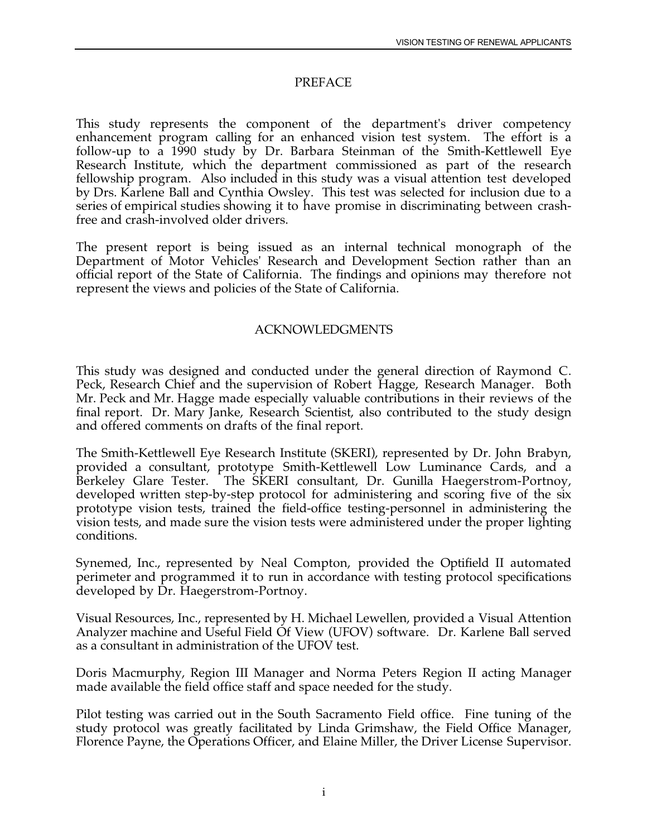### PREFACE

 by Drs. Karlene Ball and Cynthia Owsley. This test was selected for inclusion due to a This study represents the component of the department's driver competency enhancement program calling for an enhanced vision test system. The effort is a follow-up to a 1990 study by Dr. Barbara Steinman of the Smith-Kettlewell Eye Research Institute, which the department commissioned as part of the research fellowship program. Also included in this study was a visual attention test developed series of empirical studies showing it to have promise in discriminating between crashfree and crash-involved older drivers.

The present report is being issued as an internal technical monograph of the Department of Motor Vehicles' Research and Development Section rather than an official report of the State of California. The findings and opinions may therefore not represent the views and policies of the State of California.

#### ACKNOWLEDGMENTS

This study was designed and conducted under the general direction of Raymond C. Peck, Research Chief and the supervision of Robert Hagge, Research Manager. Both Mr. Peck and Mr. Hagge made especially valuable contributions in their reviews of the final report. Dr. Mary Janke, Research Scientist, also contributed to the study design and offered comments on drafts of the final report.

The Smith-Kettlewell Eye Research Institute (SKERI), represented by Dr. John Brabyn, provided a consultant, prototype Smith-Kettlewell Low Luminance Cards, and a Berkeley Glare Tester. The SKERI consultant, Dr. Gunilla Haegerstrom-Portnoy, developed written step-by-step protocol for administering and scoring five of the six prototype vision tests, trained the field-office testing-personnel in administering the vision tests, and made sure the vision tests were administered under the proper lighting conditions.

Synemed, Inc., represented by Neal Compton, provided the Optifield II automated perimeter and programmed it to run in accordance with testing protocol specifications developed by Dr. Haegerstrom-Portnoy.

Visual Resources, Inc., represented by H. Michael Lewellen, provided a Visual Attention Analyzer machine and Useful Field Of View (UFOV) software. Dr. Karlene Ball served as a consultant in administration of the UFOV test.

Doris Macmurphy, Region III Manager and Norma Peters Region II acting Manager made available the field office staff and space needed for the study.

Pilot testing was carried out in the South Sacramento Field office. Fine tuning of the study protocol was greatly facilitated by Linda Grimshaw, the Field Office Manager, Florence Payne, the Operations Officer, and Elaine Miller, the Driver License Supervisor.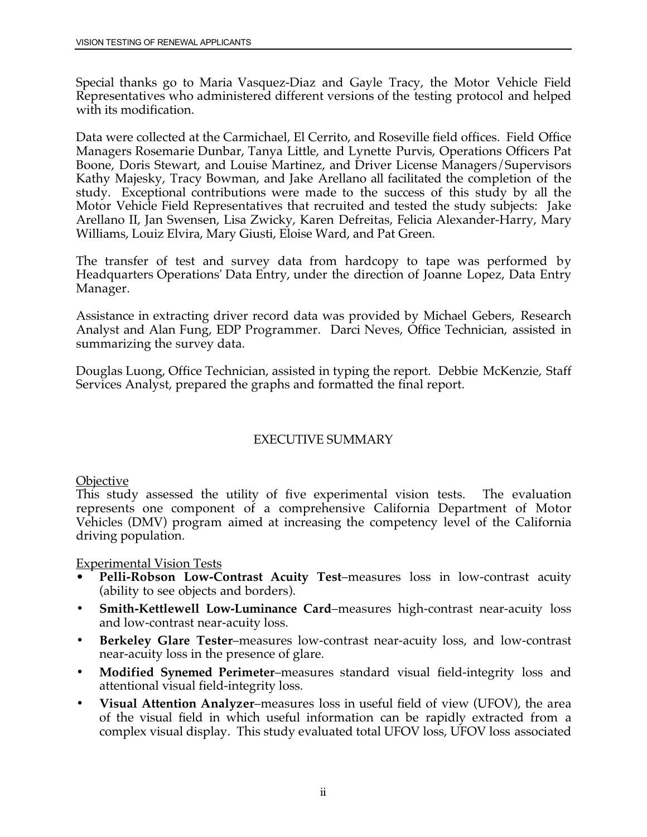Special thanks go to Maria Vasquez-Diaz and Gayle Tracy, the Motor Vehicle Field Representatives who administered different versions of the testing protocol and helped with its modification.

Data were collected at the Carmichael, El Cerrito, and Roseville field offices. Field Office Managers Rosemarie Dunbar, Tanya Little, and Lynette Purvis, Operations Officers Pat Boone, Doris Stewart, and Louise Martinez, and Driver License Managers/Supervisors Kathy Majesky, Tracy Bowman, and Jake Arellano all facilitated the completion of the study. Exceptional contributions were made to the success of this study by all the Motor Vehicle Field Representatives that recruited and tested the study subjects: Jake Arellano II, Jan Swensen, Lisa Zwicky, Karen Defreitas, Felicia Alexander-Harry, Mary Williams, Louiz Elvira, Mary Giusti, Eloise Ward, and Pat Green.

The transfer of test and survey data from hardcopy to tape was performed by Headquarters Operations' Data Entry, under the direction of Joanne Lopez, Data Entry Manager.

Assistance in extracting driver record data was provided by Michael Gebers, Research Analyst and Alan Fung, EDP Programmer. Darci Neves, Office Technician, assisted in summarizing the survey data.

Douglas Luong, Office Technician, assisted in typing the report. Debbie McKenzie, Staff Services Analyst, prepared the graphs and formatted the final report.

### EXECUTIVE SUMMARY

**Objective** 

This study assessed the utility of five experimental vision tests. The evaluation represents one component of a comprehensive California Department of Motor Vehicles (DMV) program aimed at increasing the competency level of the California driving population.

Experimental Vision Tests

- **Pelli-Robson Low-Contrast Acuity Test**–measures loss in low-contrast acuity (ability to see objects and borders).
- **Smith-Kettlewell Low-Luminance Card**–measures high-contrast near-acuity loss and low-contrast near-acuity loss.
- **Berkeley Glare Tester**–measures low-contrast near-acuity loss, and low-contrast near-acuity loss in the presence of glare.
- **Modified Synemed Perimeter**–measures standard visual field-integrity loss and attentional visual field-integrity loss.
- **Visual Attention Analyzer**–measures loss in useful field of view (UFOV), the area of the visual field in which useful information can be rapidly extracted from a complex visual display. This study evaluated total UFOV loss, UFOV loss associated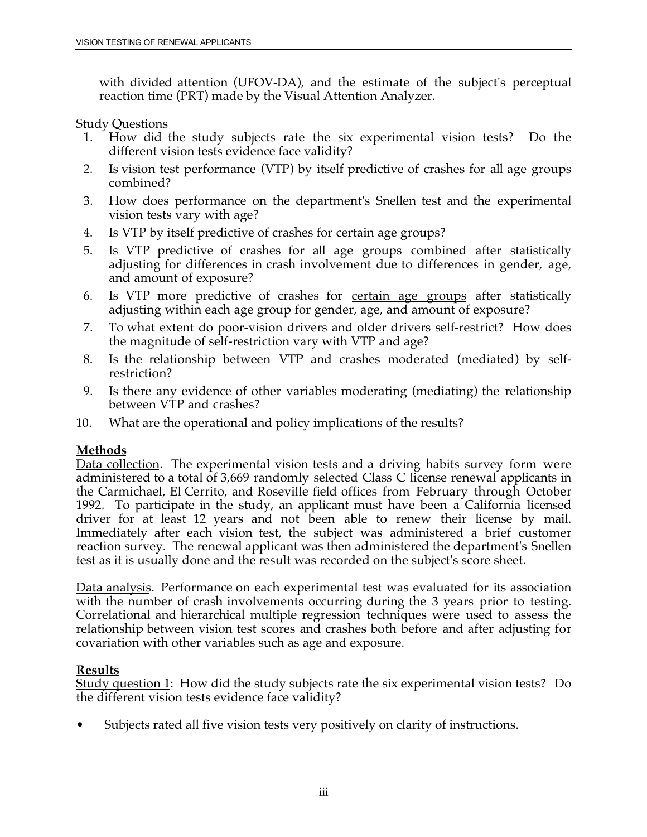with divided attention (UFOV-DA), and the estimate of the subject's perceptual reaction time (PRT) made by the Visual Attention Analyzer.

### Study Questions

- 1. How did the study subjects rate the six experimental vision tests? Do the different vision tests evidence face validity?
- 2. Is vision test performance (VTP) by itself predictive of crashes for all age groups combined?
- 3. How does performance on the department's Snellen test and the experimental vision tests vary with age?
- 4. Is VTP by itself predictive of crashes for certain age groups?
- 5. Is VTP predictive of crashes for all age groups combined after statistically adjusting for differences in crash involvement due to differences in gender, age, and amount of exposure?
- 6. Is VTP more predictive of crashes for certain age groups after statistically adjusting within each age group for gender, age, and amount of exposure?
- 7. To what extent do poor-vision drivers and older drivers self-restrict? How does the magnitude of self-restriction vary with VTP and age?
- 8. Is the relationship between VTP and crashes moderated (mediated) by selfrestriction?
- 9. Is there any evidence of other variables moderating (mediating) the relationship between VTP and crashes?
- 10. What are the operational and policy implications of the results?

### **Methods**

Data collection. The experimental vision tests and a driving habits survey form were administered to a total of 3,669 randomly selected Class C license renewal applicants in the Carmichael, El Cerrito, and Roseville field offices from February through October 1992. To participate in the study, an applicant must have been a California licensed driver for at least 12 years and not been able to renew their license by mail. Immediately after each vision test, the subject was administered a brief customer reaction survey. The renewal applicant was then administered the department's Snellen test as it is usually done and the result was recorded on the subject's score sheet.

Data analysis. Performance on each experimental test was evaluated for its association with the number of crash involvements occurring during the 3 years prior to testing. Correlational and hierarchical multiple regression techniques were used to assess the relationship between vision test scores and crashes both before and after adjusting for covariation with other variables such as age and exposure.

### **Results**

Study question 1: How did the study subjects rate the six experimental vision tests? Do the different vision tests evidence face validity?

• Subjects rated all five vision tests very positively on clarity of instructions.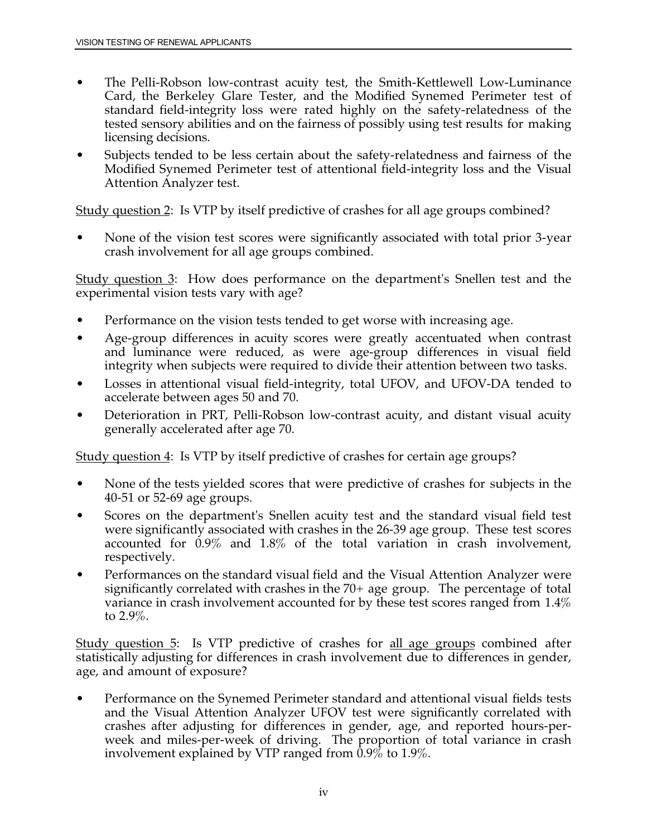- The Pelli-Robson low-contrast acuity test, the Smith-Kettlewell Low-Luminance Card, the Berkeley Glare Tester, and the Modified Synemed Perimeter test of standard field-integrity loss were rated highly on the safety-relatedness of the tested sensory abilities and on the fairness of possibly using test results for making licensing decisions.
- Subjects tended to be less certain about the safety-relatedness and fairness of the Modified Synemed Perimeter test of attentional field-integrity loss and the Visual Attention Analyzer test.

Study question 2: Is VTP by itself predictive of crashes for all age groups combined?

• None of the vision test scores were significantly associated with total prior 3-year crash involvement for all age groups combined.

 Study question 3: How does performance on the department's Snellen test and the experimental vision tests vary with age?

- Performance on the vision tests tended to get worse with increasing age.
- Age-group differences in acuity scores were greatly accentuated when contrast and luminance were reduced, as were age-group differences in visual field integrity when subjects were required to divide their attention between two tasks.
- Losses in attentional visual field-integrity, total UFOV, and UFOV-DA tended to accelerate between ages 50 and 70.
- Deterioration in PRT, Pelli-Robson low-contrast acuity, and distant visual acuity generally accelerated after age 70.

Study question 4: Is VTP by itself predictive of crashes for certain age groups?

- None of the tests yielded scores that were predictive of crashes for subjects in the 40-51 or 52-69 age groups.
- Scores on the department's Snellen acuity test and the standard visual field test were significantly associated with crashes in the 26-39 age group. These test scores accounted for 0.9% and 1.8% of the total variation in crash involvement, respectively.
- Performances on the standard visual field and the Visual Attention Analyzer were significantly correlated with crashes in the 70+ age group. The percentage of total variance in crash involvement accounted for by these test scores ranged from 1.4% to 2.9%.

Study question 5: Is VTP predictive of crashes for all age groups combined after statistically adjusting for differences in crash involvement due to differences in gender, age, and amount of exposure?

• Performance on the Synemed Perimeter standard and attentional visual fields tests and the Visual Attention Analyzer UFOV test were significantly correlated with crashes after adjusting for differences in gender, age, and reported hours-perweek and miles-per-week of driving. The proportion of total variance in crash involvement explained by VTP ranged from  $0.9\%$  to 1.9%.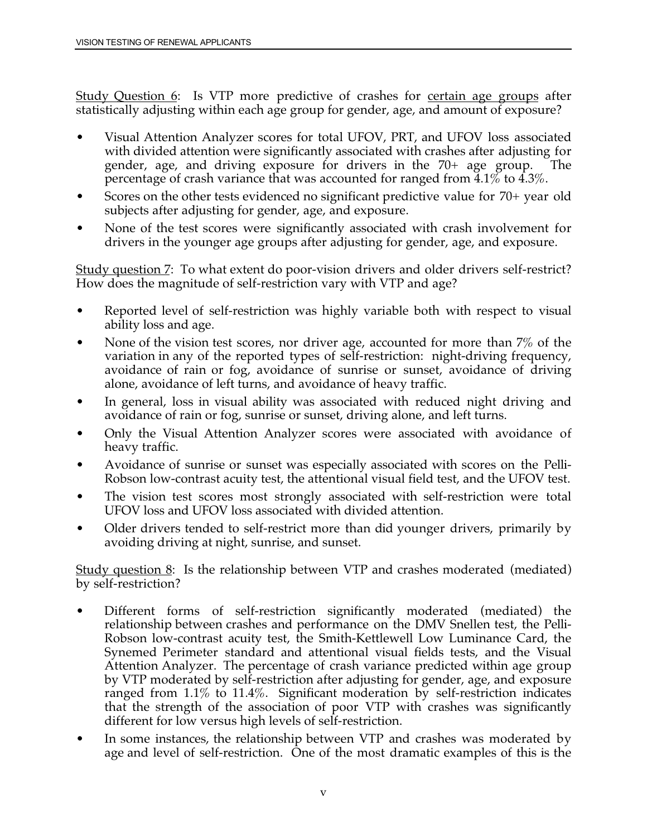Study Question 6: Is VTP more predictive of crashes for certain age groups after statistically adjusting within each age group for gender, age, and amount of exposure?

- Visual Attention Analyzer scores for total UFOV, PRT, and UFOV loss associated with divided attention were significantly associated with crashes after adjusting for gender, age, and driving exposure for drivers in the 70+ age group. The percentage of crash variance that was accounted for ranged from 4.1% to 4.3%.
- Scores on the other tests evidenced no significant predictive value for 70+ year old subjects after adjusting for gender, age, and exposure.
- None of the test scores were significantly associated with crash involvement for drivers in the younger age groups after adjusting for gender, age, and exposure.

Study question 7: To what extent do poor-vision drivers and older drivers self-restrict? How does the magnitude of self-restriction vary with VTP and age?

- Reported level of self-restriction was highly variable both with respect to visual ability loss and age.
- None of the vision test scores, nor driver age, accounted for more than 7% of the variation in any of the reported types of self-restriction: night-driving frequency, avoidance of rain or fog, avoidance of sunrise or sunset, avoidance of driving alone, avoidance of left turns, and avoidance of heavy traffic.
- In general, loss in visual ability was associated with reduced night driving and avoidance of rain or fog, sunrise or sunset, driving alone, and left turns.
- Only the Visual Attention Analyzer scores were associated with avoidance of heavy traffic.
- Avoidance of sunrise or sunset was especially associated with scores on the Pelli-Robson low-contrast acuity test, the attentional visual field test, and the UFOV test.
- The vision test scores most strongly associated with self-restriction were total UFOV loss and UFOV loss associated with divided attention.
- Older drivers tended to self-restrict more than did younger drivers, primarily by avoiding driving at night, sunrise, and sunset.

Study question 8: Is the relationship between VTP and crashes moderated (mediated) by self-restriction?

- Different forms of self-restriction significantly moderated (mediated) the relationship between crashes and performance on the DMV Snellen test, the Pelli-Robson low-contrast acuity test, the Smith-Kettlewell Low Luminance Card, the Synemed Perimeter standard and attentional visual fields tests, and the Visual Attention Analyzer. The percentage of crash variance predicted within age group by VTP moderated by self-restriction after adjusting for gender, age, and exposure ranged from 1.1% to 11.4%. Significant moderation by self-restriction indicates that the strength of the association of poor VTP with crashes was significantly different for low versus high levels of self-restriction.
- In some instances, the relationship between VTP and crashes was moderated by age and level of self-restriction. One of the most dramatic examples of this is the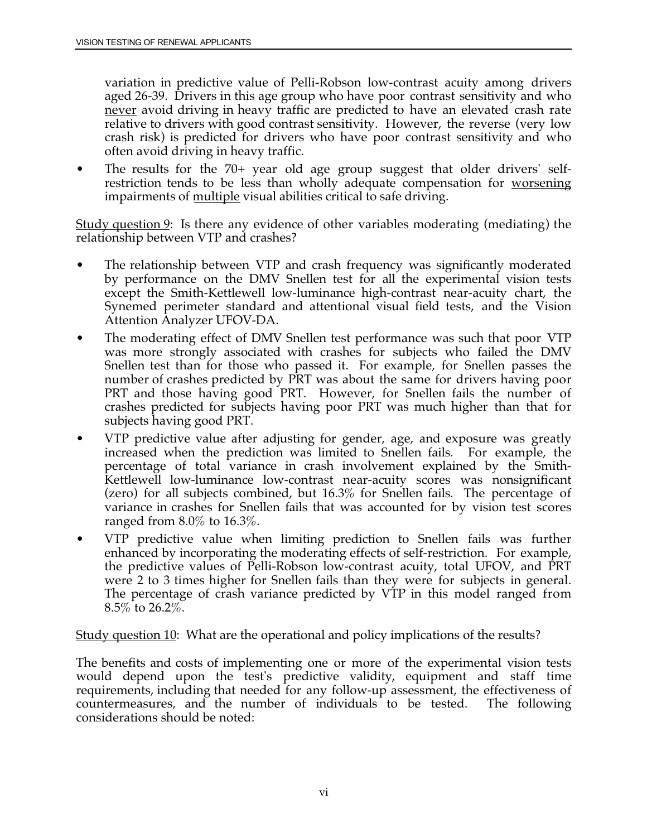variation in predictive value of Pelli-Robson low-contrast acuity among drivers aged 26-39. Drivers in this age group who have poor contrast sensitivity and who never avoid driving in heavy traffic are predicted to have an elevated crash rate relative to drivers with good contrast sensitivity. However, the reverse (very low crash risk) is predicted for drivers who have poor contrast sensitivity and who often avoid driving in heavy traffic.

restriction tends to be less than wholly adequate compensation for <u>worsenin</u>g • The results for the 70+ year old age group suggest that older drivers' selfimpairments of multiple visual abilities critical to safe driving.

Study question 9: Is there any evidence of other variables moderating (mediating) the relationship between VTP and crashes?

- The relationship between VTP and crash frequency was significantly moderated by performance on the DMV Snellen test for all the experimental vision tests except the Smith-Kettlewell low-luminance high-contrast near-acuity chart, the Synemed perimeter standard and attentional visual field tests, and the Vision Attention Analyzer UFOV-DA.
- The moderating effect of DMV Snellen test performance was such that poor VTP was more strongly associated with crashes for subjects who failed the DMV Snellen test than for those who passed it. For example, for Snellen passes the number of crashes predicted by PRT was about the same for drivers having poor PRT and those having good PRT. However, for Snellen fails the number of crashes predicted for subjects having poor PRT was much higher than that for subjects having good PRT.
- VTP predictive value after adjusting for gender, age, and exposure was greatly increased when the prediction was limited to Snellen fails. For example, the percentage of total variance in crash involvement explained by the Smith-Kettlewell low-luminance low-contrast near-acuity scores was nonsignificant (zero) for all subjects combined, but 16.3% for Snellen fails. The percentage of variance in crashes for Snellen fails that was accounted for by vision test scores ranged from 8.0% to 16.3%.
- The percentage of crash variance predicted by VTP in this model ranged from • VTP predictive value when limiting prediction to Snellen fails was further enhanced by incorporating the moderating effects of self-restriction. For example, the predictive values of Pelli-Robson low-contrast acuity, total UFOV, and PRT were 2 to 3 times higher for Snellen fails than they were for subjects in general.  $8.5\%$  to 26.2\%.

Study question 10: What are the operational and policy implications of the results?

 countermeasures, and the number of individuals to be tested. The following The benefits and costs of implementing one or more of the experimental vision tests would depend upon the test's predictive validity, equipment and staff time requirements, including that needed for any follow-up assessment, the effectiveness of considerations should be noted: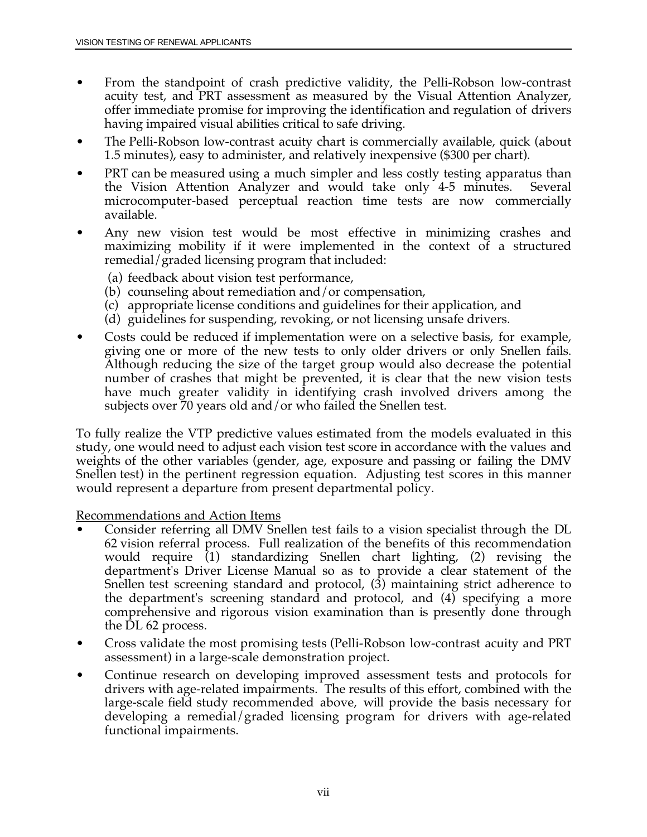- From the standpoint of crash predictive validity, the Pelli-Robson low-contrast acuity test, and PRT assessment as measured by the Visual Attention Analyzer, offer immediate promise for improving the identification and regulation of drivers having impaired visual abilities critical to safe driving.
- The Pelli-Robson low-contrast acuity chart is commercially available, quick (about 1.5 minutes), easy to administer, and relatively inexpensive (\$300 per chart).
- PRT can be measured using a much simpler and less costly testing apparatus than the Vision Attention Analyzer and would take only 4-5 minutes. Several microcomputer-based perceptual reaction time tests are now commercially available.
- Any new vision test would be most effective in minimizing crashes and maximizing mobility if it were implemented in the context of a structured remedial/graded licensing program that included:
	- (a) feedback about vision test performance,
	- (b) counseling about remediation and/or compensation,
	- (c) appropriate license conditions and guidelines for their application, and
	- (d) guidelines for suspending, revoking, or not licensing unsafe drivers.
- Although reducing the size of the target group would also decrease the potential have much greater validity in identifying crash involved drivers among the • Costs could be reduced if implementation were on a selective basis, for example, giving one or more of the new tests to only older drivers or only Snellen fails. number of crashes that might be prevented, it is clear that the new vision tests subjects over 70 years old and/or who failed the Snellen test.

 Snellen test) in the pertinent regression equation. Adjusting test scores in this manner To fully realize the VTP predictive values estimated from the models evaluated in this study, one would need to adjust each vision test score in accordance with the values and weights of the other variables (gender, age, exposure and passing or failing the DMV would represent a departure from present departmental policy.

Recommendations and Action Items

- department's Driver License Manual so as to provide a clear statement of the • Consider referring all DMV Snellen test fails to a vision specialist through the DL 62 vision referral process. Full realization of the benefits of this recommendation would require (1) standardizing Snellen chart lighting, (2) revising the Snellen test screening standard and protocol, (3) maintaining strict adherence to the department's screening standard and protocol, and (4) specifying a more comprehensive and rigorous vision examination than is presently done through the DL 62 process.
- Cross validate the most promising tests (Pelli-Robson low-contrast acuity and PRT assessment) in a large-scale demonstration project.
- large-scale field study recommended above, will provide the basis necessary for • Continue research on developing improved assessment tests and protocols for drivers with age-related impairments. The results of this effort, combined with the developing a remedial/graded licensing program for drivers with age-related functional impairments.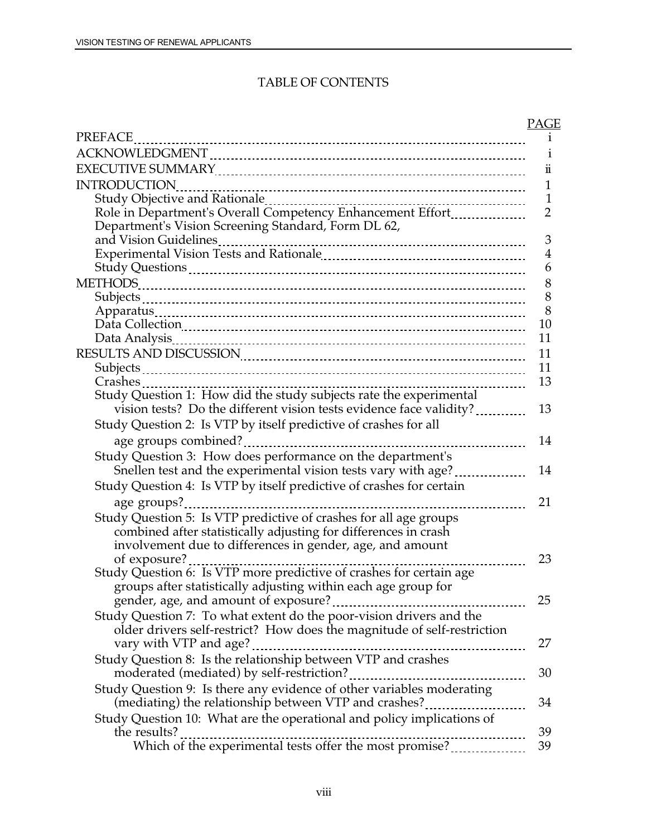### TABLE OF CONTENTS

|                                                                                             | <b>PAGE</b>    |
|---------------------------------------------------------------------------------------------|----------------|
| <b>PREFACE</b>                                                                              | $\mathbf{1}$   |
|                                                                                             | 1              |
|                                                                                             | ü              |
| <b>INTRODUCTION</b>                                                                         | 1              |
| Study Objective and Rationale<br>Role in Department's Overall Competency Enhancement Effort | $\mathbf{1}$   |
|                                                                                             | $\overline{2}$ |
| Department's Vision Screening Standard, Form DL 62,                                         |                |
|                                                                                             | 3              |
|                                                                                             | $\overline{4}$ |
|                                                                                             | 6              |
|                                                                                             | 8              |
|                                                                                             | 8              |
|                                                                                             | 8              |
|                                                                                             | 10             |
|                                                                                             | 11             |
|                                                                                             | 11             |
|                                                                                             | 11             |
| -----------------------                                                                     | 13             |
| Study Question 1: How did the study subjects rate the experimental                          |                |
| vision tests? Do the different vision tests evidence face validity?                         | 13             |
| Study Question 2: Is VTP by itself predictive of crashes for all                            |                |
|                                                                                             | 14             |
| Study Question 3: How does performance on the department's                                  |                |
| Snellen test and the experimental vision tests vary with age?                               | 14             |
| Study Question 4: Is VTP by itself predictive of crashes for certain                        |                |
| age groups?                                                                                 | 21             |
| Study Question 5: Is VTP predictive of crashes for all age groups                           |                |
| combined after statistically adjusting for differences in crash                             |                |
| involvement due to differences in gender, age, and amount                                   |                |
|                                                                                             | 23             |
| Study Question 6: Is VTP more predictive of crashes for certain age                         |                |
| groups after statistically adjusting within each age group for                              |                |
|                                                                                             | 25             |
| Study Question 7: To what extent do the poor-vision drivers and the                         |                |
| older drivers self-restrict? How does the magnitude of self-restriction                     |                |
|                                                                                             | 27             |
| Study Question 8: Is the relationship between VTP and crashes                               |                |
|                                                                                             | 30             |
| Study Question 9: Is there any evidence of other variables moderating                       |                |
| (mediating) the relationship between VTP and crashes?                                       | 34             |
| Study Question 10: What are the operational and policy implications of                      |                |
| the results?                                                                                | 39             |
|                                                                                             | 39             |
|                                                                                             |                |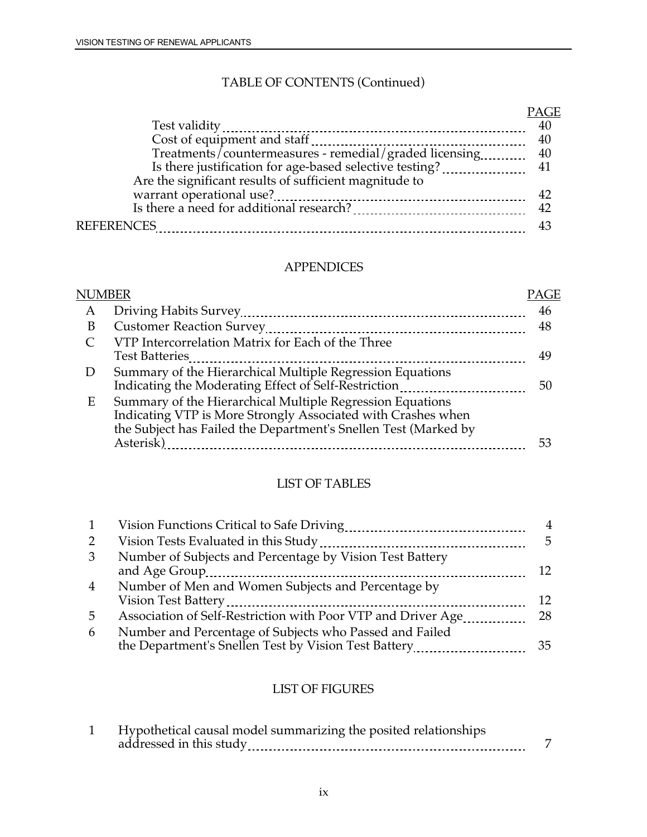### TABLE OF CONTENTS (Continued)

|                                                        | <b>PAGE</b> |
|--------------------------------------------------------|-------------|
|                                                        | 40          |
|                                                        | 40          |
|                                                        |             |
|                                                        |             |
| Are the significant results of sufficient magnitude to |             |
|                                                        | 42          |
|                                                        |             |
| <b>REFERENCES</b>                                      | 43          |

### APPENDICES

| PAGE |
|------|
| 46   |
| 48   |
|      |
| 49   |
|      |
| 50   |
|      |
|      |
|      |
| 53   |
|      |

### LIST OF TABLES

| 1              |                                                                                                                 | 4   |
|----------------|-----------------------------------------------------------------------------------------------------------------|-----|
| $\overline{2}$ | Vision Tests Evaluated in this Study<br>--------------------------------                                        | 5.  |
| 3              | Number of Subjects and Percentage by Vision Test Battery                                                        | 12. |
| $\overline{4}$ | Number of Men and Women Subjects and Percentage by                                                              | 12. |
| 5              | Association of Self-Restriction with Poor VTP and Driver Age                                                    | 28  |
| 6              | Number and Percentage of Subjects who Passed and Failed<br>the Department's Snellen Test by Vision Test Battery | 35. |

## LIST OF FIGURES

| Hypothetical causal model summarizing the posited relationships |  |
|-----------------------------------------------------------------|--|
| addressed in this study<br>--------------------------------     |  |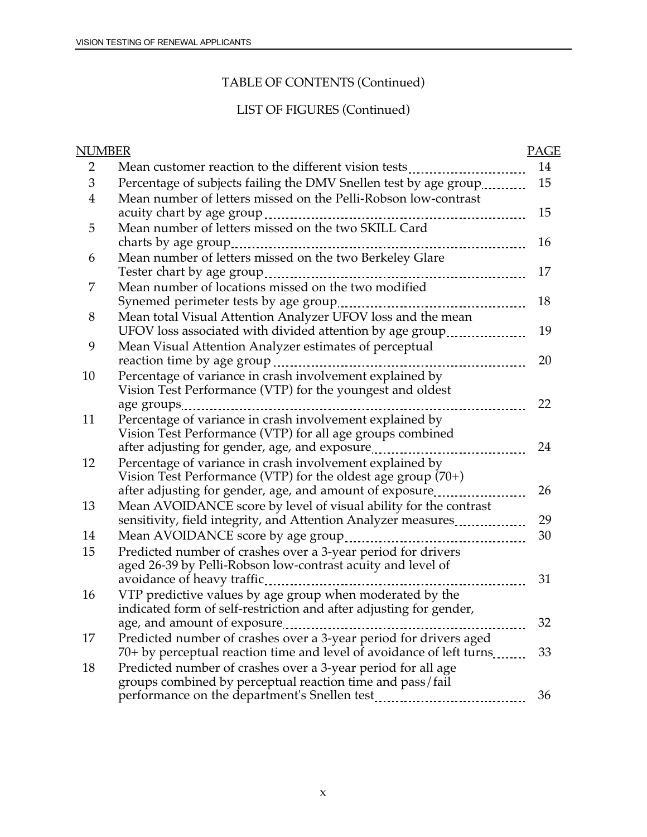### TABLE OF CONTENTS (Continued)

## LIST OF FIGURES (Continued)

| NUMBER         |                                                                                                                          | <b>PAGE</b> |
|----------------|--------------------------------------------------------------------------------------------------------------------------|-------------|
| 2              | Mean customer reaction to the different vision tests                                                                     | 14          |
| 3              | Percentage of subjects failing the DMV Snellen test by age group                                                         | 15          |
| $\overline{4}$ | Mean number of letters missed on the Pelli-Robson low-contrast                                                           |             |
|                | acuity chart by age group                                                                                                | 15          |
| 5              | Mean number of letters missed on the two SKILL Card                                                                      |             |
|                |                                                                                                                          | 16          |
| 6              | Mean number of letters missed on the two Berkeley Glare                                                                  |             |
|                |                                                                                                                          | 17          |
| 7              | Mean number of locations missed on the two modified                                                                      |             |
|                |                                                                                                                          | 18          |
| 8              | Mean total Visual Attention Analyzer UFOV loss and the mean                                                              |             |
|                | UFOV loss associated with divided attention by age group                                                                 | 19          |
| 9              | Mean Visual Attention Analyzer estimates of perceptual                                                                   |             |
|                |                                                                                                                          | 20          |
| 10             | Percentage of variance in crash involvement explained by                                                                 |             |
|                | Vision Test Performance (VTP) for the youngest and oldest                                                                |             |
|                | age groups<br><u></u>                                                                                                    | 22          |
| 11             | Percentage of variance in crash involvement explained by                                                                 |             |
|                | Vision Test Performance (VTP) for all age groups combined                                                                | 24          |
|                |                                                                                                                          |             |
| 12             | Percentage of variance in crash involvement explained by<br>Vision Test Performance (VTP) for the oldest age group (70+) |             |
|                | after adjusting for gender, age, and amount of exposure                                                                  | 26          |
| 13             | Mean AVOIDANCE score by level of visual ability for the contrast                                                         |             |
|                | sensitivity, field integrity, and Attention Analyzer measures                                                            | 29          |
| 14             |                                                                                                                          | 30          |
| 15             | Predicted number of crashes over a 3-year period for drivers                                                             |             |
|                | aged 26-39 by Pelli-Robson low-contrast acuity and level of                                                              |             |
|                | avoidance of heavy traffic                                                                                               | 31          |
| 16             | VTP predictive values by age group when moderated by the                                                                 |             |
|                | indicated form of self-restriction and after adjusting for gender,                                                       |             |
|                | age, and amount of exposure                                                                                              | 32          |
| 17             | Predicted number of crashes over a 3-year period for drivers aged                                                        |             |
|                | 70+ by perceptual reaction time and level of avoidance of left turns                                                     | 33          |
| 18             | Predicted number of crashes over a 3-year period for all age                                                             |             |
|                | groups combined by perceptual reaction time and pass/fail                                                                |             |
|                |                                                                                                                          | 36          |
|                |                                                                                                                          |             |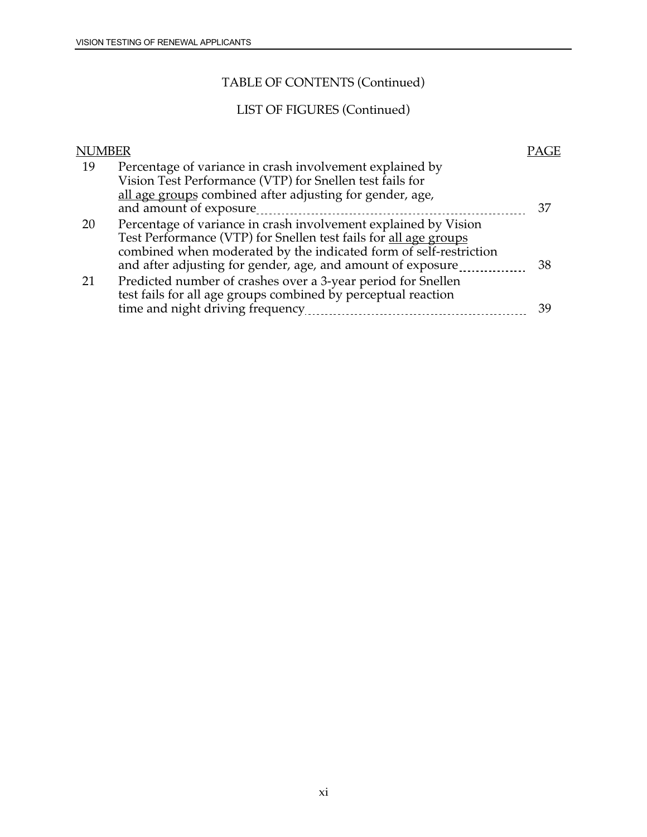### TABLE OF CONTENTS (Continued)

## LIST OF FIGURES (Continued)

| NUMBER |                                                                                                                                                                                                                                                                         |    |
|--------|-------------------------------------------------------------------------------------------------------------------------------------------------------------------------------------------------------------------------------------------------------------------------|----|
| 19     | Percentage of variance in crash involvement explained by<br>Vision Test Performance (VTP) for Snellen test fails for<br>all age groups combined after adjusting for gender, age,<br>and amount of exposure                                                              | 37 |
| 20     | Percentage of variance in crash involvement explained by Vision<br>Test Performance (VTP) for Snellen test fails for all age groups<br>combined when moderated by the indicated form of self-restriction<br>and after adjusting for gender, age, and amount of exposure | 38 |
|        | Predicted number of crashes over a 3-year period for Snellen<br>test fails for all age groups combined by perceptual reaction<br>time and night driving frequency<br>-------------------------------                                                                    | 39 |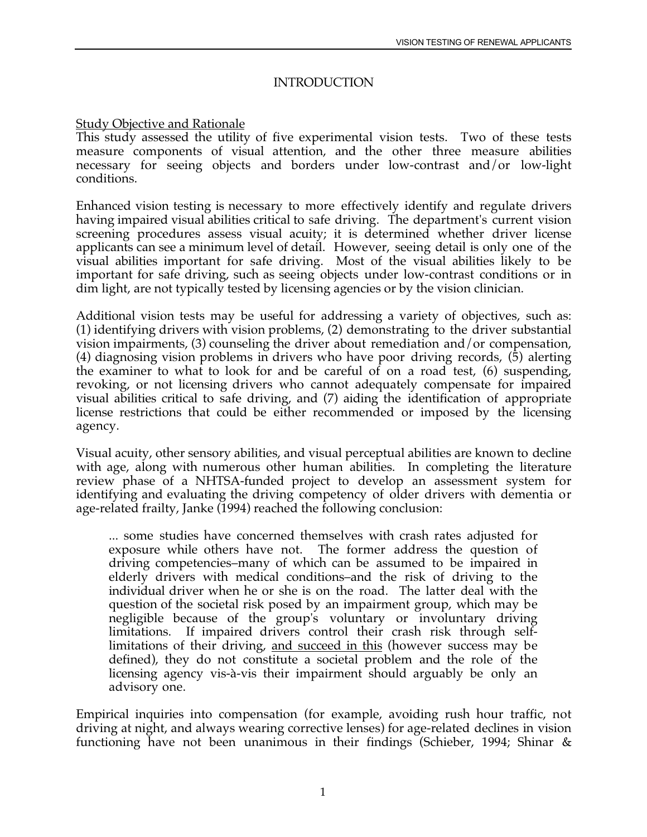### INTRODUCTION

### Study Objective and Rationale

This study assessed the utility of five experimental vision tests. Two of these tests measure components of visual attention, and the other three measure abilities necessary for seeing objects and borders under low-contrast and/or low-light conditions.

Enhanced vision testing is necessary to more effectively identify and regulate drivers having impaired visual abilities critical to safe driving. The department's current vision screening procedures assess visual acuity; it is determined whether driver license applicants can see a minimum level of detail. However, seeing detail is only one of the visual abilities important for safe driving. Most of the visual abilities likely to be important for safe driving, such as seeing objects under low-contrast conditions or in dim light, are not typically tested by licensing agencies or by the vision clinician.

 the examiner to what to look for and be careful of on a road test, (6) suspending, Additional vision tests may be useful for addressing a variety of objectives, such as: (1) identifying drivers with vision problems, (2) demonstrating to the driver substantial vision impairments, (3) counseling the driver about remediation and/or compensation, (4) diagnosing vision problems in drivers who have poor driving records, (5) alerting revoking, or not licensing drivers who cannot adequately compensate for impaired visual abilities critical to safe driving, and (7) aiding the identification of appropriate license restrictions that could be either recommended or imposed by the licensing agency.

Visual acuity, other sensory abilities, and visual perceptual abilities are known to decline with age, along with numerous other human abilities. In completing the literature review phase of a NHTSA-funded project to develop an assessment system for identifying and evaluating the driving competency of older drivers with dementia or age-related frailty, Janke (1994) reached the following conclusion:

 defined), they do not constitute a societal problem and the role of the ... some studies have concerned themselves with crash rates adjusted for exposure while others have not. The former address the question of driving competencies–many of which can be assumed to be impaired in elderly drivers with medical conditions–and the risk of driving to the individual driver when he or she is on the road. The latter deal with the question of the societal risk posed by an impairment group, which may be negligible because of the group's voluntary or involuntary driving limitations. If impaired drivers control their crash risk through selflimitations of their driving, and succeed in this (however success may be licensing agency vis-à-vis their impairment should arguably be only an advisory one.

Empirical inquiries into compensation (for example, avoiding rush hour traffic, not driving at night, and always wearing corrective lenses) for age-related declines in vision functioning have not been unanimous in their findings (Schieber, 1994; Shinar &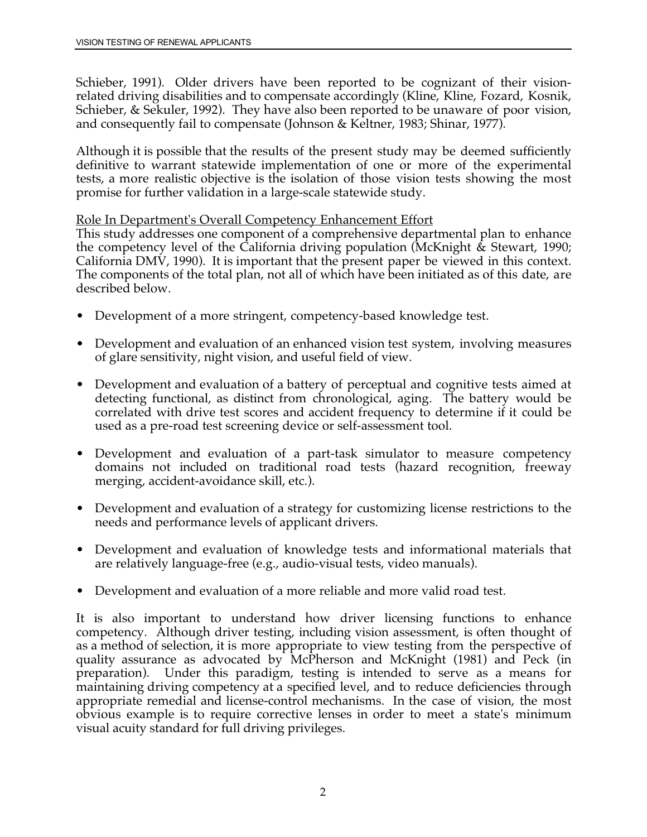Schieber, 1991). Older drivers have been reported to be cognizant of their visionrelated driving disabilities and to compensate accordingly (Kline, Kline, Fozard, Kosnik, Schieber, & Sekuler, 1992). They have also been reported to be unaware of poor vision, and consequently fail to compensate (Johnson & Keltner, 1983; Shinar, 1977).

Although it is possible that the results of the present study may be deemed sufficiently definitive to warrant statewide implementation of one or more of the experimental tests, a more realistic objective is the isolation of those vision tests showing the most promise for further validation in a large-scale statewide study.

### Role In Department's Overall Competency Enhancement Effort

This study addresses one component of a comprehensive departmental plan to enhance the competency level of the California driving population (McKnight  $\&$  Stewart, 1990; California DMV, 1990). It is important that the present paper be viewed in this context. The components of the total plan, not all of which have been initiated as of this date, are described below.

- Development of a more stringent, competency-based knowledge test.
- Development and evaluation of an enhanced vision test system, involving measures of glare sensitivity, night vision, and useful field of view.
- • Development and evaluation of a battery of perceptual and cognitive tests aimed at correlated with drive test scores and accident frequency to determine if it could be detecting functional, as distinct from chronological, aging. The battery would be used as a pre-road test screening device or self-assessment tool.
- Development and evaluation of a part-task simulator to measure competency domains not included on traditional road tests (hazard recognition, freeway merging, accident-avoidance skill, etc.).
- Development and evaluation of a strategy for customizing license restrictions to the needs and performance levels of applicant drivers.
- Development and evaluation of knowledge tests and informational materials that are relatively language-free (e.g., audio-visual tests, video manuals).
- Development and evaluation of a more reliable and more valid road test.

 maintaining driving competency at a specified level, and to reduce deficiencies through It is also important to understand how driver licensing functions to enhance competency. Although driver testing, including vision assessment, is often thought of as a method of selection, it is more appropriate to view testing from the perspective of quality assurance as advocated by McPherson and McKnight (1981) and Peck (in preparation). Under this paradigm, testing is intended to serve as a means for appropriate remedial and license-control mechanisms. In the case of vision, the most obvious example is to require corrective lenses in order to meet a state's minimum visual acuity standard for full driving privileges.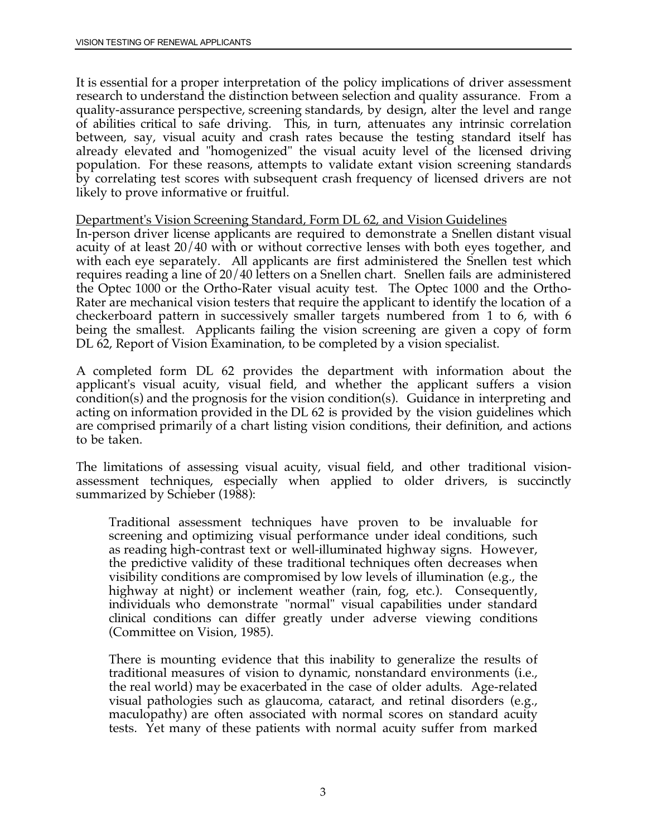It is essential for a proper interpretation of the policy implications of driver assessment research to understand the distinction between selection and quality assurance. From a quality-assurance perspective, screening standards, by design, alter the level and range of abilities critical to safe driving. This, in turn, attenuates any intrinsic correlation between, say, visual acuity and crash rates because the testing standard itself has already elevated and "homogenized" the visual acuity level of the licensed driving population. For these reasons, attempts to validate extant vision screening standards by correlating test scores with subsequent crash frequency of licensed drivers are not likely to prove informative or fruitful.

#### Department's Vision Screening Standard, Form DL 62, and Vision Guidelines

 acuity of at least 20/40 with or without corrective lenses with both eyes together, and checkerboard pattern in successively smaller targets numbered from 1 to 6, with 6 In-person driver license applicants are required to demonstrate a Snellen distant visual with each eye separately. All applicants are first administered the Snellen test which requires reading a line of 20/40 letters on a Snellen chart. Snellen fails are administered the Optec 1000 or the Ortho-Rater visual acuity test. The Optec 1000 and the Ortho-Rater are mechanical vision testers that require the applicant to identify the location of a being the smallest. Applicants failing the vision screening are given a copy of form DL 62, Report of Vision Examination, to be completed by a vision specialist.

 condition(s) and the prognosis for the vision condition(s). Guidance in interpreting and acting on information provided in the DL 62 is provided by the vision guidelines which A completed form DL 62 provides the department with information about the applicant's visual acuity, visual field, and whether the applicant suffers a vision are comprised primarily of a chart listing vision conditions, their definition, and actions to be taken.

The limitations of assessing visual acuity, visual field, and other traditional visionassessment techniques, especially when applied to older drivers, is succinctly summarized by Schieber (1988):

Traditional assessment techniques have proven to be invaluable for screening and optimizing visual performance under ideal conditions, such as reading high-contrast text or well-illuminated highway signs. However, the predictive validity of these traditional techniques often decreases when visibility conditions are compromised by low levels of illumination (e.g., the highway at night) or inclement weather (rain, fog, etc.). Consequently, individuals who demonstrate "normal" visual capabilities under standard clinical conditions can differ greatly under adverse viewing conditions (Committee on Vision, 1985).

There is mounting evidence that this inability to generalize the results of traditional measures of vision to dynamic, nonstandard environments (i.e., the real world) may be exacerbated in the case of older adults. Age-related visual pathologies such as glaucoma, cataract, and retinal disorders (e.g., maculopathy) are often associated with normal scores on standard acuity tests. Yet many of these patients with normal acuity suffer from marked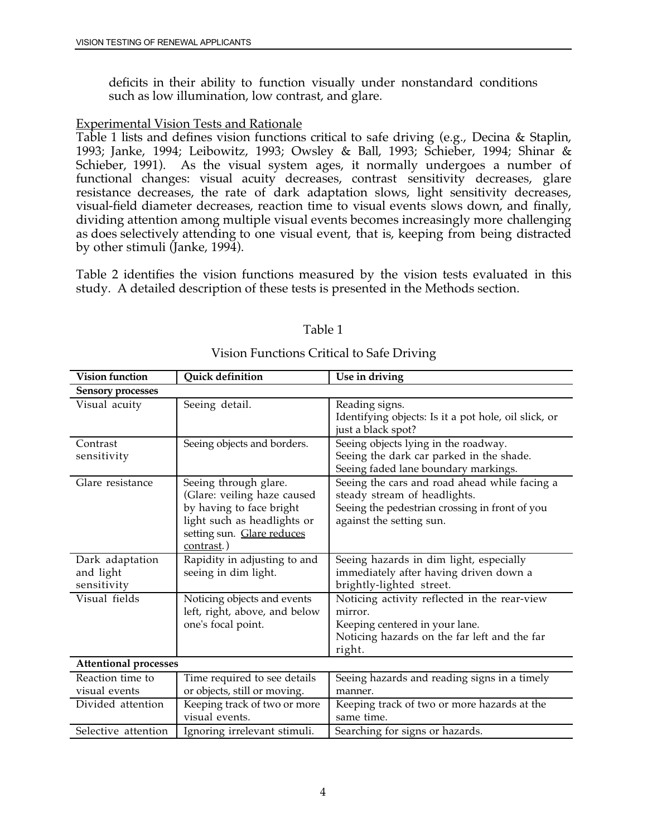deficits in their ability to function visually under nonstandard conditions such as low illumination, low contrast, and glare.

### Experimental Vision Tests and Rationale

Table 1 lists and defines vision functions critical to safe driving (e.g., Decina & Staplin, 1993; Janke, 1994; Leibowitz, 1993; Owsley & Ball, 1993; Schieber, 1994; Shinar & Schieber, 1991). As the visual system ages, it normally undergoes a number of functional changes: visual acuity decreases, contrast sensitivity decreases, glare resistance decreases, the rate of dark adaptation slows, light sensitivity decreases, visual-field diameter decreases, reaction time to visual events slows down, and finally, dividing attention among multiple visual events becomes increasingly more challenging as does selectively attending to one visual event, that is, keeping from being distracted by other stimuli (Janke, 1994).

Table 2 identifies the vision functions measured by the vision tests evaluated in this study. A detailed description of these tests is presented in the Methods section.

| <b>Quick definition</b><br><b>Vision function</b> |                                                                                                                                                             | Use in driving                                                                                                                                              |  |
|---------------------------------------------------|-------------------------------------------------------------------------------------------------------------------------------------------------------------|-------------------------------------------------------------------------------------------------------------------------------------------------------------|--|
| <b>Sensory processes</b>                          |                                                                                                                                                             |                                                                                                                                                             |  |
| Visual acuity                                     | Seeing detail.                                                                                                                                              | Reading signs.<br>Identifying objects: Is it a pot hole, oil slick, or<br>just a black spot?                                                                |  |
| Contrast<br>sensitivity                           | Seeing objects and borders.                                                                                                                                 | Seeing objects lying in the roadway.<br>Seeing the dark car parked in the shade.<br>Seeing faded lane boundary markings.                                    |  |
| Glare resistance                                  | Seeing through glare.<br>(Glare: veiling haze caused<br>by having to face bright<br>light such as headlights or<br>setting sun. Glare reduces<br>contrast.) | Seeing the cars and road ahead while facing a<br>steady stream of headlights.<br>Seeing the pedestrian crossing in front of you<br>against the setting sun. |  |
| Dark adaptation<br>and light<br>sensitivity       | Rapidity in adjusting to and<br>seeing in dim light.                                                                                                        | Seeing hazards in dim light, especially<br>immediately after having driven down a<br>brightly-lighted street.                                               |  |
| Visual fields                                     | Noticing objects and events<br>left, right, above, and below<br>one's focal point.                                                                          | Noticing activity reflected in the rear-view<br>mirror.<br>Keeping centered in your lane.<br>Noticing hazards on the far left and the far<br>right.         |  |
| <b>Attentional processes</b>                      |                                                                                                                                                             |                                                                                                                                                             |  |
| Reaction time to<br>visual events                 | Time required to see details<br>or objects, still or moving.                                                                                                | Seeing hazards and reading signs in a timely<br>manner.                                                                                                     |  |
| Divided attention                                 | Keeping track of two or more<br>visual events.                                                                                                              | Keeping track of two or more hazards at the<br>same time.                                                                                                   |  |
| Selective attention                               | Ignoring irrelevant stimuli.                                                                                                                                | Searching for signs or hazards.                                                                                                                             |  |

### Table 1

### Vision Functions Critical to Safe Driving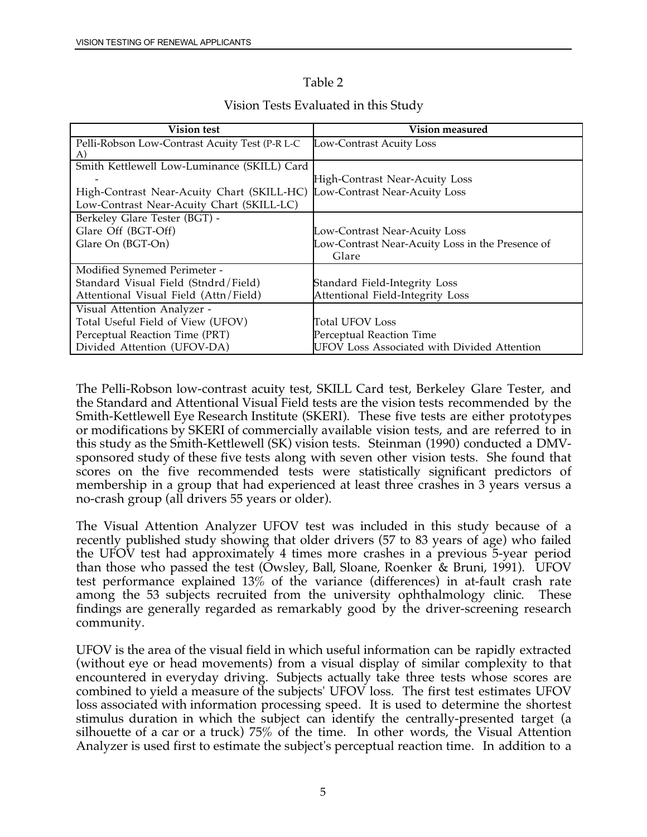### Table 2

| <b>Vision test</b>                                                       | <b>Vision measured</b>                           |
|--------------------------------------------------------------------------|--------------------------------------------------|
| Pelli-Robson Low-Contrast Acuity Test (P-R L-C<br>A)                     | Low-Contrast Acuity Loss                         |
| Smith Kettlewell Low-Luminance (SKILL) Card                              |                                                  |
|                                                                          | High-Contrast Near-Acuity Loss                   |
| High-Contrast Near-Acuity Chart (SKILL-HC) Low-Contrast Near-Acuity Loss |                                                  |
| Low-Contrast Near-Acuity Chart (SKILL-LC)                                |                                                  |
| Berkeley Glare Tester (BGT) -                                            |                                                  |
| Glare Off (BGT-Off)                                                      | Low-Contrast Near-Acuity Loss                    |
| Glare On (BGT-On)                                                        | Low-Contrast Near-Acuity Loss in the Presence of |
|                                                                          | Glare                                            |
| Modified Synemed Perimeter -                                             |                                                  |
| Standard Visual Field (Stndrd/Field)                                     | Standard Field-Integrity Loss                    |
| Attentional Visual Field (Attn/Field)                                    | Attentional Field-Integrity Loss                 |
| Visual Attention Analyzer -                                              |                                                  |
| Total Useful Field of View (UFOV)                                        | <b>Total UFOV Loss</b>                           |
| Perceptual Reaction Time (PRT)                                           | Perceptual Reaction Time                         |
| Divided Attention (UFOV-DA)                                              | UFOV Loss Associated with Divided Attention      |

### Vision Tests Evaluated in this Study

 this study as the Smith-Kettlewell (SK) vision tests. Steinman (1990) conducted a DMV-The Pelli-Robson low-contrast acuity test, SKILL Card test, Berkeley Glare Tester, and the Standard and Attentional Visual Field tests are the vision tests recommended by the Smith-Kettlewell Eye Research Institute (SKERI). These five tests are either prototypes or modifications by SKERI of commercially available vision tests, and are referred to in sponsored study of these five tests along with seven other vision tests. She found that scores on the five recommended tests were statistically significant predictors of membership in a group that had experienced at least three crashes in 3 years versus a no-crash group (all drivers 55 years or older).

 the UFOV test had approximately 4 times more crashes in a previous 5-year period test performance explained 13% of the variance (differences) in at-fault crash rate The Visual Attention Analyzer UFOV test was included in this study because of a recently published study showing that older drivers (57 to 83 years of age) who failed than those who passed the test (Owsley, Ball, Sloane, Roenker & Bruni, 1991). UFOV among the 53 subjects recruited from the university ophthalmology clinic. These findings are generally regarded as remarkably good by the driver-screening research community.

 loss associated with information processing speed. It is used to determine the shortest UFOV is the area of the visual field in which useful information can be rapidly extracted (without eye or head movements) from a visual display of similar complexity to that encountered in everyday driving. Subjects actually take three tests whose scores are combined to yield a measure of the subjects' UFOV loss. The first test estimates UFOV stimulus duration in which the subject can identify the centrally-presented target (a silhouette of a car or a truck) 75% of the time. In other words, the Visual Attention Analyzer is used first to estimate the subject's perceptual reaction time. In addition to a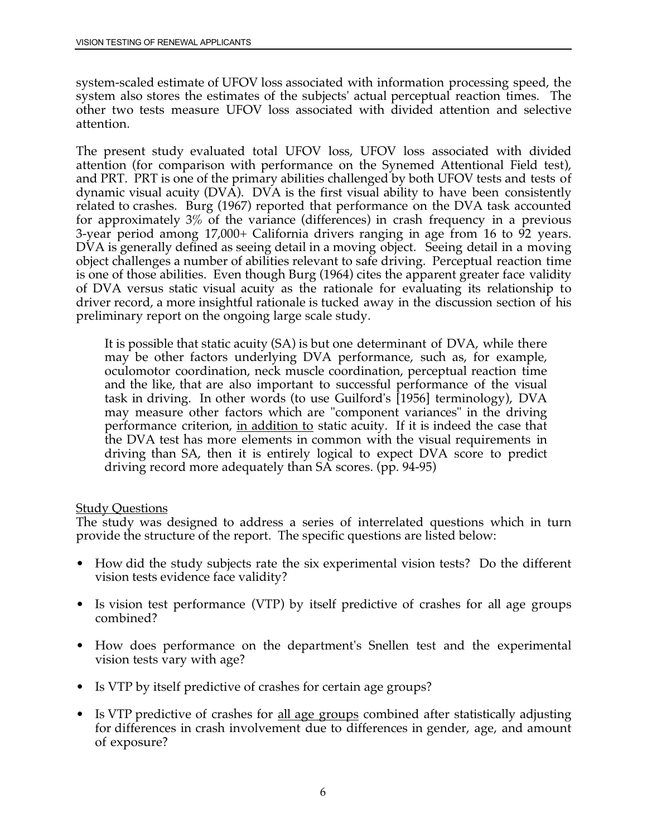system-scaled estimate of UFOV loss associated with information processing speed, the system also stores the estimates of the subjects' actual perceptual reaction times. The other two tests measure UFOV loss associated with divided attention and selective attention.

 for approximately 3% of the variance (differences) in crash frequency in a previous The present study evaluated total UFOV loss, UFOV loss associated with divided attention (for comparison with performance on the Synemed Attentional Field test), and PRT. PRT is one of the primary abilities challenged by both UFOV tests and tests of dynamic visual acuity (DVA). DVA is the first visual ability to have been consistently related to crashes. Burg (1967) reported that performance on the DVA task accounted 3-year period among 17,000+ California drivers ranging in age from 16 to 92 years. DVA is generally defined as seeing detail in a moving object. Seeing detail in a moving object challenges a number of abilities relevant to safe driving. Perceptual reaction time is one of those abilities. Even though Burg (1964) cites the apparent greater face validity of DVA versus static visual acuity as the rationale for evaluating its relationship to driver record, a more insightful rationale is tucked away in the discussion section of his preliminary report on the ongoing large scale study.

It is possible that static acuity (SA) is but one determinant of DVA, while there may be other factors underlying DVA performance, such as, for example, oculomotor coordination, neck muscle coordination, perceptual reaction time and the like, that are also important to successful performance of the visual task in driving. In other words (to use Guilford's [1956] terminology), DVA may measure other factors which are "component variances" in the driving performance criterion, in addition to static acuity. If it is indeed the case that the DVA test has more elements in common with the visual requirements in driving than SA, then it is entirely logical to expect DVA score to predict driving record more adequately than SA scores. (pp. 94-95)

#### **Study Questions**

The study was designed to address a series of interrelated questions which in turn provide the structure of the report. The specific questions are listed below:

- How did the study subjects rate the six experimental vision tests? Do the different vision tests evidence face validity?
- Is vision test performance (VTP) by itself predictive of crashes for all age groups combined?
- How does performance on the department's Snellen test and the experimental vision tests vary with age?
- Is VTP by itself predictive of crashes for certain age groups?
- Is VTP predictive of crashes for all age groups combined after statistically adjusting for differences in crash involvement due to differences in gender, age, and amount of exposure?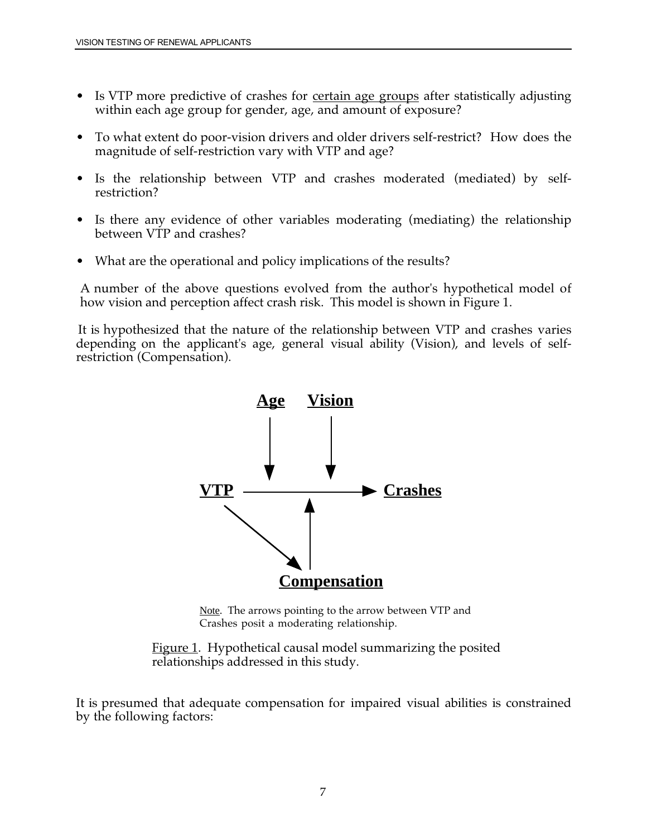- Is VTP more predictive of crashes for <u>certain age groups</u> after statistically adjusting within each age group for gender, age, and amount of exposure?
- To what extent do poor-vision drivers and older drivers self-restrict? How does the magnitude of self-restriction vary with VTP and age?
- Is the relationship between VTP and crashes moderated (mediated) by selfrestriction?
- Is there any evidence of other variables moderating (mediating) the relationship between VTP and crashes?
- What are the operational and policy implications of the results?

A number of the above questions evolved from the author's hypothetical model of how vision and perception affect crash risk. This model is shown in Figure 1.

 depending on the applicant's age, general visual ability (Vision), and levels of self-It is hypothesized that the nature of the relationship between VTP and crashes varies restriction (Compensation).



Note. The arrows pointing to the arrow between VTP and Crashes posit a moderating relationship.

Figure 1. Hypothetical causal model summarizing the posited relationships addressed in this study.

It is presumed that adequate compensation for impaired visual abilities is constrained by the following factors: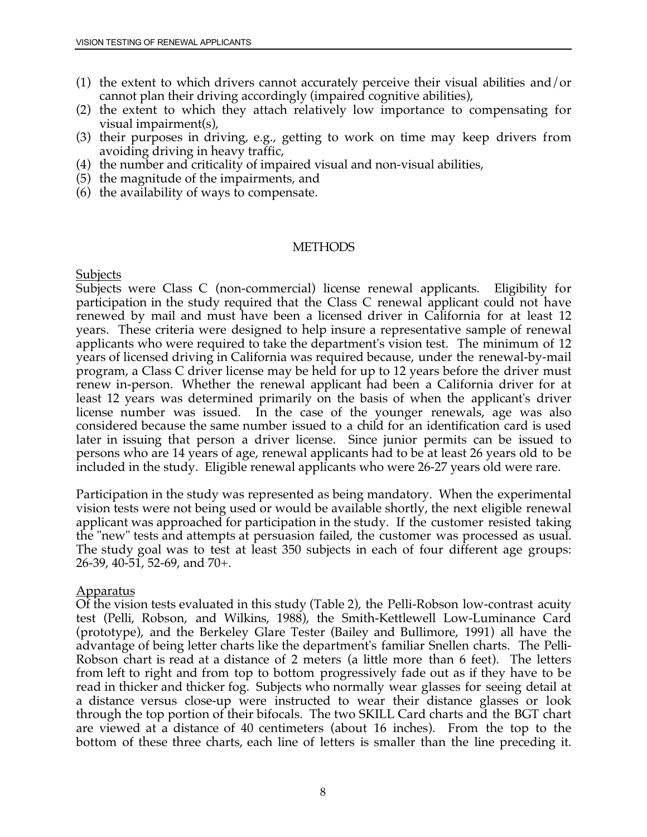- (1) the extent to which drivers cannot accurately perceive their visual abilities and/or cannot plan their driving accordingly (impaired cognitive abilities),
- (2) the extent to which they attach relatively low importance to compensating for visual impairment(s),
- (3) their purposes in driving, e.g., getting to work on time may keep drivers from avoiding driving in heavy traffic,
- (4) the number and criticality of impaired visual and non-visual abilities,
- (5) the magnitude of the impairments, and
- (6) the availability of ways to compensate.

#### **METHODS**

Subjects

 participation in the study required that the Class C renewal applicant could not have considered because the same number issued to a child for an identification card is used Subjects were Class C (non-commercial) license renewal applicants. Eligibility for renewed by mail and must have been a licensed driver in California for at least 12 years. These criteria were designed to help insure a representative sample of renewal applicants who were required to take the department's vision test. The minimum of 12 years of licensed driving in California was required because, under the renewal-by-mail program, a Class C driver license may be held for up to 12 years before the driver must renew in-person. Whether the renewal applicant had been a California driver for at least 12 years was determined primarily on the basis of when the applicant's driver license number was issued. In the case of the younger renewals, age was also later in issuing that person a driver license. Since junior permits can be issued to persons who are 14 years of age, renewal applicants had to be at least 26 years old to be included in the study. Eligible renewal applicants who were 26-27 years old were rare.

Participation in the study was represented as being mandatory. When the experimental vision tests were not being used or would be available shortly, the next eligible renewal applicant was approached for participation in the study. If the customer resisted taking the "new" tests and attempts at persuasion failed, the customer was processed as usual. The study goal was to test at least 350 subjects in each of four different age groups: 26-39, 40-51, 52-69, and 70+.

#### Apparatus

 Robson chart is read at a distance of 2 meters (a little more than 6 feet). The letters are viewed at a distance of 40 centimeters (about 16 inches). From the top to the bottom of these three charts, each line of letters is smaller than the line preceding it. Of the vision tests evaluated in this study (Table 2), the Pelli-Robson low-contrast acuity test (Pelli, Robson, and Wilkins, 1988), the Smith-Kettlewell Low-Luminance Card (prototype), and the Berkeley Glare Tester (Bailey and Bullimore, 1991) all have the advantage of being letter charts like the department's familiar Snellen charts. The Pellifrom left to right and from top to bottom progressively fade out as if they have to be read in thicker and thicker fog. Subjects who normally wear glasses for seeing detail at a distance versus close-up were instructed to wear their distance glasses or look through the top portion of their bifocals. The two SKILL Card charts and the BGT chart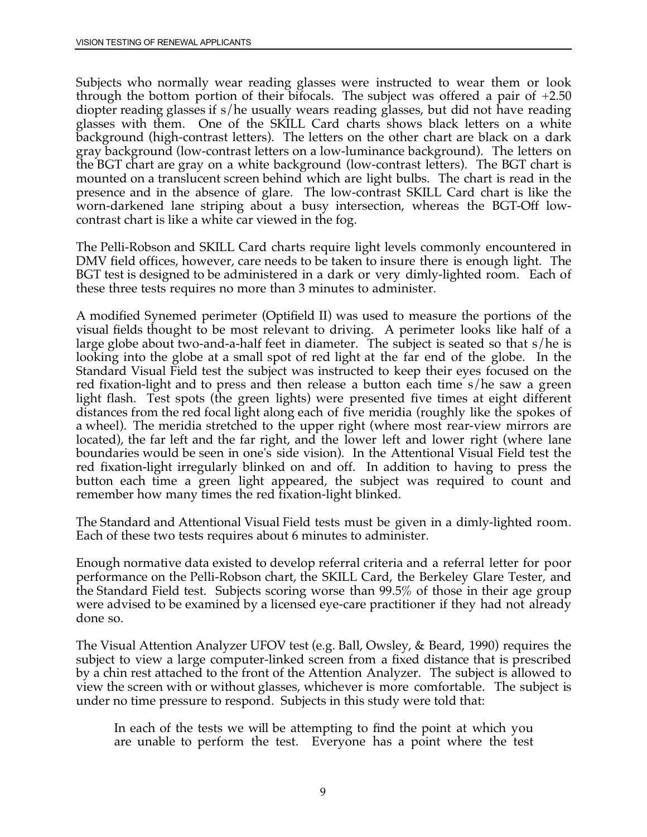glasses with them. One of the SKILL Card charts shows black letters on a white presence and in the absence of glare. The low-contrast SKILL Card chart is like the Subjects who normally wear reading glasses were instructed to wear them or look through the bottom portion of their bifocals. The subject was offered a pair of +2.50 diopter reading glasses if s/he usually wears reading glasses, but did not have reading background (high-contrast letters). The letters on the other chart are black on a dark gray background (low-contrast letters on a low-luminance background). The letters on the BGT chart are gray on a white background (low-contrast letters). The BGT chart is mounted on a translucent screen behind which are light bulbs. The chart is read in the worn-darkened lane striping about a busy intersection, whereas the BGT-Off lowcontrast chart is like a white car viewed in the fog.

 DMV field offices, however, care needs to be taken to insure there is enough light. The The Pelli-Robson and SKILL Card charts require light levels commonly encountered in BGT test is designed to be administered in a dark or very dimly-lighted room. Each of these three tests requires no more than 3 minutes to administer.

 large globe about two-and-a-half feet in diameter. The subject is seated so that s/he is A modified Synemed perimeter (Optifield II) was used to measure the portions of the visual fields thought to be most relevant to driving. A perimeter looks like half of a looking into the globe at a small spot of red light at the far end of the globe. In the Standard Visual Field test the subject was instructed to keep their eyes focused on the red fixation-light and to press and then release a button each time s/he saw a green light flash. Test spots (the green lights) were presented five times at eight different distances from the red focal light along each of five meridia (roughly like the spokes of a wheel). The meridia stretched to the upper right (where most rear-view mirrors are located), the far left and the far right, and the lower left and lower right (where lane boundaries would be seen in one's side vision). In the Attentional Visual Field test the red fixation-light irregularly blinked on and off. In addition to having to press the button each time a green light appeared, the subject was required to count and remember how many times the red fixation-light blinked.

The Standard and Attentional Visual Field tests must be given in a dimly-lighted room. Each of these two tests requires about 6 minutes to administer.

 were advised to be examined by a licensed eye-care practitioner if they had not already Enough normative data existed to develop referral criteria and a referral letter for poor performance on the Pelli-Robson chart, the SKILL Card, the Berkeley Glare Tester, and the Standard Field test. Subjects scoring worse than 99.5% of those in their age group done so.

The Visual Attention Analyzer UFOV test (e.g. Ball, Owsley, & Beard, 1990) requires the subject to view a large computer-linked screen from a fixed distance that is prescribed by a chin rest attached to the front of the Attention Analyzer. The subject is allowed to view the screen with or without glasses, whichever is more comfortable. The subject is under no time pressure to respond. Subjects in this study were told that:

In each of the tests we will be attempting to find the point at which you are unable to perform the test. Everyone has a point where the test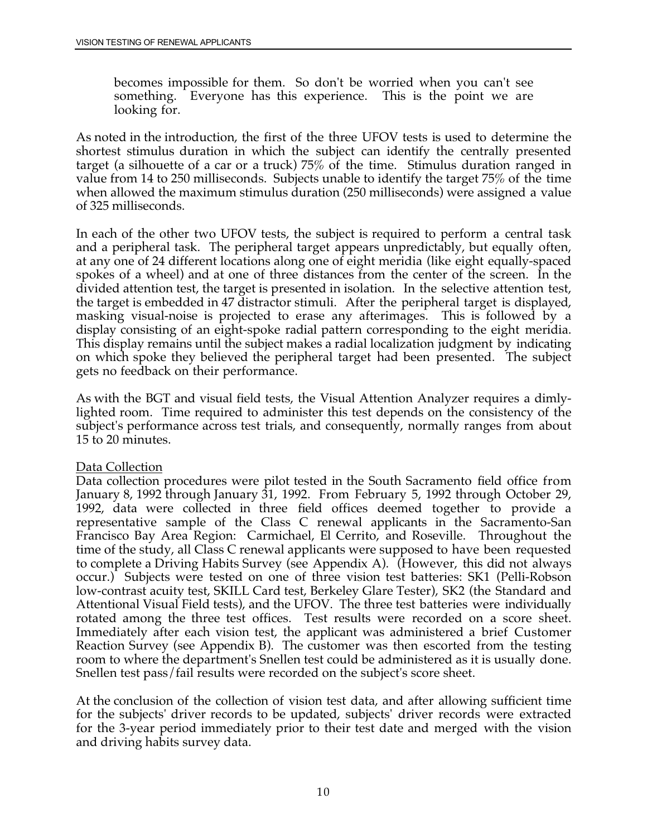<span id="page-22-0"></span>becomes impossible for them. So don't be worried when you can't see something. Everyone has this experience. This is the point we are looking for.

As noted in the introduction, the first of the three UFOV tests is used to determine the shortest stimulus duration in which the subject can identify the centrally presented target (a silhouette of a car or a truck) 75% of the time. Stimulus duration ranged in value from 14 to 250 milliseconds. Subjects unable to identify the target 75% of the time when allowed the maximum stimulus duration (250 milliseconds) were assigned a value of 325 milliseconds.

 masking visual-noise is projected to erase any afterimages. This is followed by a In each of the other two UFOV tests, the subject is required to perform a central task and a peripheral task. The peripheral target appears unpredictably, but equally often, at any one of 24 different locations along one of eight meridia (like eight equally-spaced spokes of a wheel) and at one of three distances from the center of the screen. In the divided attention test, the target is presented in isolation. In the selective attention test, the target is embedded in 47 distractor stimuli. After the peripheral target is displayed, display consisting of an eight-spoke radial pattern corresponding to the eight meridia. This display remains until the subject makes a radial localization judgment by indicating on which spoke they believed the peripheral target had been presented. The subject gets no feedback on their performance.

As with the BGT and visual field tests, the Visual Attention Analyzer requires a dimlylighted room. Time required to administer this test depends on the consistency of the subject's performance across test trials, and consequently, normally ranges from about 15 to 20 minutes.

#### Data Collection

Data collection procedures were pilot tested in the South Sacramento field office from January 8, 1992 through January 31, 1992. From February 5, 1992 through October 29, 1992, data were collected in three field offices deemed together to provide a representative sample of the Class C renewal applicants in the Sacramento-San Francisco Bay Area Region: Carmichael, El Cerrito, and Roseville. Throughout the time of the study, all Class C renewal applicants were supposed to have been requested to complete a Driving Habits Survey (see Appendix A). (However, this did not always occur.) Subjects were tested on one of three vision test batteries: SK1 (Pelli-Robson low-contrast acuity test, SKILL Card test, Berkeley Glare Tester), SK2 (the Standard and Attentional Visual Field tests), and the UFOV. The three test batteries were individually rotated among the three test offices. Test results were recorded on a score sheet. Immediately after each vision test, the applicant was administered a brief Customer Reaction Survey (see Appendix B). The customer was then escorted from the testing room to where the department's Snellen test could be administered as it is usually done. Snellen test pass/fail results were recorded on the subject's score sheet.

At the conclusion of the collection of vision test data, and after allowing sufficient time for the subjects' driver records to be updated, subjects' driver records were extracted for the 3-year period immediately prior to their test date and merged with the vision and driving habits survey data.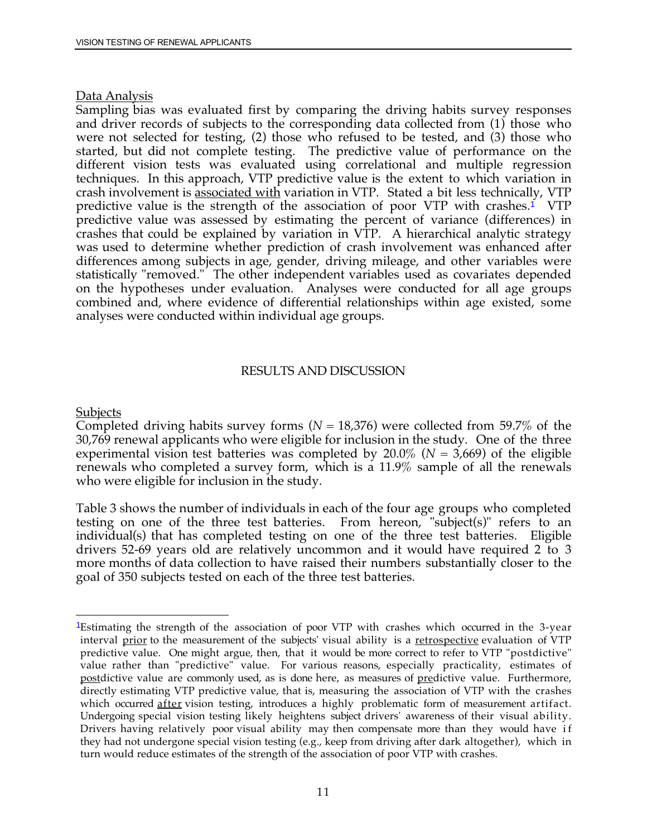#### Data Analysis

predictive value is the strength of the association of poor VTP with crashes.<sup>1</sup> VTP Sampling bias was evaluated first by comparing the driving habits survey responses and driver records of subjects to the corresponding data collected from (1) those who were not selected for testing, (2) those who refused to be tested, and (3) those who started, but did not complete testing. The predictive value of performance on the different vision tests was evaluated using correlational and multiple regression techniques. In this approach, VTP predictive value is the extent to which variation in crash involvement is associated with variation in VTP. Stated a bit less technically, VTP predictive value was assessed by estimating the percent of variance (differences) in crashes that could be explained by variation in VTP. A hierarchical analytic strategy was used to determine whether prediction of crash involvement was enhanced after differences among subjects in age, gender, driving mileage, and other variables were statistically "removed." The other independent variables used as covariates depended on the hypotheses under evaluation. Analyses were conducted for all age groups combined and, where evidence of differential relationships within age existed, some analyses were conducted within individual age groups.

#### RESULTS AND DISCUSSION

#### **Subjects**

 30,769 renewal applicants who were eligible for inclusion in the study. One of the three experimental vision test batteries was completed by 20.0% (*N* = 3,669) of the eligible Completed driving habits survey forms (*N* = 18,376) were collected from 59.7% of the renewals who completed a survey form, which is a 11.9% sample of all the renewals who were eligible for inclusion in the study.

 drivers 52-69 years old are relatively uncommon and it would have required 2 to 3 Table 3 shows the number of individuals in each of the four age groups who completed testing on one of the three test batteries. From hereon, "subject(s)" refers to an individual(s) that has completed testing on one of the three test batteries. Eligible more months of data collection to have raised their numbers substantially closer to the goal of 350 subjects tested on each of the three test batteries.

 $\overline{a}$ <sup>1</sup>Estimating the strength of the association of poor VTP with crashes which occurred in the 3-year interval <u>prior</u> to the measurement of the subjects' visual ability is a <u>retrospective</u> evaluation of VTP value rather than "predictive" value. For various reasons, especially practicality, estimates of postdictive value are commonly used, as is done here, as measures of <u>pre</u>dictive value. Furthermore, directly estimating VTP predictive value, that is, measuring the association of VTP with the crashes which occurred <u>after</u> vision testing, introduces a highly problematic form of measurement artifact. Undergoing special vision testing likely heightens subject drivers' awareness of their visual ability. predictive value. One might argue, then, that it would be more correct to refer to VTP "postdictive" Drivers having relatively poor visual ability may then compensate more than they would have if they had not undergone special vision testing (e.g., keep from driving after dark altogether), which in turn would reduce estimates of the strength of the association of poor VTP with crashes.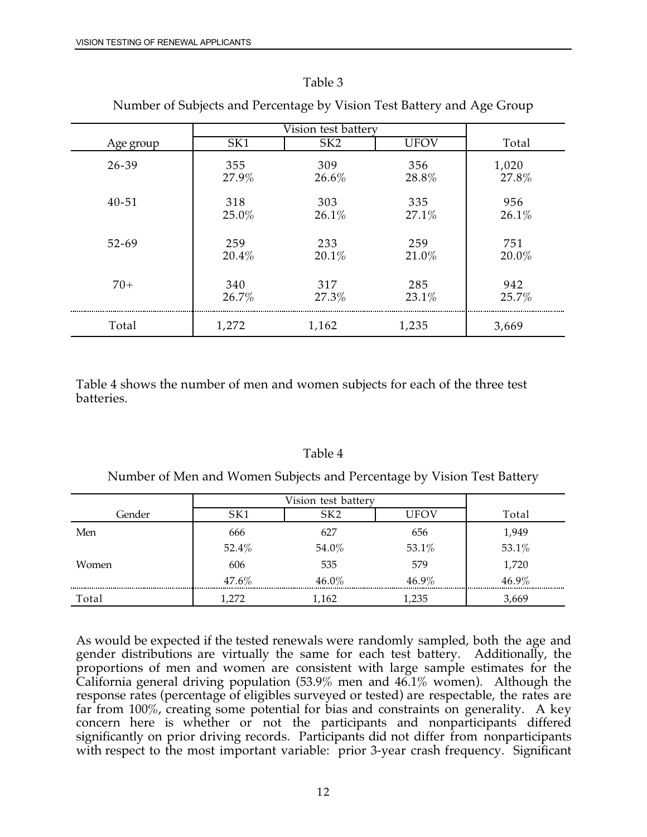Men

Women

Total

#### Table 3

|           | Vision test battery |                 |             |       |
|-----------|---------------------|-----------------|-------------|-------|
| Age group | SK1                 | SK <sub>2</sub> | <b>UFOV</b> | Total |
| 26-39     | 355                 | 309             | 356         | 1,020 |
|           | 27.9%               | 26.6%           | 28.8%       | 27.8% |
| $40 - 51$ | 318                 | 303             | 335         | 956   |
|           | 25.0%               | 26.1%           | 27.1%       | 26.1% |
| $52 - 69$ | 259                 | 233             | 259         | 751   |
|           | 20.4%               | 20.1%           | 21.0%       | 20.0% |
| $70+$     | 340                 | 317             | 285         | 942   |
|           | 26.7%               | 27.3%           | 23.1%       | 25.7% |
| Total     | 1,272               | 1,162           | 1,235       | 3,669 |

Number of Subjects and Percentage by Vision Test Battery and Age Group

Table 4 shows the number of men and women subjects for each of the three test batteries.

| Jumber of Men and Women Subjects and Percentage by Vision Test Batter |                     |                 |       |       |  |
|-----------------------------------------------------------------------|---------------------|-----------------|-------|-------|--|
|                                                                       | Vision test battery |                 |       |       |  |
| Gender                                                                | SK1                 | SK <sub>2</sub> | LIFOV | Total |  |
|                                                                       |                     |                 |       |       |  |

656 53.1% 579 46.9% 1,235

1,949 53.1% 1,720 46.9% 3,669

666 627 52.4% 54.0% 606 535  $47.6\%$   $46.0\%$ 1,272 1,162

### Table 4

As would be expected if the tested renewals were randomly sampled, both the age and gender distributions are virtually the same for each test battery. Additionally, the proportions of men and women are consistent with large sample estimates for the California general driving population (53.9% men and 46.1% women). Although the response rates (percentage of eligibles surveyed or tested) are respectable, the rates are far from 100%, creating some potential for bias and constraints on generality. A key concern here is whether or not the participants and nonparticipants differed significantly on prior driving records. Participants did not differ from nonparticipants with respect to the most important variable: prior 3-year crash frequency. Significant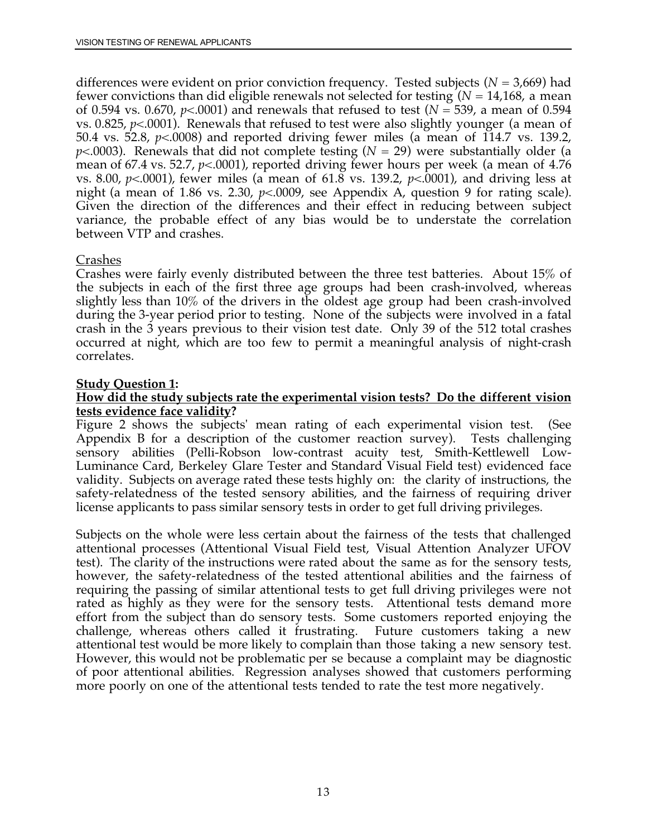differences were evident on prior conviction frequency. Tested subjects (*N* = 3,669) had fewer convictions than did eligible renewals not selected for testing (*N* = 14,168, a mean of 0.594 vs. 0.670, *p*<.0001) and renewals that refused to test (*N* = 539, a mean of 0.594 vs. 0.825,  $p<0.001$ ). Renewals that refused to test were also slightly younger (a mean of 50.4 vs. 52.8, *p*<.0008) and reported driving fewer miles (a mean of 114.7 vs. 139.2, *p*<.0003). Renewals that did not complete testing (*N* = 29) were substantially older (a mean of 67.4 vs. 52.7, *p*<.0001), reported driving fewer hours per week (a mean of 4.76 vs. 8.00, *p*<.0001), fewer miles (a mean of 61.8 vs. 139.2, *p*<.0001), and driving less at night (a mean of 1.86 vs. 2.30, *p*<.0009, see Appendix A, question 9 for rating scale). Given the direction of the differences and their effect in reducing between subject variance, the probable effect of any bias would be to understate the correlation between VTP and crashes.

### Crashes

 slightly less than 10% of the drivers in the oldest age group had been crash-involved crash in the 3 years previous to their vision test date. Only 39 of the 512 total crashes Crashes were fairly evenly distributed between the three test batteries. About 15% of the subjects in each of the first three age groups had been crash-involved, whereas during the 3-year period prior to testing. None of the subjects were involved in a fatal occurred at night, which are too few to permit a meaningful analysis of night-crash correlates.

### **Study Question 1:**

#### **How did the study subjects rate the experimental vision tests? Do the different vision tests evidence face validity?**

 Appendix B for a description of the customer reaction survey). Tests challenging safety-relatedness of the tested sensory abilities, and the fairness of requiring driver Figure 2 shows the subjects' mean rating of each experimental vision test. (See sensory abilities (Pelli-Robson low-contrast acuity test, Smith-Kettlewell Low-Luminance Card, Berkeley Glare Tester and Standard Visual Field test) evidenced face validity. Subjects on average rated these tests highly on: the clarity of instructions, the license applicants to pass similar sensory tests in order to get full driving privileges.

 challenge, whereas others called it frustrating. Future customers taking a new Subjects on the whole were less certain about the fairness of the tests that challenged attentional processes (Attentional Visual Field test, Visual Attention Analyzer UFOV test). The clarity of the instructions were rated about the same as for the sensory tests, however, the safety-relatedness of the tested attentional abilities and the fairness of requiring the passing of similar attentional tests to get full driving privileges were not rated as highly as they were for the sensory tests. Attentional tests demand more effort from the subject than do sensory tests. Some customers reported enjoying the attentional test would be more likely to complain than those taking a new sensory test. However, this would not be problematic per se because a complaint may be diagnostic of poor attentional abilities. Regression analyses showed that customers performing more poorly on one of the attentional tests tended to rate the test more negatively.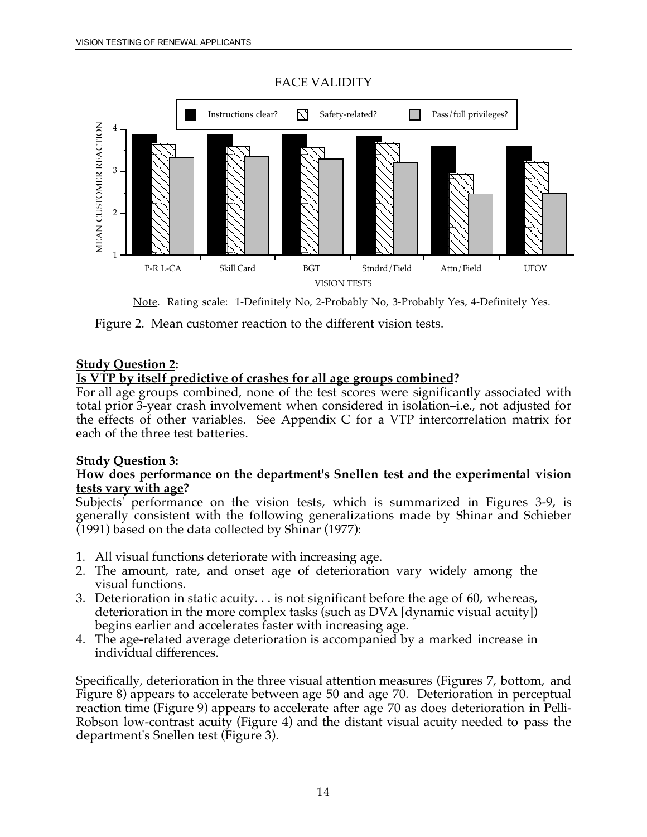<span id="page-26-0"></span>

### FACE VALIDITY

Note. Rating scale: 1-Definitely No, 2-Probably No, 3-Probably Yes, 4-Definitely Yes.

Figure 2. Mean customer reaction to the different vision tests.

#### **Study Question 2:**

#### **Is VTP by itself predictive of crashes for all age groups combined?**

For all age groups combined, none of the test scores were significantly associated with total prior 3-year crash involvement when considered in isolation–i.e., not adjusted for the effects of other variables. See Appendix C for a VTP intercorrelation matrix for each of the three test batteries.

#### **Study Question 3:**

#### **How does performance on the department's Snellen test and the experimental vision tests vary with age?**

 Subjects' performance on the vision tests, which is summarized in Figures 3-9, is generally consistent with the following generalizations made by Shinar and Schieber (1991) based on the data collected by Shinar (1977):

- 1. All visual functions deteriorate with increasing age.
- 2. The amount, rate, and onset age of deterioration vary widely among the visual functions.
- 3. Deterioration in static acuity. . . is not significant before the age of 60, whereas, deterioration in the more complex tasks (such as DVA [dynamic visual acuity]) begins earlier and accelerates faster with increasing age.
- 4. The age-related average deterioration is accompanied by a marked increase in individual differences.

Specifically, deterioration in the three visual attention measures (Figures 7, bottom, and Figure 8) appears to accelerate between age 50 and age 70. Deterioration in perceptual reaction time (Figure 9) appears to accelerate after age 70 as does deterioration in Pelli-Robson low-contrast acuity (Figure 4) and the distant visual acuity needed to pass the department's Snellen test (Figure 3).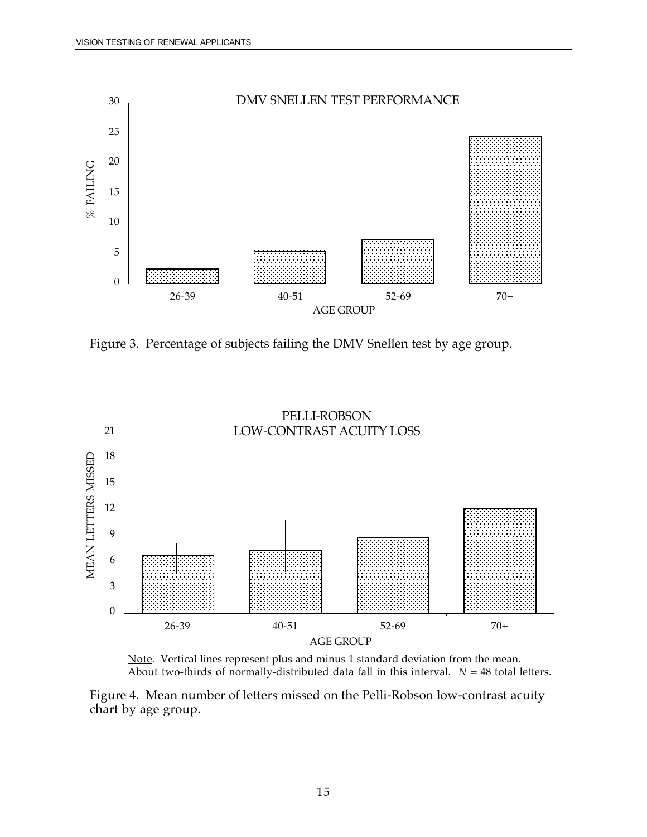<span id="page-27-0"></span>

Figure 3. Percentage of subjects failing the DMV Snellen test by age group.





Figure 4. Mean number of letters missed on the Pelli-Robson low-contrast acuity chart by age group.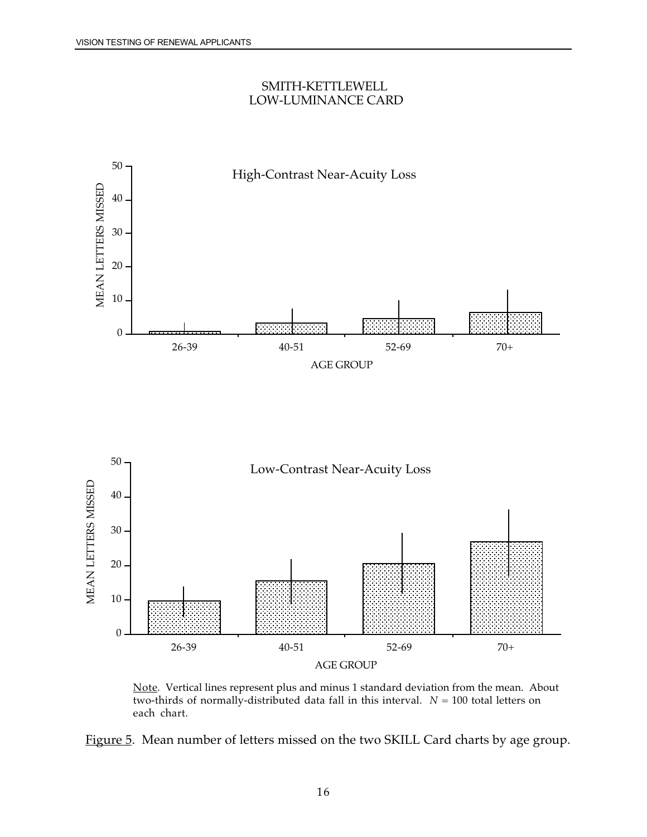#### SMITH-KETTLEWELL LOW-LUMINANCE CARD

<span id="page-28-0"></span>



Note. Vertical lines represent plus and minus 1 standard deviation from the mean. About two-thirds of normally-distributed data fall in this interval.  $N = 100$  total letters on each chart.

Figure 5. Mean number of letters missed on the two SKILL Card charts by age group.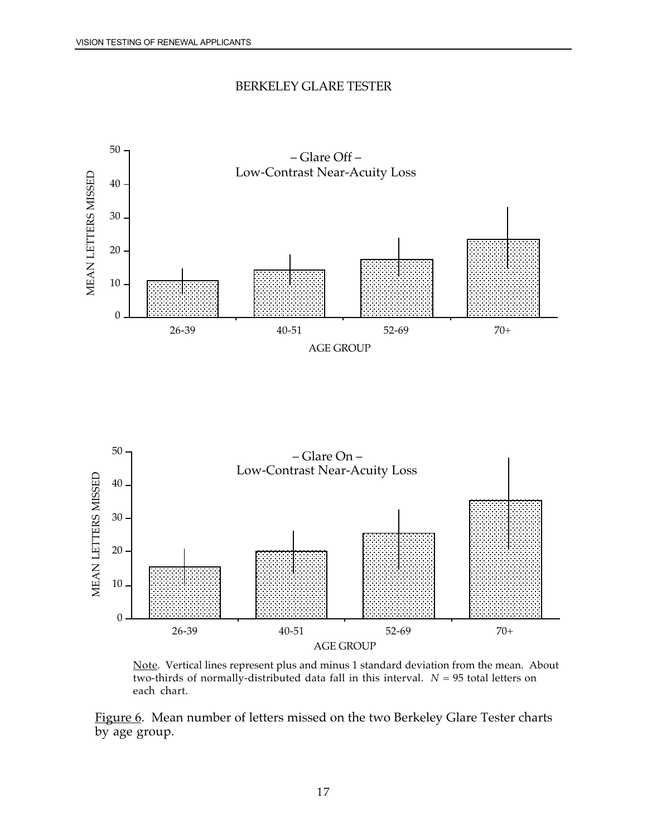#### BERKELEY GLARE TESTER

<span id="page-29-0"></span>



<u>Note</u>. Vertical lines represent plus and minus 1 standard deviation from the mean. About two-thirds of normally-distributed data fall in this interval.  $N = 95$  total letters on each chart.

Figure 6. Mean number of letters missed on the two Berkeley Glare Tester charts by age group.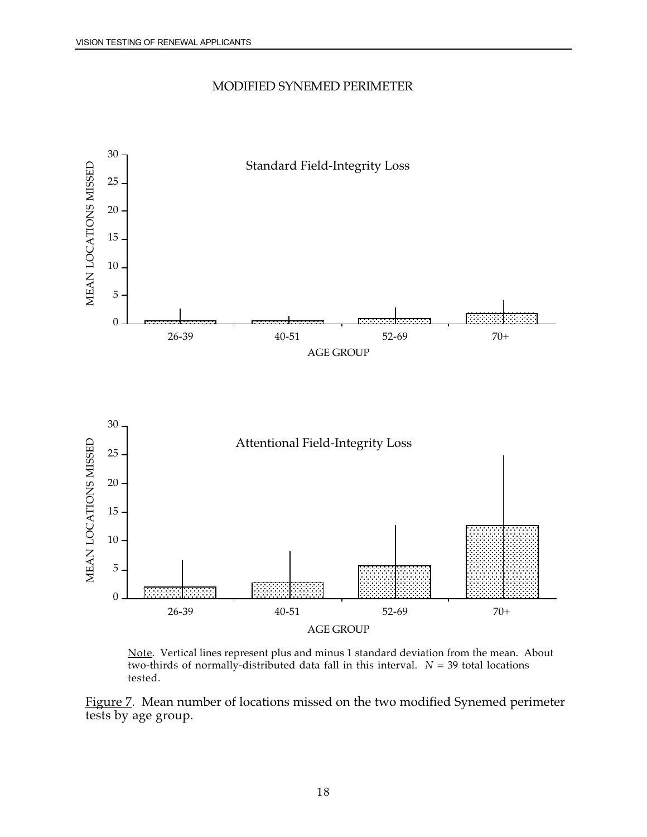### MODIFIED SYNEMED PERIMETER

<span id="page-30-0"></span>

<u>Note</u>. Vertical lines represent plus and minus 1 standard deviation from the mean. About two-thirds of normally-distributed data fall in this interval.  $N = 39$  total locations tested.

Figure 7. Mean number of locations missed on the two modified Synemed perimeter tests by age group.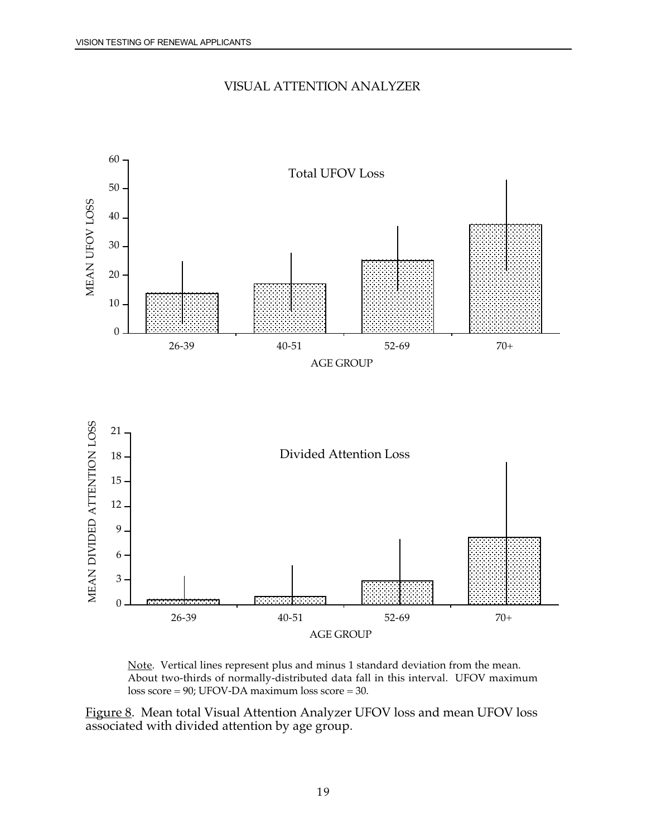

<span id="page-31-0"></span>

<u>Note</u>. Vertical lines represent plus and minus 1 standard deviation from the mean. About two-thirds of normally-distributed data fall in this interval. UFOV maximum loss score = 90; UFOV-DA maximum loss score = 30.

Figure 8. Mean total Visual Attention Analyzer UFOV loss and mean UFOV loss associated with divided attention by age group.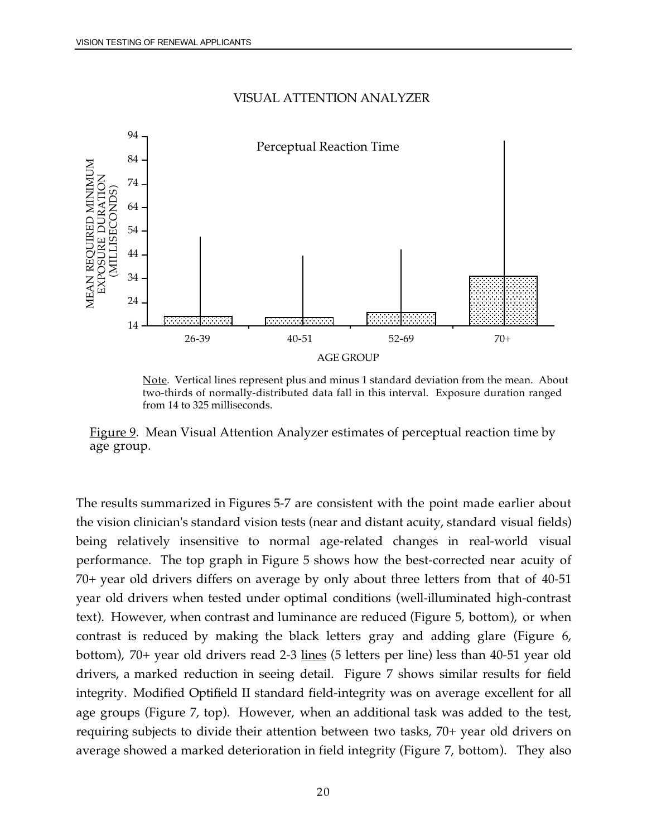#### VISUAL ATTENTION ANALYZER

<span id="page-32-0"></span>

<u>Note</u>. Vertical lines represent plus and minus 1 standard deviation from the mean. About two-thirds of normally-distributed data fall in this interval. Exposure duration ranged from 14 to 325 milliseconds.

Figure 9. Mean Visual Attention Analyzer estimates of perceptual reaction time by age group.

 age groups (Figure 7, top). However, when an additional task was added to the test, The results summarized in Figures 5-7 are consistent with the point made earlier about the vision clinician's standard vision tests (near and distant acuity, standard visual fields) being relatively insensitive to normal age-related changes in real-world visual performance. The top graph in Figure 5 shows how the best-corrected near acuity of 70+ year old drivers differs on average by only about three letters from that of 40-51 year old drivers when tested under optimal conditions (well-illuminated high-contrast text). However, when contrast and luminance are reduced (Figure 5, bottom), or when contrast is reduced by making the black letters gray and adding glare (Figure 6, bottom), 70+ year old drivers read 2-3 <u>lines</u> (5 letters per line) less than 40-51 year old drivers, a marked reduction in seeing detail. Figure 7 shows similar results for field integrity. Modified Optifield II standard field-integrity was on average excellent for all requiring subjects to divide their attention between two tasks, 70+ year old drivers on average showed a marked deterioration in field integrity (Figure 7, bottom). They also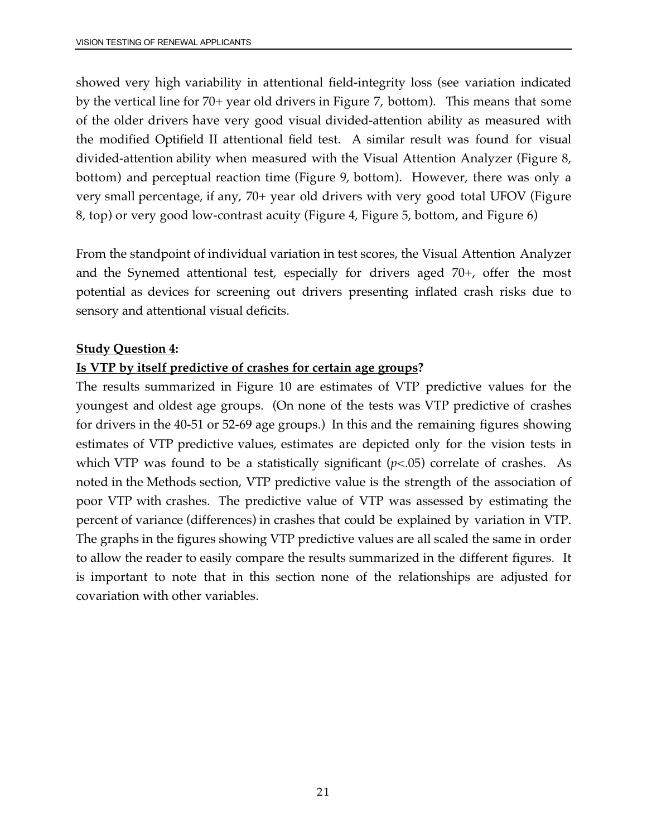showed very high variability in attentional field-integrity loss (see variation indicated by the vertical line for 70+ year old drivers in Figure 7, bottom). This means that some of the older drivers have very good visual divided-attention ability as measured with the modified Optifield II attentional field test. A similar result was found for visual divided-attention ability when measured with the Visual Attention Analyzer (Figure 8, bottom) and perceptual reaction time (Figure 9, bottom). However, there was only a very small percentage, if any, 70+ year old drivers with very good total UFOV (Figure 8, top) or very good low-contrast acuity (Figure 4, Figure 5, bottom, and Figure 6)

From the standpoint of individual variation in test scores, the Visual Attention Analyzer and the Synemed attentional test, especially for drivers aged 70+, offer the most potential as devices for screening out drivers presenting inflated crash risks due to sensory and attentional visual deficits.

### **Study Question 4:**

### **Is VTP by itself predictive of crashes for certain age groups?**

 which VTP was found to be a statistically significant (*p*<.05) correlate of crashes. As The results summarized in Figure 10 are estimates of VTP predictive values for the youngest and oldest age groups. (On none of the tests was VTP predictive of crashes for drivers in the 40-51 or 52-69 age groups.) In this and the remaining figures showing estimates of VTP predictive values, estimates are depicted only for the vision tests in noted in the Methods section, VTP predictive value is the strength of the association of poor VTP with crashes. The predictive value of VTP was assessed by estimating the percent of variance (differences) in crashes that could be explained by variation in VTP. The graphs in the figures showing VTP predictive values are all scaled the same in order to allow the reader to easily compare the results summarized in the different figures. It is important to note that in this section none of the relationships are adjusted for covariation with other variables.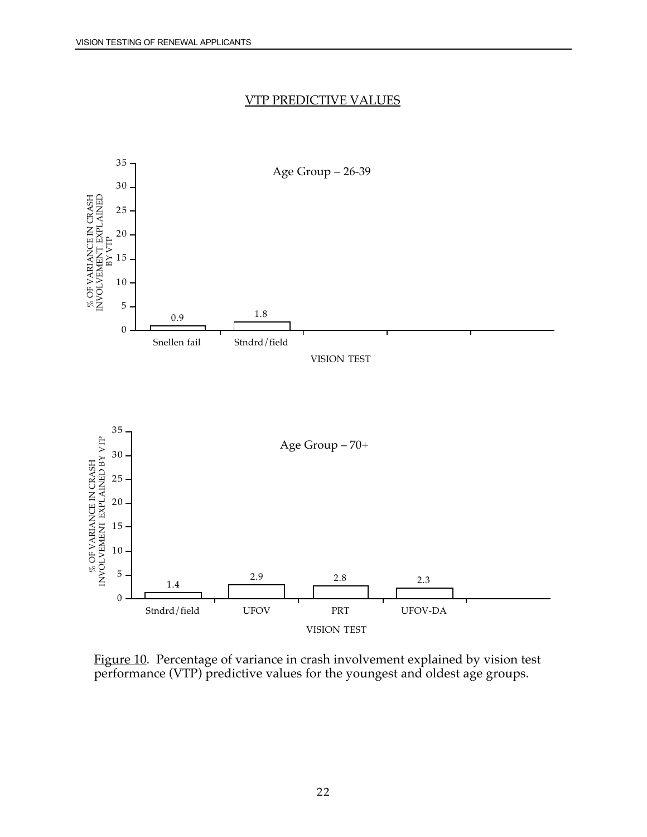#### VTP PREDICTIVE VALUES



Figure 10. Percentage of variance in crash involvement explained by vision test performance (VTP) predictive values for the youngest and oldest age groups.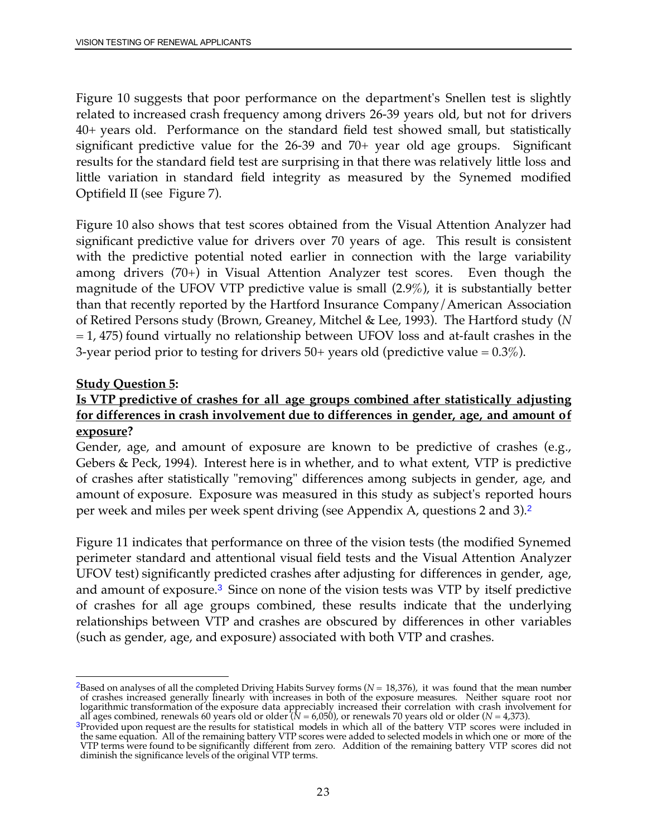40+ years old. Performance on the standard field test showed small, but statistically Figure 10 suggests that poor performance on the department's Snellen test is slightly related to increased crash frequency among drivers 26-39 years old, but not for drivers significant predictive value for the 26-39 and 70+ year old age groups. Significant results for the standard field test are surprising in that there was relatively little loss and little variation in standard field integrity as measured by the Synemed modified Optifield II (see Figure 7).

 magnitude of the UFOV VTP predictive value is small (2.9%), it is substantially better Figure 10 also shows that test scores obtained from the Visual Attention Analyzer had significant predictive value for drivers over 70 years of age. This result is consistent with the predictive potential noted earlier in connection with the large variability among drivers (70+) in Visual Attention Analyzer test scores. Even though the than that recently reported by the Hartford Insurance Company/American Association of Retired Persons study (Brown, Greaney, Mitchel & Lee, 1993). The Hartford study (*N*   $= 1, 475$ ) found virtually no relationship between UFOV loss and at-fault crashes in the 3-year period prior to testing for drivers  $50+$  years old (predictive value =  $0.3\%$ ).

### **Study Question 5:**

### **Is VTP predictive of crashes for all age groups combined after statistically adjusting for differences in crash involvement due to differences in gender, age, and amount of exposure?**

Gender, age, and amount of exposure are known to be predictive of crashes (e.g., Gebers & Peck, 1994). Interest here is in whether, and to what extent, VTP is predictive of crashes after statistically "removing" differences among subjects in gender, age, and amount of exposure. Exposure was measured in this study as subject's reported hours per week and miles per week spent driving (see Appendix A, questions 2 and 3).<sup>2</sup>

and amount of exposure.<sup>3</sup> Since on none of the vision tests was VTP by itself predictive Figure 11 indicates that performance on three of the vision tests (the modified Synemed perimeter standard and attentional visual field tests and the Visual Attention Analyzer UFOV test) significantly predicted crashes after adjusting for differences in gender, age, of crashes for all age groups combined, these results indicate that the underlying relationships between VTP and crashes are obscured by differences in other variables (such as gender, age, and exposure) associated with both VTP and crashes.

 $\overline{\phantom{a}}$ <sup>2</sup>Based on analyses of all the completed Driving Habits Survey forms  $(N = 18,376)$ , it was found that the mean number of crashes increased generally linearly with increases in both of the exposure measures. Neither square root nor logarithmic transformation of the exposure data appreciably increased their correlation with crash involvement for

all ages combined, renewals 60 years old or older ( $N = 6,050$ ), or renewals 70 years old or older ( $N = 4,373$ ).<br><sup>3</sup>Provided upon request are the results for statistical models in which all of the battery VTP scores were i the same equation. All of the remaining battery VTP scores were added to selected models in which one or more of the VTP terms were found to be significantly different from zero. Addition of the remaining battery VTP scores did not diminish the significance levels of the original VTP terms.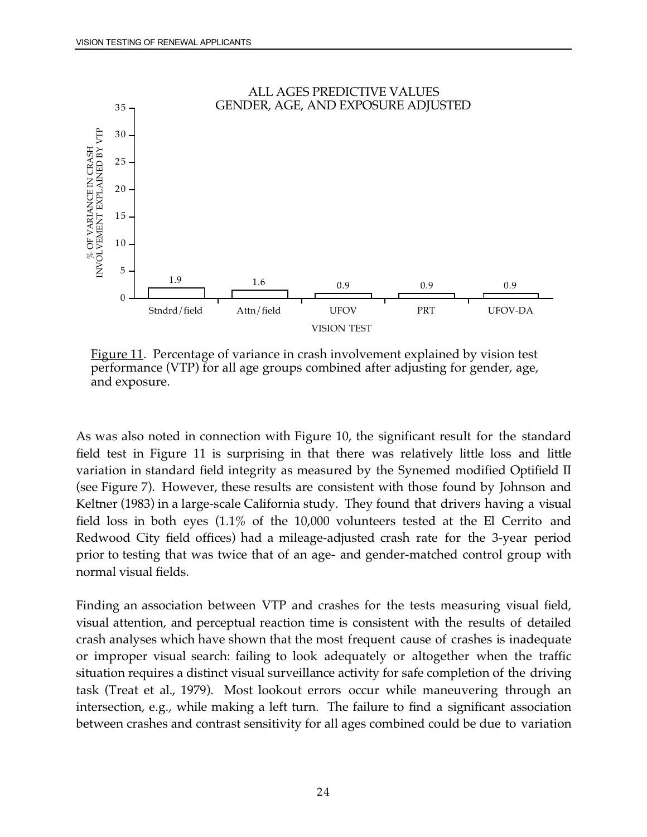<span id="page-36-0"></span>

Figure 11. Percentage of variance in crash involvement explained by vision test performance (VTP) for all age groups combined after adjusting for gender, age, and exposure.

As was also noted in connection with Figure 10, the significant result for the standard field test in Figure 11 is surprising in that there was relatively little loss and little variation in standard field integrity as measured by the Synemed modified Optifield II (see Figure 7). However, these results are consistent with those found by Johnson and Keltner (1983) in a large-scale California study. They found that drivers having a visual field loss in both eyes (1.1% of the 10,000 volunteers tested at the El Cerrito and Redwood City field offices) had a mileage-adjusted crash rate for the 3-year period prior to testing that was twice that of an age- and gender-matched control group with normal visual fields.

 visual attention, and perceptual reaction time is consistent with the results of detailed Finding an association between VTP and crashes for the tests measuring visual field, crash analyses which have shown that the most frequent cause of crashes is inadequate or improper visual search: failing to look adequately or altogether when the traffic situation requires a distinct visual surveillance activity for safe completion of the driving task (Treat et al., 1979). Most lookout errors occur while maneuvering through an intersection, e.g., while making a left turn. The failure to find a significant association between crashes and contrast sensitivity for all ages combined could be due to variation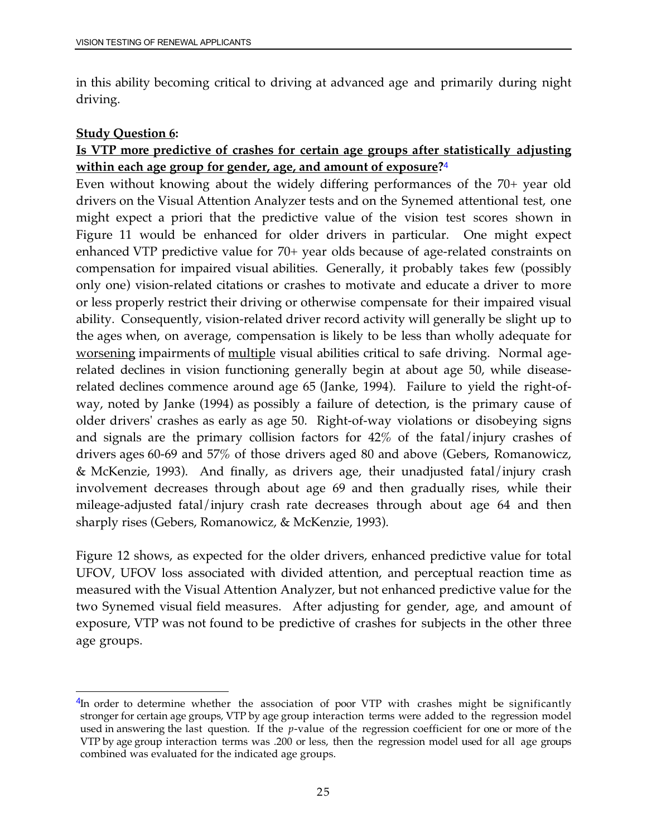<span id="page-37-0"></span>in this ability becoming critical to driving at advanced age and primarily during night driving.

### **Study Question 6:**

### **Is VTP more predictive of crashes for certain age groups after statistically adjusting within each age group for gender, age, and amount of exposure?**<sup>4</sup>

 the ages when, on average, compensation is likely to be less than wholly adequate for Even without knowing about the widely differing performances of the 70+ year old drivers on the Visual Attention Analyzer tests and on the Synemed attentional test, one might expect a priori that the predictive value of the vision test scores shown in Figure 11 would be enhanced for older drivers in particular. One might expect enhanced VTP predictive value for 70+ year olds because of age-related constraints on compensation for impaired visual abilities. Generally, it probably takes few (possibly only one) vision-related citations or crashes to motivate and educate a driver to more or less properly restrict their driving or otherwise compensate for their impaired visual ability. Consequently, vision-related driver record activity will generally be slight up to worsening impairments of multiple visual abilities critical to safe driving. Normal agerelated declines in vision functioning generally begin at about age 50, while diseaserelated declines commence around age 65 (Janke, 1994). Failure to yield the right-ofway, noted by Janke (1994) as possibly a failure of detection, is the primary cause of older drivers' crashes as early as age 50. Right-of-way violations or disobeying signs and signals are the primary collision factors for 42% of the fatal/injury crashes of drivers ages 60-69 and 57% of those drivers aged 80 and above (Gebers, Romanowicz, & McKenzie, 1993). And finally, as drivers age, their unadjusted fatal/injury crash involvement decreases through about age 69 and then gradually rises, while their mileage-adjusted fatal/injury crash rate decreases through about age 64 and then sharply rises (Gebers, Romanowicz, & McKenzie, 1993).

Figure 12 shows, as expected for the older drivers, enhanced predictive value for total UFOV, UFOV loss associated with divided attention, and perceptual reaction time as measured with the Visual Attention Analyzer, but not enhanced predictive value for the two Synemed visual field measures. After adjusting for gender, age, and amount of exposure, VTP was not found to be predictive of crashes for subjects in the other three age groups.

 $\overline{a}$  stronger for certain age groups, VTP by age group interaction terms were added to the regression model used in answering the last question. If the *p*-value of the regression coefficient for one or more of the VTP by age group interaction terms was .200 or less, then the regression model used for all age groups  $4$ In order to determine whether the association of poor VTP with crashes might be significantly combined was evaluated for the indicated age groups.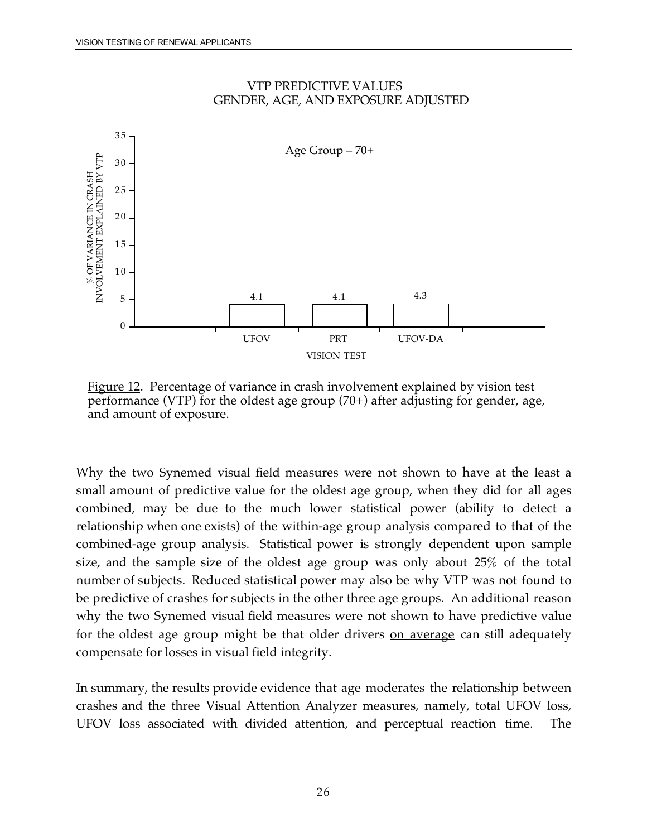<span id="page-38-0"></span>

### VTP PREDICTIVE VALUES GENDER, AGE, AND EXPOSURE ADJUSTED

Figure 12. Percentage of variance in crash involvement explained by vision test performance (VTP) for the oldest age group (70+) after adjusting for gender, age, and amount of exposure.

Why the two Synemed visual field measures were not shown to have at the least a small amount of predictive value for the oldest age group, when they did for all ages combined, may be due to the much lower statistical power (ability to detect a relationship when one exists) of the within-age group analysis compared to that of the combined-age group analysis. Statistical power is strongly dependent upon sample size, and the sample size of the oldest age group was only about 25% of the total number of subjects. Reduced statistical power may also be why VTP was not found to be predictive of crashes for subjects in the other three age groups. An additional reason why the two Synemed visual field measures were not shown to have predictive value for the oldest age group might be that older drivers on average can still adequately compensate for losses in visual field integrity.

In summary, the results provide evidence that age moderates the relationship between crashes and the three Visual Attention Analyzer measures, namely, total UFOV loss, UFOV loss associated with divided attention, and perceptual reaction time. The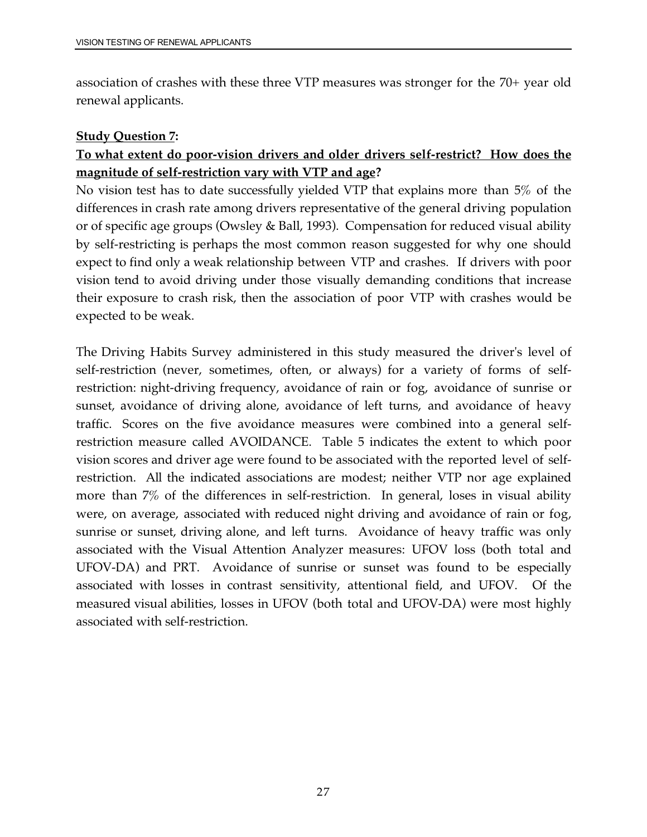association of crashes with these three VTP measures was stronger for the 70+ year old renewal applicants.

### **Study Question 7:**

## **To what extent do poor-vision drivers and older drivers self-restrict? How does the magnitude of self-restriction vary with VTP and age?**

No vision test has to date successfully yielded VTP that explains more than 5% of the differences in crash rate among drivers representative of the general driving population or of specific age groups (Owsley & Ball, 1993). Compensation for reduced visual ability by self-restricting is perhaps the most common reason suggested for why one should expect to find only a weak relationship between VTP and crashes. If drivers with poor vision tend to avoid driving under those visually demanding conditions that increase their exposure to crash risk, then the association of poor VTP with crashes would be expected to be weak.

 UFOV-DA) and PRT. Avoidance of sunrise or sunset was found to be especially The Driving Habits Survey administered in this study measured the driver's level of self-restriction (never, sometimes, often, or always) for a variety of forms of selfrestriction: night-driving frequency, avoidance of rain or fog, avoidance of sunrise or sunset, avoidance of driving alone, avoidance of left turns, and avoidance of heavy traffic. Scores on the five avoidance measures were combined into a general selfrestriction measure called AVOIDANCE. Table 5 indicates the extent to which poor vision scores and driver age were found to be associated with the reported level of selfrestriction. All the indicated associations are modest; neither VTP nor age explained more than 7% of the differences in self-restriction. In general, loses in visual ability were, on average, associated with reduced night driving and avoidance of rain or fog, sunrise or sunset, driving alone, and left turns. Avoidance of heavy traffic was only associated with the Visual Attention Analyzer measures: UFOV loss (both total and associated with losses in contrast sensitivity, attentional field, and UFOV. Of the measured visual abilities, losses in UFOV (both total and UFOV-DA) were most highly associated with self-restriction.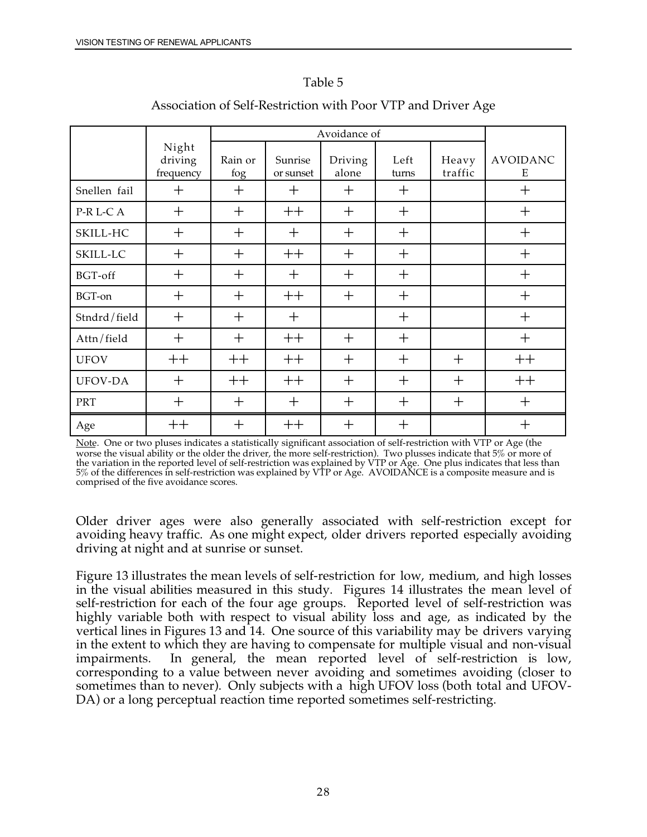### Table 5

|              |                               | Avoidance of   |                      |                  |               |                  |                      |
|--------------|-------------------------------|----------------|----------------------|------------------|---------------|------------------|----------------------|
|              | Night<br>driving<br>frequency | Rain or<br>fog | Sunrise<br>or sunset | Driving<br>alone | Left<br>turns | Heavy<br>traffic | <b>AVOIDANC</b><br>Ε |
| Snellen fail | $^{+}$                        | $^{+}$         | $\mathrm{+}$         | $^{+}$           | $^{+}$        |                  | $^{+}$               |
| P-R L-C A    | $^{+}$                        | $\mathrm{+}$   | $++$                 | $^{+}$           | $\pm$         |                  | $\mathrm{+}$         |
| SKILL-HC     | $^{+}$                        | $^{+}$         | $^{+}$               | $^{+}$           | $^{+}$        |                  | $+$                  |
| SKILL-LC     | $^{+}$                        | $^{+}$         | $++$                 | $^{+}$           | $\mathrm{+}$  |                  | $\boldsymbol{+}$     |
| BGT-off      | $^{+}$                        | $^{+}$         | $\mathrm{+}$         | $+$              | $^{+}$        |                  | $\mathrm{+}$         |
| BGT-on       | $+$                           | $+$            | $++$                 | $^{+}$           | $+$           |                  | $\mathrm{+}$         |
| Stndrd/field | $^{+}$                        | $+$            | $\mathrm{+}$         |                  | $^{+}$        |                  | $\mathrm{+}$         |
| Attn/field   | $^{+}$                        | $^{+}$         | $++$                 | $^{+}$           | $+$           |                  | $+$                  |
| <b>UFOV</b>  | $++$                          | $++$           | $++$                 | $+$              | $^{+}$        | $+$              | $++$                 |
| UFOV-DA      | $^{+}$                        | $++$           | $++$                 | $+$              | $+$           | $+$              | $++$                 |
| <b>PRT</b>   | $^{+}$                        | $^{+}$         | $^{+}$               | $^{+}$           | $^{+}$        | $^{+}$           | $^{+}$               |
| Age          | $++$                          | $^{+}$         | $++$                 | $^{+}$           | $^{+}$        |                  | $\pm$                |

### Association of Self-Restriction with Poor VTP and Driver Age

Note. One or two pluses indicates a statistically significant association of self-restriction with VTP or Age (the worse the visual ability or the older the driver, the more self-restriction). Two plusses indicate that 5% or more of the variation in the reported level of self-restriction was explained by VTP or Age. One plus indicates that less than 5% of the differences in self-restriction was explained by VTP or Age. AVOIDANCE is a composite measure and is comprised of the five avoidance scores.

Older driver ages were also generally associated with self-restriction except for avoiding heavy traffic. As one might expect, older drivers reported especially avoiding driving at night and at sunrise or sunset.

Figure 13 illustrates the mean levels of self-restriction for low, medium, and high losses in the visual abilities measured in this study. Figures 14 illustrates the mean level of self-restriction for each of the four age groups. Reported level of self-restriction was highly variable both with respect to visual ability loss and age, as indicated by the vertical lines in Figures 13 and 14. One source of this variability may be drivers varying in the extent to which they are having to compensate for multiple visual and non-visual impairments. In general, the mean reported level of self-restriction is low, corresponding to a value between never avoiding and sometimes avoiding (closer to sometimes than to never). Only subjects with a high UFOV loss (both total and UFOV-DA) or a long perceptual reaction time reported sometimes self-restricting.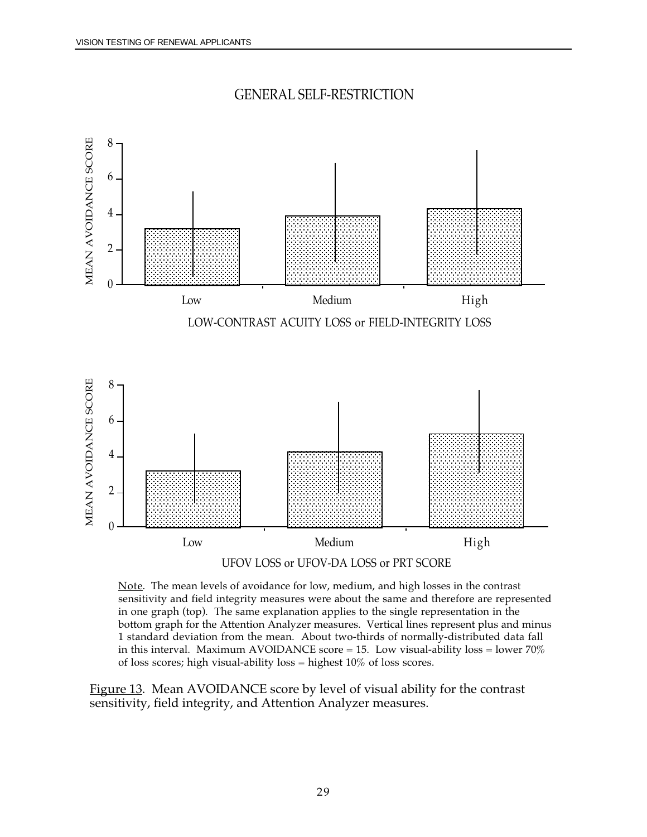

<span id="page-41-0"></span>

UFOV LOSS or UFOV-DA LOSS or PRT SCORE

<u>Note</u>. The mean levels of avoidance for low, medium, and high losses in the contrast sensitivity and field integrity measures were about the same and therefore are represented in one graph (top). The same explanation applies to the single representation in the bottom graph for the Attention Analyzer measures. Vertical lines represent plus and minus 1 standard deviation from the mean. About two-thirds of normally-distributed data fall in this interval. Maximum AVOIDANCE score  $= 15$ . Low visual-ability loss  $=$  lower 70% of loss scores; high visual-ability loss = highest 10% of loss scores.

Figure 13. Mean AVOIDANCE score by level of visual ability for the contrast sensitivity, field integrity, and Attention Analyzer measures.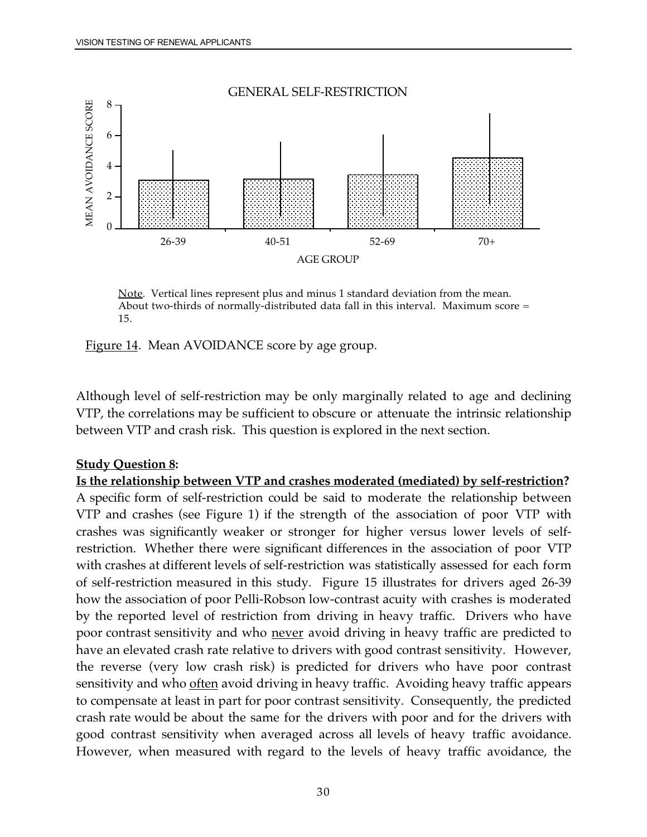<span id="page-42-0"></span>

<u>Note</u>. Vertical lines represent plus and minus 1 standard deviation from the mean. About two-thirds of normally-distributed data fall in this interval. Maximum score = 15.



Although level of self-restriction may be only marginally related to age and declining VTP, the correlations may be sufficient to obscure or attenuate the intrinsic relationship between VTP and crash risk. This question is explored in the next section.

### **Study Question 8:**

 A specific form of self-restriction could be said to moderate the relationship between restriction. Whether there were significant differences in the association of poor VTP **Is the relationship between VTP and crashes moderated (mediated) by self-restriction?**  VTP and crashes (see Figure 1) if the strength of the association of poor VTP with crashes was significantly weaker or stronger for higher versus lower levels of selfwith crashes at different levels of self-restriction was statistically assessed for each form of self-restriction measured in this study. Figure 15 illustrates for drivers aged 26-39 how the association of poor Pelli-Robson low-contrast acuity with crashes is moderated by the reported level of restriction from driving in heavy traffic. Drivers who have poor contrast sensitivity and who never avoid driving in heavy traffic are predicted to have an elevated crash rate relative to drivers with good contrast sensitivity. However, the reverse (very low crash risk) is predicted for drivers who have poor contrast sensitivity and who <u>often</u> avoid driving in heavy traffic. Avoiding heavy traffic appears to compensate at least in part for poor contrast sensitivity. Consequently, the predicted crash rate would be about the same for the drivers with poor and for the drivers with good contrast sensitivity when averaged across all levels of heavy traffic avoidance. However, when measured with regard to the levels of heavy traffic avoidance, the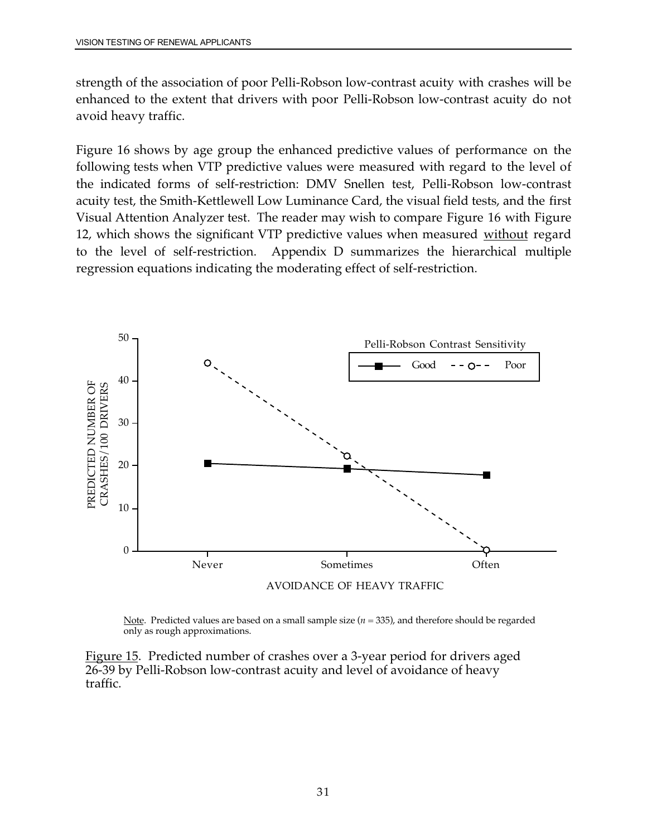<span id="page-43-0"></span>strength of the association of poor Pelli-Robson low-contrast acuity with crashes will be enhanced to the extent that drivers with poor Pelli-Robson low-contrast acuity do not avoid heavy traffic.

 the indicated forms of self-restriction: DMV Snellen test, Pelli-Robson low-contrast Figure 16 shows by age group the enhanced predictive values of performance on the following tests when VTP predictive values were measured with regard to the level of acuity test, the Smith-Kettlewell Low Luminance Card, the visual field tests, and the first Visual Attention Analyzer test. The reader may wish to compare Figure 16 with Figure 12, which shows the significant VTP predictive values when measured without regard to the level of self-restriction. Appendix D summarizes the hierarchical multiple regression equations indicating the moderating effect of self-restriction.



Note. Predicted values are based on a small sample size (*n* = 335), and therefore should be regarded only as rough approximations.

Figure 15. Predicted number of crashes over a 3-year period for drivers aged 26-39 by Pelli-Robson low-contrast acuity and level of avoidance of heavy traffic.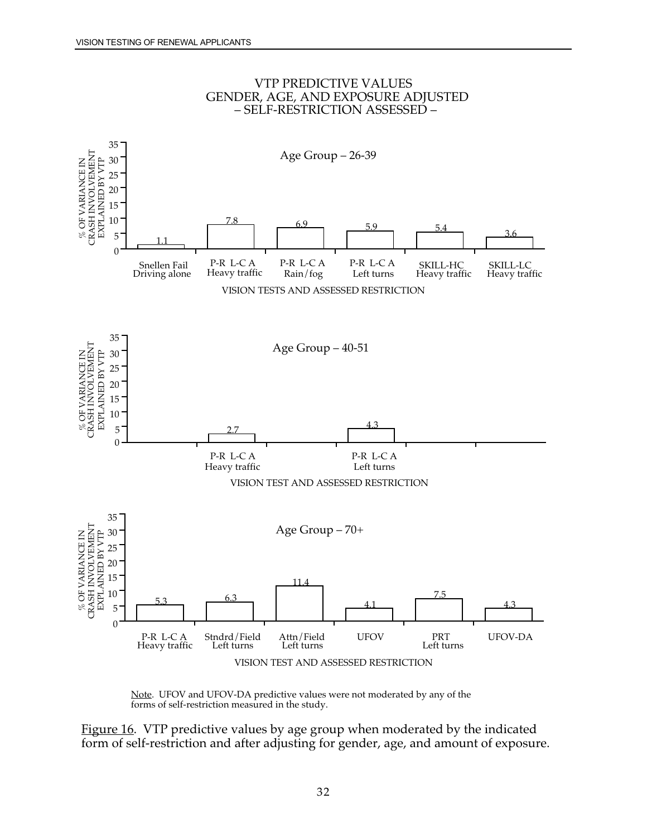

#### VTP PREDICTIVE VALUES GENDER, AGE, AND EXPOSURE ADJUSTED – SELF-RESTRICTION ASSESSED –

Note. UFOV and UFOV-DA predictive values were not moderated by any of the forms of self-restriction measured in the study.

Figure 16. VTP predictive values by age group when moderated by the indicated form of self-restriction and after adjusting for gender, age, and amount of exposure.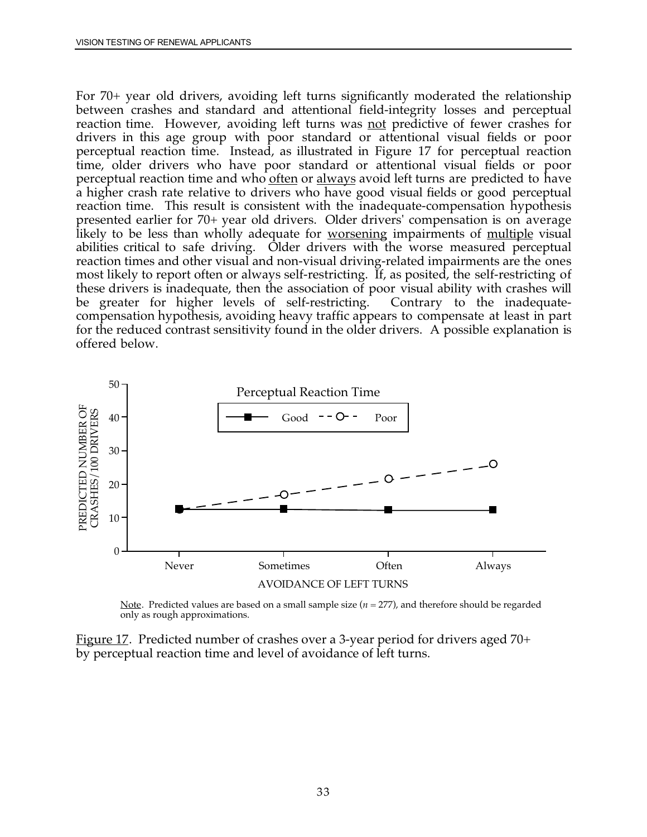<span id="page-45-0"></span>likely to be less than wholly adequate for <u>worsening</u> impairments of <u>multiple</u> visual Contrary to the inadequate-For 70+ year old drivers, avoiding left turns significantly moderated the relationship between crashes and standard and attentional field-integrity losses and perceptual reaction time. However, avoiding left turns was not predictive of fewer crashes for drivers in this age group with poor standard or attentional visual fields or poor perceptual reaction time. Instead, as illustrated in Figure 17 for perceptual reaction time, older drivers who have poor standard or attentional visual fields or poor perceptual reaction time and who <u>often</u> or always avoid left turns are predicted to have a higher crash rate relative to drivers who have good visual fields or good perceptual reaction time. This result is consistent with the inadequate-compensation hypothesis presented earlier for 70+ year old drivers. Older drivers' compensation is on average abilities critical to safe driving. Older drivers with the worse measured perceptual reaction times and other visual and non-visual driving-related impairments are the ones most likely to report often or always self-restricting. If, as posited, the self-restricting of these drivers is inadequate, then the association of poor visual ability with crashes will be greater for higher levels of self-restricting. compensation hypothesis, avoiding heavy traffic appears to compensate at least in part for the reduced contrast sensitivity found in the older drivers. A possible explanation is offered below.



Note. Predicted values are based on a small sample size (*n* = 277), and therefore should be regarded only as rough approximations.

Figure 17. Predicted number of crashes over a 3-year period for drivers aged 70+ by perceptual reaction time and level of avoidance of left turns.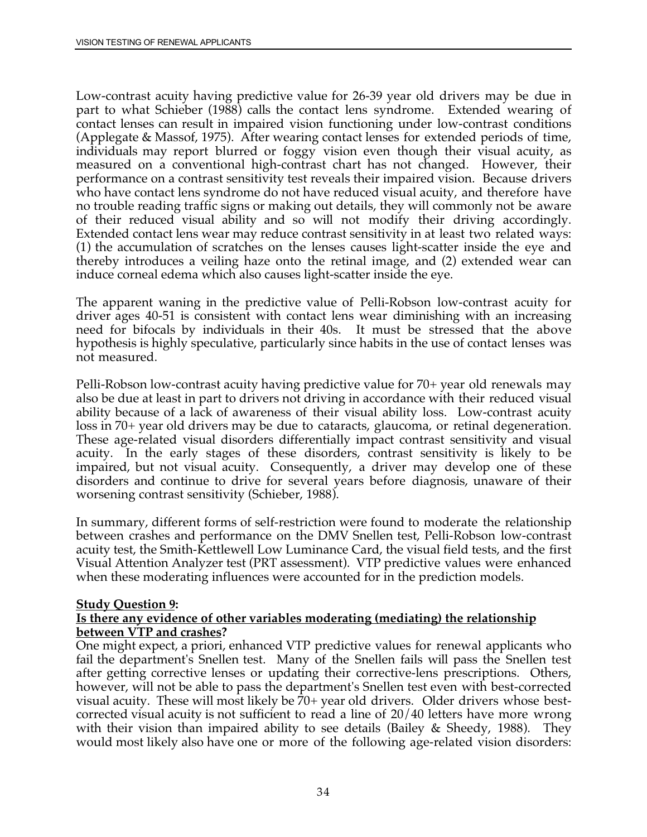(1) the accumulation of scratches on the lenses causes light-scatter inside the eye and Low-contrast acuity having predictive value for 26-39 year old drivers may be due in part to what Schieber (1988) calls the contact lens syndrome. Extended wearing of contact lenses can result in impaired vision functioning under low-contrast conditions (Applegate & Massof, 1975). After wearing contact lenses for extended periods of time, individuals may report blurred or foggy vision even though their visual acuity, as measured on a conventional high-contrast chart has not changed. However, their performance on a contrast sensitivity test reveals their impaired vision. Because drivers who have contact lens syndrome do not have reduced visual acuity, and therefore have no trouble reading traffic signs or making out details, they will commonly not be aware of their reduced visual ability and so will not modify their driving accordingly. Extended contact lens wear may reduce contrast sensitivity in at least two related ways: thereby introduces a veiling haze onto the retinal image, and (2) extended wear can induce corneal edema which also causes light-scatter inside the eye.

The apparent waning in the predictive value of Pelli-Robson low-contrast acuity for driver ages 40-51 is consistent with contact lens wear diminishing with an increasing need for bifocals by individuals in their 40s. It must be stressed that the above hypothesis is highly speculative, particularly since habits in the use of contact lenses was not measured.

Pelli-Robson low-contrast acuity having predictive value for 70+ year old renewals may also be due at least in part to drivers not driving in accordance with their reduced visual ability because of a lack of awareness of their visual ability loss. Low-contrast acuity loss in 70+ year old drivers may be due to cataracts, glaucoma, or retinal degeneration. These age-related visual disorders differentially impact contrast sensitivity and visual acuity. In the early stages of these disorders, contrast sensitivity is likely to be impaired, but not visual acuity. Consequently, a driver may develop one of these disorders and continue to drive for several years before diagnosis, unaware of their worsening contrast sensitivity (Schieber, 1988).

In summary, different forms of self-restriction were found to moderate the relationship between crashes and performance on the DMV Snellen test, Pelli-Robson low-contrast acuity test, the Smith-Kettlewell Low Luminance Card, the visual field tests, and the first Visual Attention Analyzer test (PRT assessment). VTP predictive values were enhanced when these moderating influences were accounted for in the prediction models.

#### **Study Question 9:**

#### **Is there any evidence of other variables moderating (mediating) the relationship between VTP and crashes?**

One might expect, a priori, enhanced VTP predictive values for renewal applicants who fail the department's Snellen test. Many of the Snellen fails will pass the Snellen test after getting corrective lenses or updating their corrective-lens prescriptions. Others, however, will not be able to pass the department's Snellen test even with best-corrected visual acuity. These will most likely be 70+ year old drivers. Older drivers whose bestcorrected visual acuity is not sufficient to read a line of 20/40 letters have more wrong with their vision than impaired ability to see details (Bailey & Sheedy, 1988). They would most likely also have one or more of the following age-related vision disorders: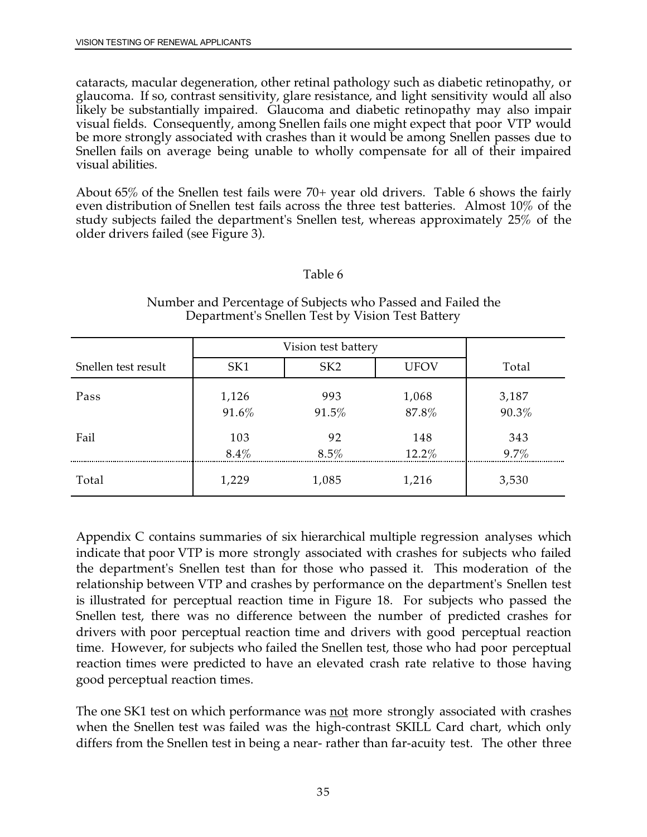cataracts, macular degeneration, other retinal pathology such as diabetic retinopathy, or glaucoma. If so, contrast sensitivity, glare resistance, and light sensitivity would all also likely be substantially impaired. Glaucoma and diabetic retinopathy may also impair visual fields. Consequently, among Snellen fails one might expect that poor VTP would be more strongly associated with crashes than it would be among Snellen passes due to Snellen fails on average being unable to wholly compensate for all of their impaired visual abilities.

About 65% of the Snellen test fails were 70+ year old drivers. Table 6 shows the fairly even distribution of Snellen test fails across the three test batteries. Almost 10% of the study subjects failed the department's Snellen test, whereas approximately 25% of the older drivers failed (see Figure 3).

### Table 6

|                     | Vision test battery |                 |                |                |
|---------------------|---------------------|-----------------|----------------|----------------|
| Snellen test result | SK1                 | SK <sub>2</sub> | <b>UFOV</b>    | Total          |
| Pass                | 1,126<br>91.6%      | 993<br>91.5%    | 1,068<br>87.8% | 3,187<br>90.3% |
| Fail                | 103<br>$8.4\%$      | 92<br>$8.5\%$   | 148<br>12.2%   | 343<br>9.7%    |
| Total               | 1,229               | 1,085           | 1,216          | 3,530          |

#### Number and Percentage of Subjects who Passed and Failed the Department's Snellen Test by Vision Test Battery

 is illustrated for perceptual reaction time in Figure 18. For subjects who passed the Appendix C contains summaries of six hierarchical multiple regression analyses which indicate that poor VTP is more strongly associated with crashes for subjects who failed the department's Snellen test than for those who passed it. This moderation of the relationship between VTP and crashes by performance on the department's Snellen test Snellen test, there was no difference between the number of predicted crashes for drivers with poor perceptual reaction time and drivers with good perceptual reaction time. However, for subjects who failed the Snellen test, those who had poor perceptual reaction times were predicted to have an elevated crash rate relative to those having good perceptual reaction times.

The one SK1 test on which performance was <u>not</u> more strongly associated with crashes when the Snellen test was failed was the high-contrast SKILL Card chart, which only differs from the Snellen test in being a near- rather than far-acuity test. The other three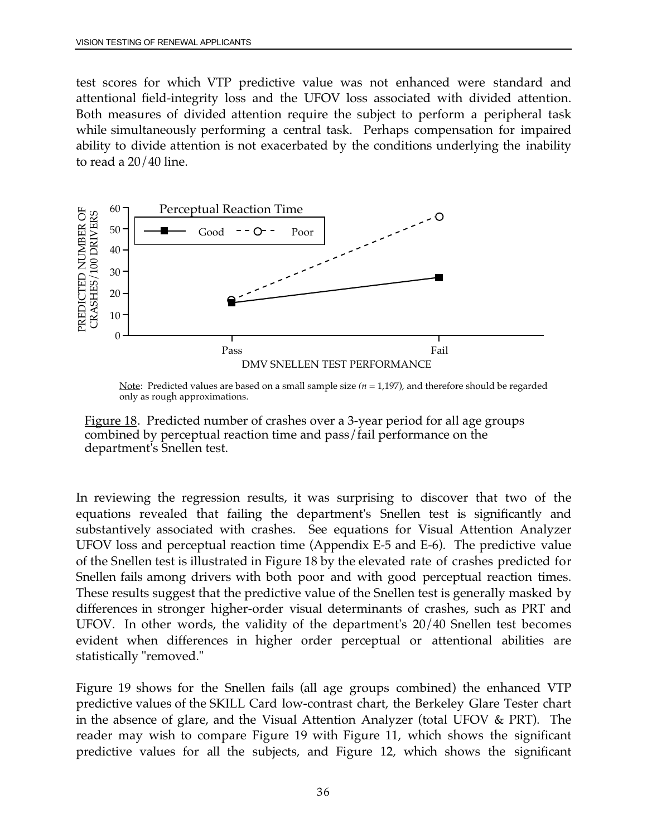while simultaneously performing a central task. Perhaps compensation for impaired ability to divide attention is not exacerbated by the conditions underlying the inability test scores for which VTP predictive value was not enhanced were standard and attentional field-integrity loss and the UFOV loss associated with divided attention. Both measures of divided attention require the subject to perform a peripheral task to read a 20/40 line.



Note: Predicted values are based on a small sample size ( $n = 1,197$ ), and therefore should be regarded only as rough approximations.



In reviewing the regression results, it was surprising to discover that two of the equations revealed that failing the department's Snellen test is significantly and substantively associated with crashes. See equations for Visual Attention Analyzer UFOV loss and perceptual reaction time (Appendix E-5 and E-6). The predictive value of the Snellen test is illustrated in Figure 18 by the elevated rate of crashes predicted for Snellen fails among drivers with both poor and with good perceptual reaction times. These results suggest that the predictive value of the Snellen test is generally masked by differences in stronger higher-order visual determinants of crashes, such as PRT and UFOV. In other words, the validity of the department's 20/40 Snellen test becomes evident when differences in higher order perceptual or attentional abilities are statistically "removed."

Figure 19 shows for the Snellen fails (all age groups combined) the enhanced VTP predictive values of the SKILL Card low-contrast chart, the Berkeley Glare Tester chart in the absence of glare, and the Visual Attention Analyzer (total UFOV & PRT). The reader may wish to compare Figure 19 with Figure 11, which shows the significant predictive values for all the subjects, and Figure 12, which shows the significant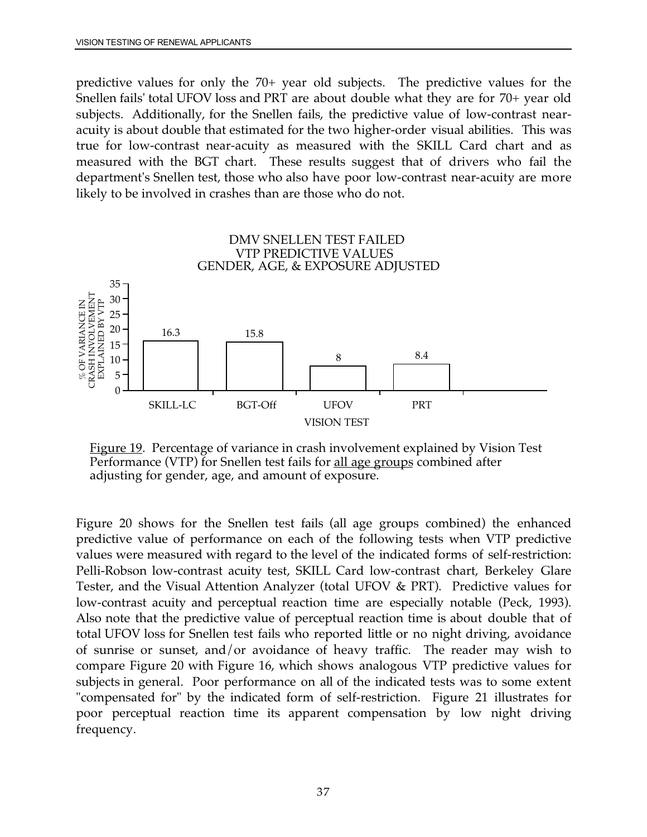predictive values for only the 70+ year old subjects. The predictive values for the Snellen fails' total UFOV loss and PRT are about double what they are for 70+ year old subjects. Additionally, for the Snellen fails, the predictive value of low-contrast nearacuity is about double that estimated for the two higher-order visual abilities. This was true for low-contrast near-acuity as measured with the SKILL Card chart and as measured with the BGT chart. These results suggest that of drivers who fail the department's Snellen test, those who also have poor low-contrast near-acuity are more likely to be involved in crashes than are those who do not.



Figure 19. Percentage of variance in crash involvement explained by Vision Test Performance (VTP) for Snellen test fails for all age groups combined after adjusting for gender, age, and amount of exposure.

 values were measured with regard to the level of the indicated forms of self-restriction: total UFOV loss for Snellen test fails who reported little or no night driving, avoidance subjects in general. Poor performance on all of the indicated tests was to some extent Figure 20 shows for the Snellen test fails (all age groups combined) the enhanced predictive value of performance on each of the following tests when VTP predictive Pelli-Robson low-contrast acuity test, SKILL Card low-contrast chart, Berkeley Glare Tester, and the Visual Attention Analyzer (total UFOV & PRT). Predictive values for low-contrast acuity and perceptual reaction time are especially notable (Peck, 1993). Also note that the predictive value of perceptual reaction time is about double that of of sunrise or sunset, and/or avoidance of heavy traffic. The reader may wish to compare Figure 20 with Figure 16, which shows analogous VTP predictive values for "compensated for" by the indicated form of self-restriction. Figure 21 illustrates for poor perceptual reaction time its apparent compensation by low night driving frequency.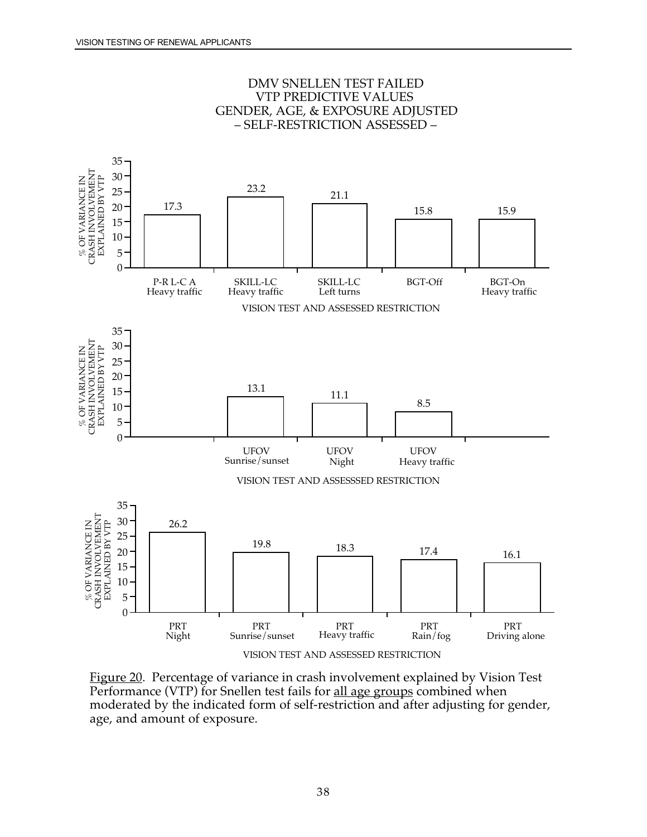

DMV SNELLEN TEST FAILED VTP PREDICTIVE VALUES GENDER, AGE, & EXPOSURE ADJUSTED – SELF-RESTRICTION ASSESSED –

Figure 20. Percentage of variance in crash involvement explained by Vision Test Performance (VTP) for Snellen test fails for all age groups combined when moderated by the indicated form of self-restriction and after adjusting for gender, age, and amount of exposure.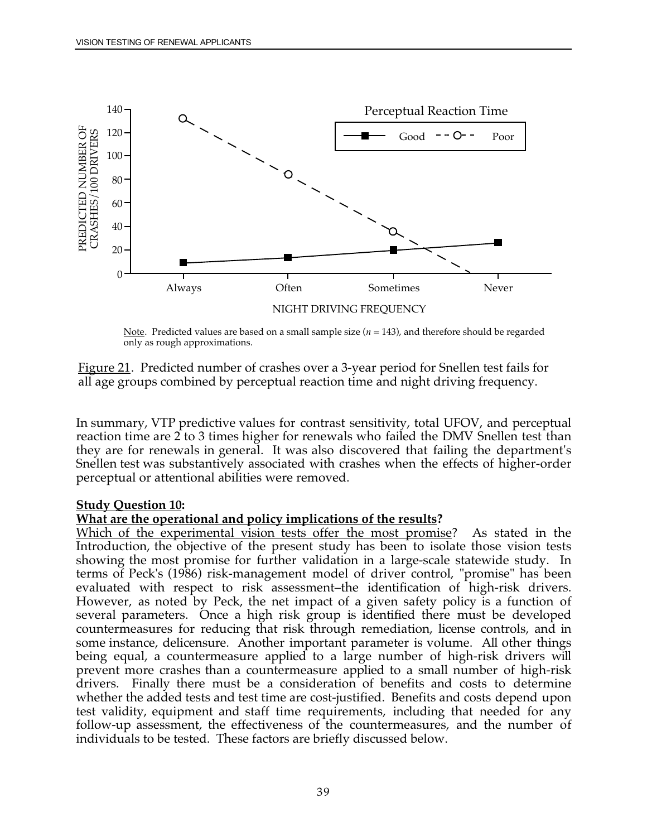

Note. Predicted values are based on a small sample size (*n* = 143), and therefore should be regarded only as rough approximations.

Figure 21. Predicted number of crashes over a 3-year period for Snellen test fails for all age groups combined by perceptual reaction time and night driving frequency.

 they are for renewals in general. It was also discovered that failing the department's Snellen test was substantively associated with crashes when the effects of higher-order In summary, VTP predictive values for contrast sensitivity, total UFOV, and perceptual reaction time are 2 to 3 times higher for renewals who failed the DMV Snellen test than perceptual or attentional abilities were removed.

#### **Study Question 10:**

#### **What are the operational and policy implications of the results?**

 Which of the experimental vision tests offer the most promise? As stated in the However, as noted by Peck, the net impact of a given safety policy is a function of some instance, delicensure. Another important parameter is volume. All other things Introduction, the objective of the present study has been to isolate those vision tests showing the most promise for further validation in a large-scale statewide study. In terms of Peck's (1986) risk-management model of driver control, "promise" has been evaluated with respect to risk assessment–the identification of high-risk drivers. several parameters. Once a high risk group is identified there must be developed countermeasures for reducing that risk through remediation, license controls, and in being equal, a countermeasure applied to a large number of high-risk drivers will prevent more crashes than a countermeasure applied to a small number of high-risk drivers. Finally there must be a consideration of benefits and costs to determine whether the added tests and test time are cost-justified. Benefits and costs depend upon test validity, equipment and staff time requirements, including that needed for any follow-up assessment, the effectiveness of the countermeasures, and the number of individuals to be tested. These factors are briefly discussed below.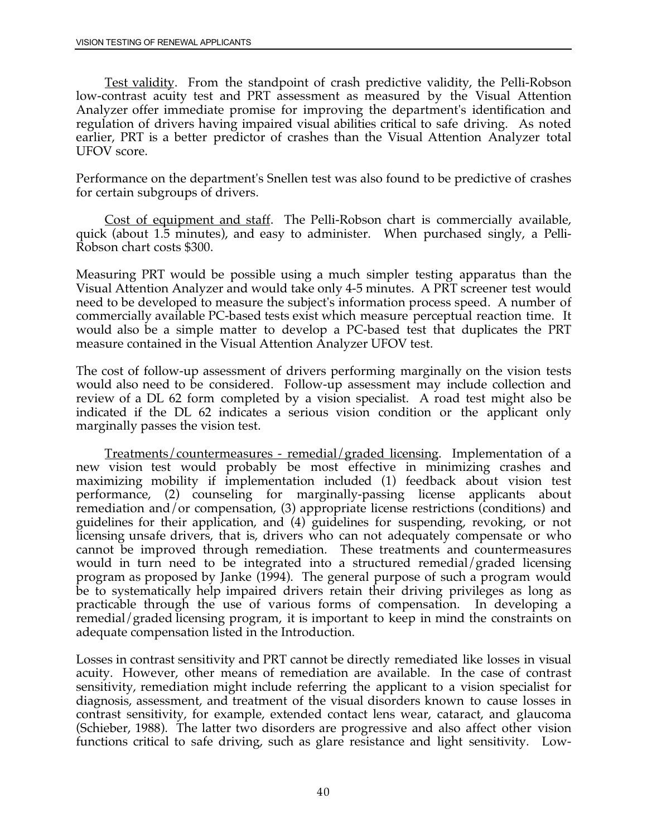<span id="page-52-0"></span> regulation of drivers having impaired visual abilities critical to safe driving. As noted Test validity. From the standpoint of crash predictive validity, the Pelli-Robson low-contrast acuity test and PRT assessment as measured by the Visual Attention Analyzer offer immediate promise for improving the department's identification and earlier, PRT is a better predictor of crashes than the Visual Attention Analyzer total UFOV score.

Performance on the department's Snellen test was also found to be predictive of crashes for certain subgroups of drivers.

 Cost of equipment and staff. The Pelli-Robson chart is commercially available, quick (about 1.5 minutes), and easy to administer. When purchased singly, a Pelli-Robson chart costs \$300.

 would also be a simple matter to develop a PC-based test that duplicates the PRT Measuring PRT would be possible using a much simpler testing apparatus than the Visual Attention Analyzer and would take only 4-5 minutes. A PRT screener test would need to be developed to measure the subject's information process speed. A number of commercially available PC-based tests exist which measure perceptual reaction time. It measure contained in the Visual Attention Analyzer UFOV test.

The cost of follow-up assessment of drivers performing marginally on the vision tests would also need to be considered. Follow-up assessment may include collection and review of a DL 62 form completed by a vision specialist. A road test might also be indicated if the DL 62 indicates a serious vision condition or the applicant only marginally passes the vision test.

 remedial/graded licensing program, it is important to keep in mind the constraints on Treatments/countermeasures - remedial/graded licensing. Implementation of a new vision test would probably be most effective in minimizing crashes and maximizing mobility if implementation included (1) feedback about vision test performance, (2) counseling for marginally-passing license applicants about remediation and/or compensation, (3) appropriate license restrictions (conditions) and guidelines for their application, and (4) guidelines for suspending, revoking, or not licensing unsafe drivers, that is, drivers who can not adequately compensate or who cannot be improved through remediation. These treatments and countermeasures would in turn need to be integrated into a structured remedial/graded licensing program as proposed by Janke (1994). The general purpose of such a program would be to systematically help impaired drivers retain their driving privileges as long as practicable through the use of various forms of compensation. In developing a adequate compensation listed in the Introduction.

 acuity. However, other means of remediation are available. In the case of contrast Losses in contrast sensitivity and PRT cannot be directly remediated like losses in visual sensitivity, remediation might include referring the applicant to a vision specialist for diagnosis, assessment, and treatment of the visual disorders known to cause losses in contrast sensitivity, for example, extended contact lens wear, cataract, and glaucoma (Schieber, 1988). The latter two disorders are progressive and also affect other vision functions critical to safe driving, such as glare resistance and light sensitivity. Low-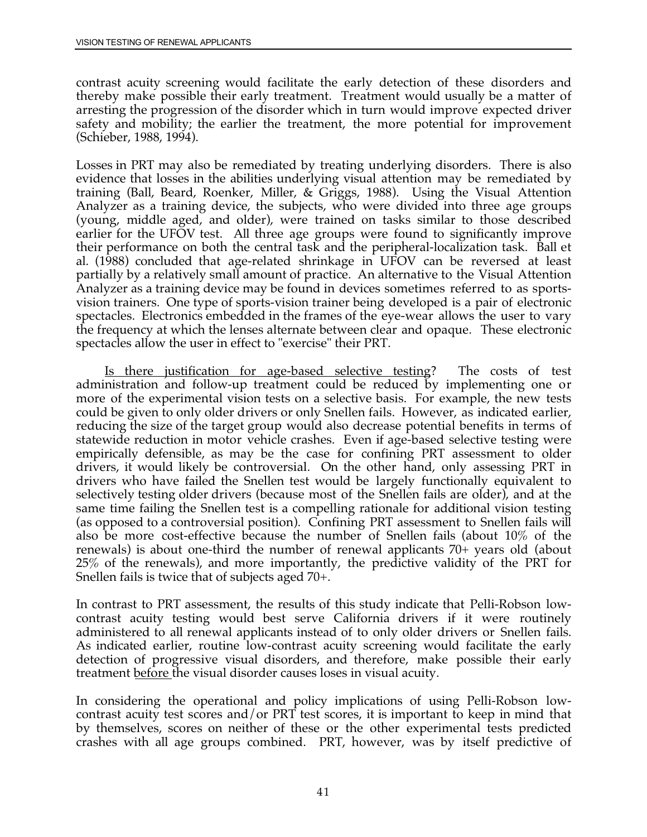thereby make possible their early treatment. Treatment would usually be a matter of contrast acuity screening would facilitate the early detection of these disorders and arresting the progression of the disorder which in turn would improve expected driver safety and mobility; the earlier the treatment, the more potential for improvement (Schieber, 1988, 1994).

 the frequency at which the lenses alternate between clear and opaque. These electronic Losses in PRT may also be remediated by treating underlying disorders. There is also evidence that losses in the abilities underlying visual attention may be remediated by training (Ball, Beard, Roenker, Miller, & Griggs, 1988). Using the Visual Attention Analyzer as a training device, the subjects, who were divided into three age groups (young, middle aged, and older), were trained on tasks similar to those described earlier for the UFOV test. All three age groups were found to significantly improve their performance on both the central task and the peripheral-localization task. Ball et al. (1988) concluded that age-related shrinkage in UFOV can be reversed at least partially by a relatively small amount of practice. An alternative to the Visual Attention Analyzer as a training device may be found in devices sometimes referred to as sportsvision trainers. One type of sports-vision trainer being developed is a pair of electronic spectacles. Electronics embedded in the frames of the eye-wear allows the user to vary spectacles allow the user in effect to "exercise" their PRT.

 drivers who have failed the Snellen test would be largely functionally equivalent to 25% of the renewals), and more importantly, the predictive validity of the PRT for Is there justification for age-based selective testing? The costs of test administration and follow-up treatment could be reduced by implementing one or more of the experimental vision tests on a selective basis. For example, the new tests could be given to only older drivers or only Snellen fails. However, as indicated earlier, reducing the size of the target group would also decrease potential benefits in terms of statewide reduction in motor vehicle crashes. Even if age-based selective testing were empirically defensible, as may be the case for confining PRT assessment to older drivers, it would likely be controversial. On the other hand, only assessing PRT in selectively testing older drivers (because most of the Snellen fails are older), and at the same time failing the Snellen test is a compelling rationale for additional vision testing (as opposed to a controversial position). Confining PRT assessment to Snellen fails will also be more cost-effective because the number of Snellen fails (about 10% of the renewals) is about one-third the number of renewal applicants 70+ years old (about Snellen fails is twice that of subjects aged 70+.

 contrast acuity testing would best serve California drivers if it were routinely administered to all renewal applicants instead of to only older drivers or Snellen fails. In contrast to PRT assessment, the results of this study indicate that Pelli-Robson low-As indicated earlier, routine low-contrast acuity screening would facilitate the early detection of progressive visual disorders, and therefore, make possible their early treatment before the visual disorder causes loses in visual acuity.

In considering the operational and policy implications of using Pelli-Robson lowcontrast acuity test scores and/or PRT test scores, it is important to keep in mind that by themselves, scores on neither of these or the other experimental tests predicted crashes with all age groups combined. PRT, however, was by itself predictive of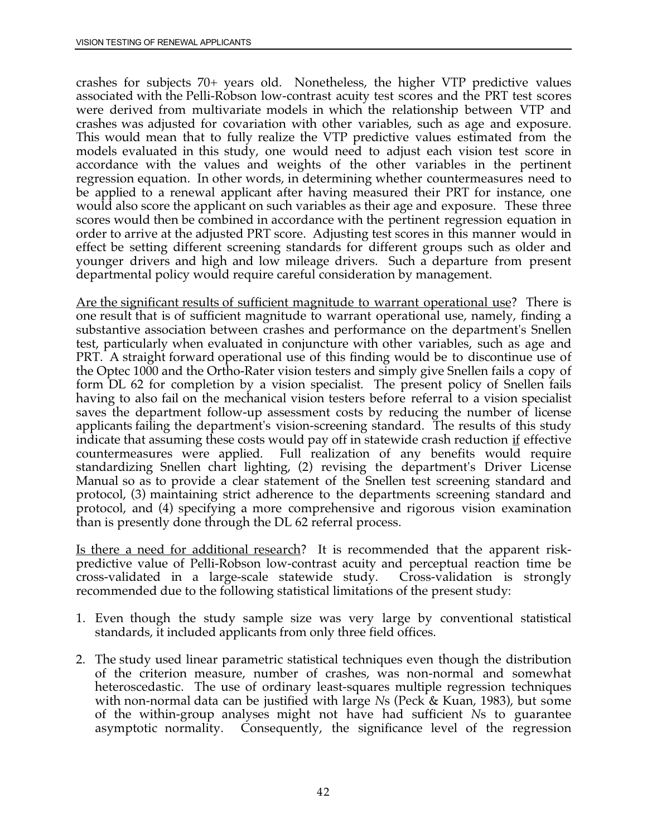crashes for subjects 70+ years old. Nonetheless, the higher VTP predictive values accordance with the values and weights of the other variables in the pertinent associated with the Pelli-Robson low-contrast acuity test scores and the PRT test scores were derived from multivariate models in which the relationship between VTP and crashes was adjusted for covariation with other variables, such as age and exposure. This would mean that to fully realize the VTP predictive values estimated from the models evaluated in this study, one would need to adjust each vision test score in regression equation. In other words, in determining whether countermeasures need to be applied to a renewal applicant after having measured their PRT for instance, one would also score the applicant on such variables as their age and exposure. These three scores would then be combined in accordance with the pertinent regression equation in order to arrive at the adjusted PRT score. Adjusting test scores in this manner would in effect be setting different screening standards for different groups such as older and younger drivers and high and low mileage drivers. Such a departure from present departmental policy would require careful consideration by management.

 having to also fail on the mechanical vision testers before referral to a vision specialist Are the significant results of sufficient magnitude to warrant operational use? There is one result that is of sufficient magnitude to warrant operational use, namely, finding a substantive association between crashes and performance on the department's Snellen test, particularly when evaluated in conjuncture with other variables, such as age and PRT. A straight forward operational use of this finding would be to discontinue use of the Optec 1000 and the Ortho-Rater vision testers and simply give Snellen fails a copy of form DL 62 for completion by a vision specialist. The present policy of Snellen fails saves the department follow-up assessment costs by reducing the number of license applicants failing the department's vision-screening standard. The results of this study indicate that assuming these costs would pay off in statewide crash reduction <u>if</u> effective countermeasures were applied. Full realization of any benefits would require standardizing Snellen chart lighting, (2) revising the department's Driver License Manual so as to provide a clear statement of the Snellen test screening standard and protocol, (3) maintaining strict adherence to the departments screening standard and protocol, and (4) specifying a more comprehensive and rigorous vision examination than is presently done through the DL 62 referral process.

Is there a need for additional research? It is recommended that the apparent riskpredictive value of Pelli-Robson low-contrast acuity and perceptual reaction time be cross-validated in a large-scale statewide study. Cross-validation is strongly recommended due to the following statistical limitations of the present study:

- 1. Even though the study sample size was very large by conventional statistical standards, it included applicants from only three field offices.
- asymptotic normality. Consequently, the significance level of the regression 2. The study used linear parametric statistical techniques even though the distribution of the criterion measure, number of crashes, was non-normal and somewhat heteroscedastic. The use of ordinary least-squares multiple regression techniques with non-normal data can be justified with large *N*s (Peck & Kuan, 1983), but some of the within-group analyses might not have had sufficient *N*s to guarantee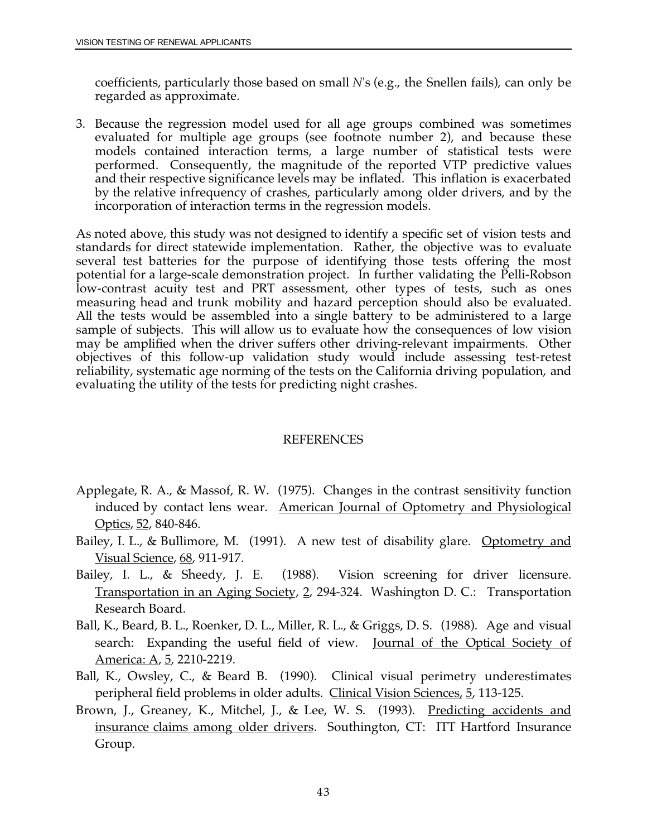coefficients, particularly those based on small *N*'s (e.g., the Snellen fails), can only be regarded as approximate.

3. Because the regression model used for all age groups combined was sometimes evaluated for multiple age groups (see footnote number 2), and because these models contained interaction terms, a large number of statistical tests were performed. Consequently, the magnitude of the reported VTP predictive values and their respective significance levels may be inflated. This inflation is exacerbated by the relative infrequency of crashes, particularly among older drivers, and by the incorporation of interaction terms in the regression models.

 All the tests would be assembled into a single battery to be administered to a large As noted above, this study was not designed to identify a specific set of vision tests and standards for direct statewide implementation. Rather, the objective was to evaluate several test batteries for the purpose of identifying those tests offering the most potential for a large-scale demonstration project. In further validating the Pelli-Robson low-contrast acuity test and PRT assessment, other types of tests, such as ones measuring head and trunk mobility and hazard perception should also be evaluated. sample of subjects. This will allow us to evaluate how the consequences of low vision may be amplified when the driver suffers other driving-relevant impairments. Other objectives of this follow-up validation study would include assessing test-retest reliability, systematic age norming of the tests on the California driving population, and evaluating the utility of the tests for predicting night crashes.

#### REFERENCES

- Applegate, R. A., & Massof, R. W. (1975). Changes in the contrast sensitivity function induced by contact lens wear. American Journal of Optometry and Physiological Optics, 52, 840-846.
- Bailey, I. L., & Bullimore, M. (1991). A new test of disability glare. Optometry and Visual Science, 68, 911-917.
- Bailey, I. L., & Sheedy, J. E. (1988). Vision screening for driver licensure. Transportation in an Aging Society, 2, 294-324. Washington D. C.: Transportation Research Board.
- Ball, K., Beard, B. L., Roenker, D. L., Miller, R. L., & Griggs, D. S. (1988). Age and visual search: Expanding the useful field of view. Journal of the Optical Society of America: A, 5, 2210-2219.
- Ball, K., Owsley, C., & Beard B. (1990). Clinical visual perimetry underestimates peripheral field problems in older adults. Clinical Vision Sciences, 5, 113-125.
- Brown, J., Greaney, K., Mitchel, J., & Lee, W. S. (1993). Predicting accidents and insurance claims among older drivers. Southington, CT: ITT Hartford Insurance Group.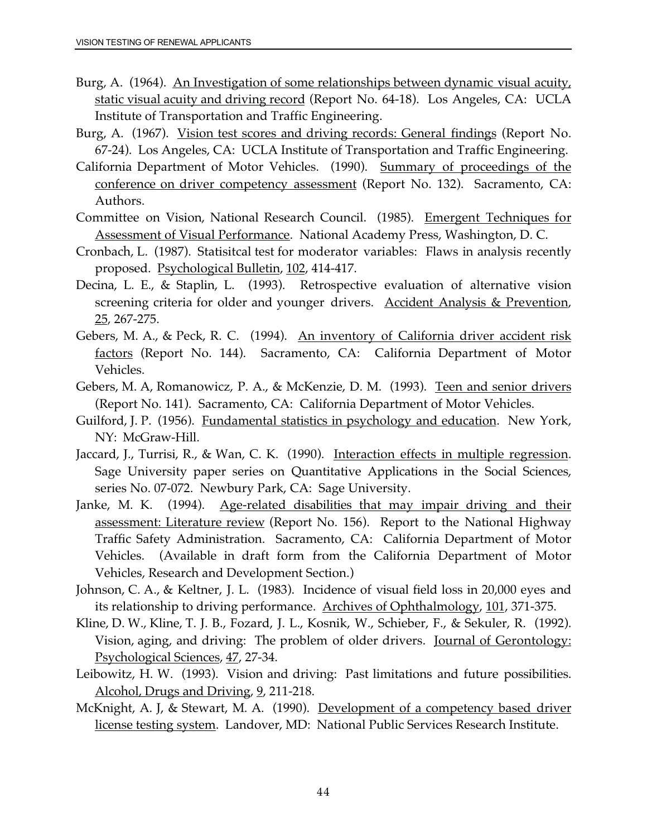- Burg, A. (1964). An Investigation of some relationships between dynamic visual acuity, static visual acuity and driving record (Report No. 64-18). Los Angeles, CA: UCLA Institute of Transportation and Traffic Engineering.
- Burg, A. (1967). Vision test scores and driving records: General findings (Report No. 67-24). Los Angeles, CA: UCLA Institute of Transportation and Traffic Engineering.
- California Department of Motor Vehicles. (1990). Summary of proceedings of the conference on driver competency assessment (Report No. 132). Sacramento, CA: Authors.
- Committee on Vision, National Research Council. (1985). Emergent Techniques for Assessment of Visual Performance. National Academy Press, Washington, D.C.
- Cronbach, L. (1987). Statisitcal test for moderator variables: Flaws in analysis recently proposed. Psychological Bulletin, 102, 414-417.
- Decina, L. E., & Staplin, L. (1993). Retrospective evaluation of alternative vision screening criteria for older and younger drivers. Accident Analysis & Prevention, 25, 267-275.
- Gebers, M. A., & Peck, R. C. (1994). An inventory of California driver accident risk factors (Report No. 144). Sacramento, CA: California Department of Motor Vehicles.
- Gebers, M. A, Romanowicz, P. A., & McKenzie, D. M. (1993). Teen and senior drivers (Report No. 141). Sacramento, CA: California Department of Motor Vehicles.
- Guilford, J. P. (1956). Fundamental statistics in psychology and education. New York, NY: McGraw-Hill.
- Jaccard, J., Turrisi, R., & Wan, C. K. (1990). Interaction effects in multiple regression. Sage University paper series on Quantitative Applications in the Social Sciences, series No. 07-072. Newbury Park, CA: Sage University.
- Janke, M. K. (1994). Age-related disabilities that may impair driving and their assessment: Literature review (Report No. 156). Report to the National Highway Traffic Safety Administration. Sacramento, CA: California Department of Motor Vehicles. (Available in draft form from the California Department of Motor Vehicles, Research and Development Section.)
- Johnson, C. A., & Keltner, J. L. (1983). Incidence of visual field loss in 20,000 eyes and its relationship to driving performance. Archives of Ophthalmology, 101, 371-375.
- Kline, D. W., Kline, T. J. B., Fozard, J. L., Kosnik, W., Schieber, F., & Sekuler, R. (1992). Vision, aging, and driving: The problem of older drivers. Journal of Gerontology: Psychological Sciences, 47, 27-34.
- Leibowitz, H. W. (1993). Vision and driving: Past limitations and future possibilities. Alcohol, Drugs and Driving, 9, 211-218.
- McKnight, A. J, & Stewart, M. A. (1990). Development of a competency based driver license testing system. Landover, MD: National Public Services Research Institute.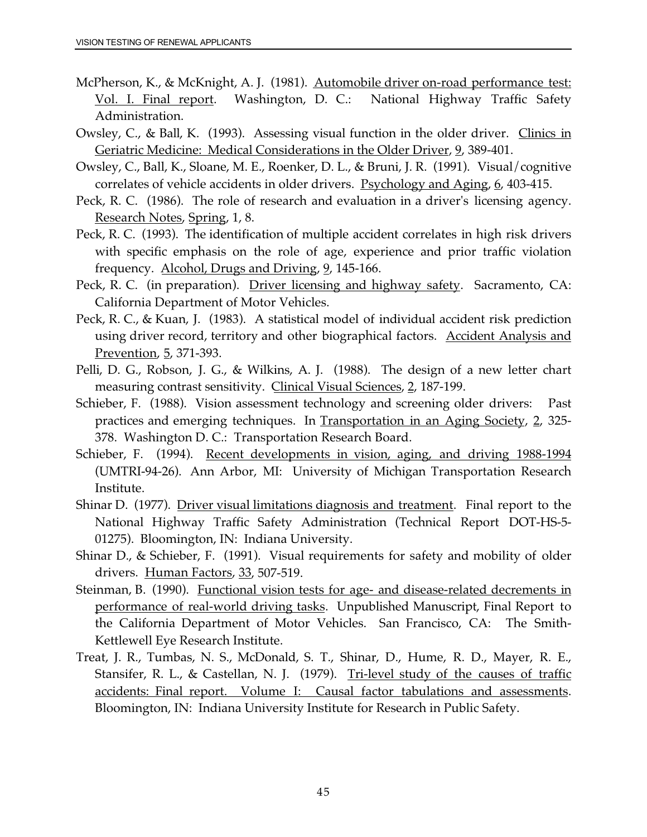- <u>Vol. I. Final report</u>. Washington, D. C.: National Highway Traffic Safety McPherson, K., & McKnight, A. J. (1981). Automobile driver on-road performance test: Administration.
- Owsley, C., & Ball, K. (1993). Assessing visual function in the older driver. Clinics in Geriatric Medicine: Medical Considerations in the Older Driver, 9, 389-401.
- Owsley, C., Ball, K., Sloane, M. E., Roenker, D. L., & Bruni, J. R. (1991). Visual/cognitive correlates of vehicle accidents in older drivers. Psychology and Aging, 6, 403-415.
- Peck, R. C. (1986). The role of research and evaluation in a driver's licensing agency. Research Notes, Spring, 1, 8.
- Peck, R. C. (1993). The identification of multiple accident correlates in high risk drivers with specific emphasis on the role of age, experience and prior traffic violation frequency. Alcohol, Drugs and Driving, 9, 145-166.
- Peck, R. C. (in preparation). Driver licensing and highway safety. Sacramento, CA: California Department of Motor Vehicles.
- Peck, R. C., & Kuan, J. (1983). A statistical model of individual accident risk prediction using driver record, territory and other biographical factors. Accident Analysis and Prevention, 5, 371-393.
- Pelli, D. G., Robson, J. G., & Wilkins, A. J. (1988). The design of a new letter chart measuring contrast sensitivity. Clinical Visual Sciences, 2, 187-199.
- Schieber, F. (1988). Vision assessment technology and screening older drivers: Past practices and emerging techniques. In Transportation in an Aging Society, 2, 325- 378. Washington D. C.: Transportation Research Board.
- Schieber, F. (1994). Recent developments in vision, aging, and driving 1988-1994 (UMTRI-94-26). Ann Arbor, MI: University of Michigan Transportation Research Institute.
- Shinar D. (1977). Driver visual limitations diagnosis and treatment. Final report to the National Highway Traffic Safety Administration (Technical Report DOT-HS-5- 01275). Bloomington, IN: Indiana University.
- Shinar D., & Schieber, F. (1991). Visual requirements for safety and mobility of older drivers. Human Factors, 33, 507-519.
- performance of real-world driving tasks. Unpublished Manuscript, Final Report to Steinman, B. (1990). Functional vision tests for age- and disease-related decrements in the California Department of Motor Vehicles. San Francisco, CA: The Smith-Kettlewell Eye Research Institute.
- Treat, J. R., Tumbas, N. S., McDonald, S. T., Shinar, D., Hume, R. D., Mayer, R. E., Stansifer, R. L., & Castellan, N. J. (1979). Tri-level study of the causes of traffic accidents: Final report. Volume I: Causal factor tabulations and assessments. Bloomington, IN: Indiana University Institute for Research in Public Safety.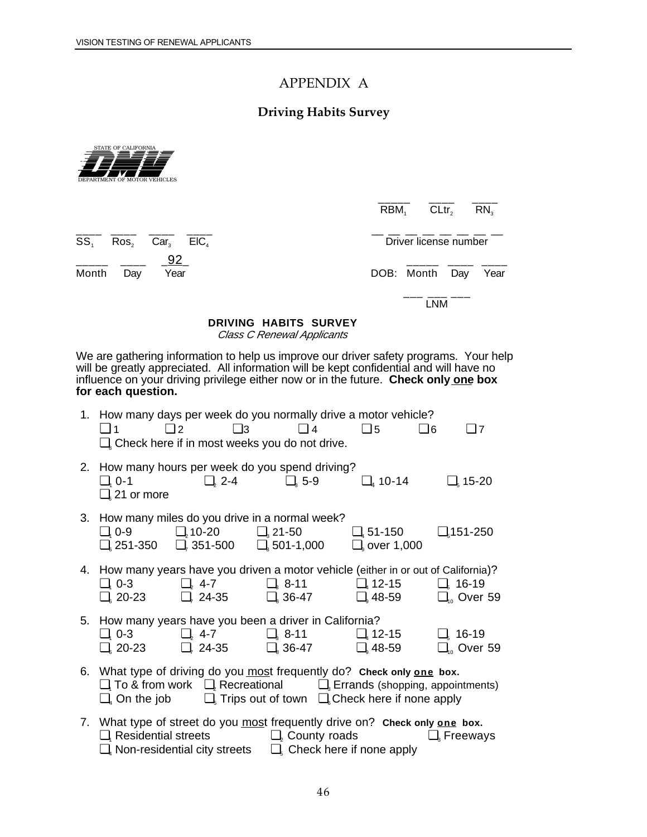### APPENDIX A

### **Driving Habits Survey**



| RBM <sub>1</sub> | CLtr <sub>2</sub> | $\mathsf{RN}_{3}$ |
|------------------|-------------------|-------------------|

\_\_\_\_ \_\_\_\_ \_\_\_\_ \_\_\_\_ \_\_ \_\_ \_\_ \_\_ \_\_ \_\_ \_\_ \_\_  $SS<sub>1</sub>$  Ros<sub>2</sub> Car<sub>3</sub> ElC<sub>4</sub>  $\qquad \qquad$  Driver license number

\_\_\_\_\_ \_\_\_\_ \_92\_ \_\_\_\_\_ \_\_\_\_ \_\_\_\_

Month Day Year **DOB:** Month Day Year

\_\_\_ \_\_\_ \_\_\_ LNM

### **DRIVING HABITS SURVEY**

Class C Renewal Applicants

We are gathering information to help us improve our driver safety programs. Your help will be greatly appreciated. All information will be kept confidential and will have no influence on your driving privilege either now or in the future. **Check only one box for each question.** 

| $\Box$ 1                       | 1. How many days per week do you normally drive a motor vehicle?<br>$\Box$ 2 $\Box$ 3 $\Box$ 4<br>$\Box$ Check here if in most weeks you do not drive.                                                                                                               | $\Box$ 5          | $\square$ 7<br>$\Box$ 6                     |
|--------------------------------|----------------------------------------------------------------------------------------------------------------------------------------------------------------------------------------------------------------------------------------------------------------------|-------------------|---------------------------------------------|
| $\Box$ <sub>6</sub> 21 or more | 2. How many hours per week do you spend driving?<br>$\Box$ , 0-1 $\Box$ , 2-4 $\Box$ , 5-9                                                                                                                                                                           | $\Box$ 4 10-14    | $\Box$ <sub>5</sub> 15-20                   |
|                                | 3. How many miles do you drive in a normal week?<br>$\Box$ , 0-9 $\Box$ , 10-20 $\Box$ , 21-50 $\Box$ , 51-150 $\Box$ , 151-250<br>$\Box$ 251-350 $\Box$ , 351-500 $\Box$ 501-1,000                                                                                  | $\Box$ over 1,000 |                                             |
|                                | 4. How many years have you driven a motor vehicle (either in or out of California)?<br>$\Box$ , 0-3 $\Box$ , 4-7 $\Box$ , 8-11 $\Box$ , 12-15 $\Box$ , 16-19<br>$\Box$ 20-23 $\Box$ , 24-35 $\Box$ 36-47 $\Box$ 48-59 $\Box$ Over 59                                 |                   |                                             |
|                                | 5. How many years have you been a driver in California?<br>$\Box$ , 0-3 $\Box$ , 4-7 $\Box$ , 8-11 $\Box$ , 12-15<br>$\Box_{\rm s}$ 20-23 $\Box_{\rm r}$ 24-35 $\Box_{\rm s}$ 36-47 $\Box_{\rm s}$ 48-59                                                             |                   | $\Box_{\rm s}$ 16-19<br>$\Box_{10}$ Over 59 |
|                                | 6. What type of driving do you most frequently do? Check only one box.<br>$\Box$ , To & from work $\Box$ Recreational $\Box$ Errands (shopping, appointments)<br>$\Box_{\alpha}$ On the job $\Box_{\beta}$ Trips out of town $\Box_{\beta}$ Check here if none apply |                   |                                             |
|                                | 7. What type of street do you most frequently drive on? Check only one box.<br>$\Box$ , Residential streets $\Box$ , County roads $\Box$ , Freeways<br>$\Box_{A}$ Non-residential city streets $\Box_{A}$ Check here if none apply                                   |                   |                                             |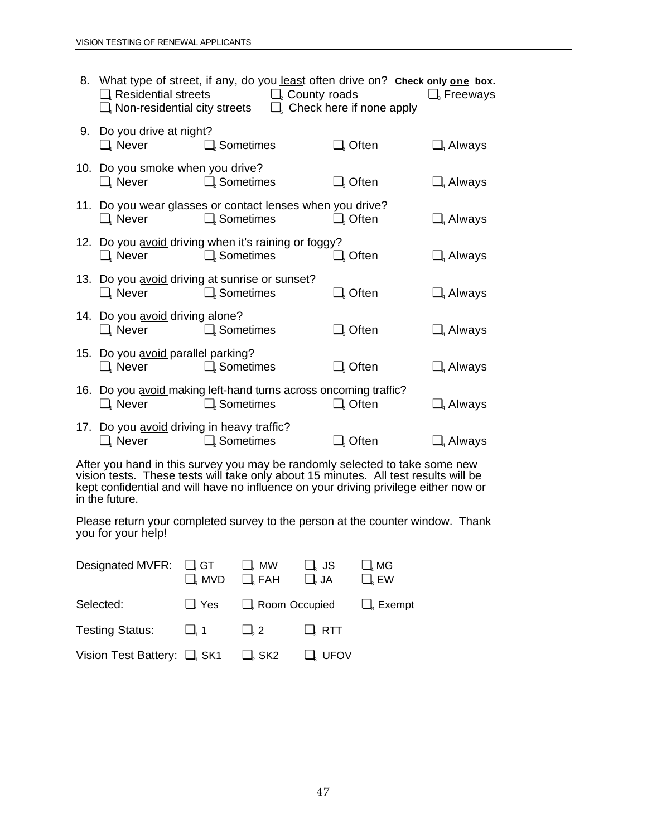|                                                                                 | 8. What type of street, if any, do you least often drive on? Check only one box.<br>$\Box$ , Residential streets $\Box$ , County roads<br>$\Box$ Non-residential city streets $\Box$ Check here if none apply |                                      | $\Box$ Freeways |
|---------------------------------------------------------------------------------|---------------------------------------------------------------------------------------------------------------------------------------------------------------------------------------------------------------|--------------------------------------|-----------------|
| 9. Do you drive at night?<br>$\Box$ , Never $\Box$ , Sometimes                  |                                                                                                                                                                                                               | $\Box_{3}$ Often                     | $\Box$ Always   |
| 10. Do you smoke when you drive?<br>$\Box$ , Never                              | $\Box$ , Sometimes                                                                                                                                                                                            | $\Box_{\scriptscriptstyle{3}}$ Often | $\Box$ Always   |
| $\Box$ , Never $\Box$ , Sometimes                                               | 11. Do you wear glasses or contact lenses when you drive?                                                                                                                                                     | $\Box$ Often                         | $\Box$ Always   |
| $\Box$ , Never $\Box$ , Sometimes                                               | 12. Do you avoid driving when it's raining or foggy?                                                                                                                                                          | $\Box_{\scriptscriptstyle{3}}$ Often | $\Box$ Always   |
| $\Box$ , Never $\Box$ , Sometimes                                               | 13. Do you avoid driving at sunrise or sunset?                                                                                                                                                                | $\Box$ Often                         | $\Box$ Always   |
| 14. Do you avoid driving alone?<br>$\Box$ , Never                               | $\Box$ , Sometimes                                                                                                                                                                                            | $\Box_{3}$ Often                     | $\Box$ Always   |
| 15. Do you avoid parallel parking?<br>$\Box$ , Never $\Box$ , Sometimes         |                                                                                                                                                                                                               | $\Box_{3}$ Often                     | $\Box$ Always   |
| $\Box$ , Never $\Box$ , Sometimes                                               | 16. Do you avoid making left-hand turns across oncoming traffic?                                                                                                                                              | $\Box_{\scriptscriptstyle{3}}$ Often | $\Box$ Always   |
| 17. Do you avoid driving in heavy traffic?<br>$\Box$ , Never $\Box$ , Sometimes |                                                                                                                                                                                                               | $\Box_{\scriptscriptstyle{3}}$ Often | $\Box$ Always   |

After you hand in this survey you may be randomly selected to take some new vision tests. These tests will take only about 15 minutes. All test results will be kept confidential and will have no influence on your driving privilege either now or in the future.

 $\overline{\phantom{a}}$ Please return your completed survey to the person at the counter window. Thank you for your help!

| Designated MVFR: Q, GT                       | $\Box_{\epsilon}$ MVD | $\Box$ , MW<br>$\Box$ FAH | $\Box$ , JS<br>$\Box$ , JA | $\Box$ MG<br>$\Box$ <sub>s</sub> EW |
|----------------------------------------------|-----------------------|---------------------------|----------------------------|-------------------------------------|
| Selected:                                    | $\Box$ , Yes          | $\Box$ , Room Occupied    |                            | $\Box$ , Exempt                     |
| <b>Testing Status:</b>                       | $\Box$ , 1            | $\Box$ , 2                | $\Box$ , RTT               |                                     |
| Vision Test Battery: $\Box$ <sub>1</sub> SK1 |                       | $\Box$ , SK2              | $\sqcup$ , UFOV            |                                     |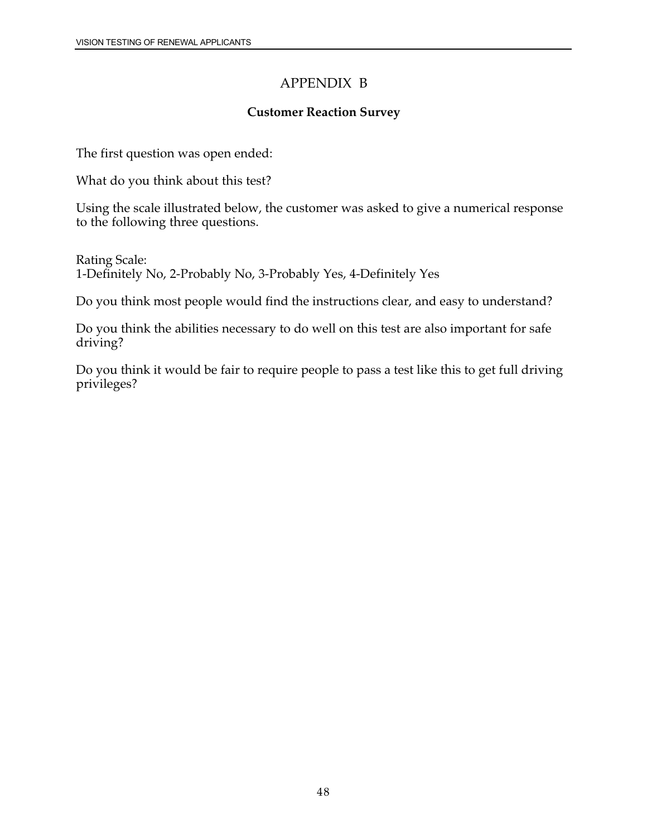### APPENDIX B

### **Customer Reaction Survey**

The first question was open ended:

What do you think about this test?

Using the scale illustrated below, the customer was asked to give a numerical response to the following three questions.

Rating Scale: 1-Definitely No, 2-Probably No, 3-Probably Yes, 4-Definitely Yes

Do you think most people would find the instructions clear, and easy to understand?

Do you think the abilities necessary to do well on this test are also important for safe driving?

Do you think it would be fair to require people to pass a test like this to get full driving privileges?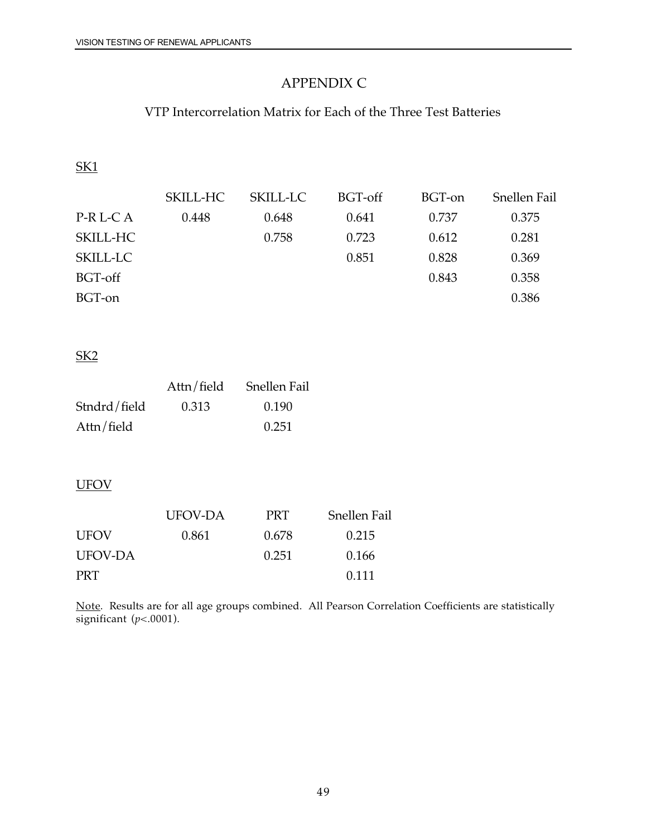## APPENDIX C

## VTP Intercorrelation Matrix for Each of the Three Test Batteries

| SKILL-HC | SKILL-LC | BGT-off | BGT-on | <b>Snellen Fail</b> |
|----------|----------|---------|--------|---------------------|
| 0.448    | 0.648    | 0.641   | 0.737  | 0.375               |
|          | 0.758    | 0.723   | 0.612  | 0.281               |
|          |          | 0.851   | 0.828  | 0.369               |
|          |          |         | 0.843  | 0.358               |
|          |          |         |        | 0.386               |
|          |          |         |        |                     |

### SK2

|              | Attn/field | <b>Snellen Fail</b> |
|--------------|------------|---------------------|
| Stndrd/field | 0.313      | 0.190               |
| Attn/field   |            | 0.251               |

### **UFOV**

|             | UFOV-DA | <b>PRT</b> | <b>Snellen Fail</b> |
|-------------|---------|------------|---------------------|
| <b>UFOV</b> | 0.861   | 0.678      | 0.215               |
| UFOV-DA     |         | 0.251      | 0.166               |
| <b>PRT</b>  |         |            | 0.111               |

Note. Results are for all age groups combined. All Pearson Correlation Coefficients are statistically significant  $(p<.0001)$ .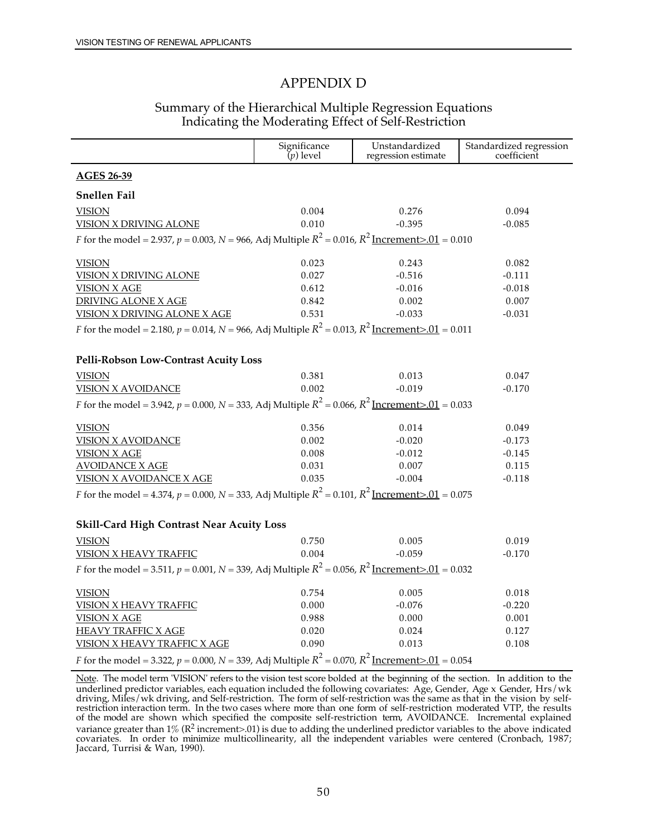#### APPENDIX D

### Summary of the Hierarchical Multiple Regression Equations Indicating the Moderating Effect of Self-Restriction

|                                                                                                                           | Significance $(p)$ level | Unstandardized<br>regression estimate | Standardized regression<br>coefficient |  |  |
|---------------------------------------------------------------------------------------------------------------------------|--------------------------|---------------------------------------|----------------------------------------|--|--|
| <b>AGES 26-39</b>                                                                                                         |                          |                                       |                                        |  |  |
| <b>Snellen Fail</b>                                                                                                       |                          |                                       |                                        |  |  |
| <b>VISION</b>                                                                                                             | 0.004                    | 0.276                                 | 0.094                                  |  |  |
| <b>VISION X DRIVING ALONE</b>                                                                                             | 0.010                    | $-0.395$                              | $-0.085$                               |  |  |
| <i>F</i> for the model = 2.937, <i>p</i> = 0.003, <i>N</i> = 966, Adj Multiple $R^2$ = 0.016, $R^2$ Increment>.01 = 0.010 |                          |                                       |                                        |  |  |
| <b>VISION</b>                                                                                                             | 0.023                    | 0.243                                 | 0.082                                  |  |  |
| <b>VISION X DRIVING ALONE</b>                                                                                             | 0.027                    | $-0.516$                              | $-0.111$                               |  |  |
| <b>VISION X AGE</b>                                                                                                       | 0.612                    | $-0.016$                              | $-0.018$                               |  |  |
| <b>DRIVING ALONE X AGE</b>                                                                                                | 0.842                    | 0.002                                 | 0.007                                  |  |  |
| <b>VISION X DRIVING ALONE X AGE</b>                                                                                       | 0.531                    | $-0.033$                              | $-0.031$                               |  |  |
| <i>F</i> for the model = 2.180, <i>p</i> = 0.014, <i>N</i> = 966, Adj Multiple $R^2$ = 0.013, $R^2$ Increment>.01 = 0.011 |                          |                                       |                                        |  |  |
| Pelli-Robson Low-Contrast Acuity Loss                                                                                     |                          |                                       |                                        |  |  |
| <b>VISION</b>                                                                                                             | 0.381                    | 0.013                                 | 0.047                                  |  |  |
| <b>VISION X AVOIDANCE</b>                                                                                                 | 0.002                    | $-0.019$                              | $-0.170$                               |  |  |
| <i>F</i> for the model = 3.942, <i>p</i> = 0.000, <i>N</i> = 333, Adj Multiple $R^2$ = 0.066, $R^2$ Increment>.01 = 0.033 |                          |                                       |                                        |  |  |
| <b>VISION</b>                                                                                                             | 0.356                    | 0.014                                 | 0.049                                  |  |  |
| <b>VISION X AVOIDANCE</b>                                                                                                 | 0.002                    | $-0.020$                              | $-0.173$                               |  |  |
| <b>VISION X AGE</b>                                                                                                       | 0.008                    | $-0.012$                              | $-0.145$                               |  |  |
| <b>AVOIDANCE X AGE</b>                                                                                                    | 0.031                    | 0.007                                 | 0.115                                  |  |  |
| <b>VISION X AVOIDANCE X AGE</b>                                                                                           | 0.035                    | $-0.004$                              | $-0.118$                               |  |  |
| <i>F</i> for the model = 4.374, $p = 0.000$ , $N = 333$ , Adj Multiple $R^2 = 0.101$ , $R^2$ Increment > 01 = 0.075       |                          |                                       |                                        |  |  |
| <b>Skill-Card High Contrast Near Acuity Loss</b>                                                                          |                          |                                       |                                        |  |  |
|                                                                                                                           |                          |                                       |                                        |  |  |
| <b>VISION</b>                                                                                                             | 0.750<br>0.004           | 0.005<br>$-0.059$                     | 0.019<br>$-0.170$                      |  |  |
| <b>VISION X HEAVY TRAFFIC</b>                                                                                             |                          |                                       |                                        |  |  |
| <i>F</i> for the model = 3.511, $p = 0.001$ , $N = 339$ , Adj Multiple $R^2 = 0.056$ , $R^2$ Increment>.01 = 0.032        |                          |                                       |                                        |  |  |
| <b>VISION</b>                                                                                                             | 0.754                    | 0.005                                 | 0.018                                  |  |  |
| <b>VISION X HEAVY TRAFFIC</b>                                                                                             | 0.000                    | $-0.076$                              | $-0.220$                               |  |  |
| <b>VISION X AGE</b>                                                                                                       | 0.988                    | 0.000                                 | 0.001                                  |  |  |
| <b>HEAVY TRAFFIC X AGE</b>                                                                                                | 0.020                    | 0.024                                 | 0.127                                  |  |  |
| VISION X HEAVY TRAFFIC X AGE                                                                                              | 0.090                    | 0.013                                 | 0.108                                  |  |  |
| <i>F</i> for the model = 3.322, <i>p</i> = 0.000, <i>N</i> = 339, Adj Multiple $R^2$ = 0.070, $R^2$ Increment>.01 = 0.054 |                          |                                       |                                        |  |  |

Note. The model term 'VISION' refers to the vision test score bolded at the beginning of the section. In addition to the underlined predictor variables, each equation included the following covariates: Age, Gender, Age x Gender, Hrs/wk driving, Miles/wk driving, and Self-restriction. The form of self-restriction was the same as that in the vision by selfrestriction interaction term. In the two cases where more than one form of self-restriction moderated VTP, the results of the model are shown which specified the composite self-restriction term, AVOIDANCE. Incremental explained variance greater than  $1\%$  ( $R^2$  [increment>.01\)](https://increment>.01) is due to adding the underlined predictor variables to the above indicated covariates. In order to minimize multicollinearity, all the independent variables were centered (Cronbach, 1987; Jaccard, Turrisi & Wan, 1990).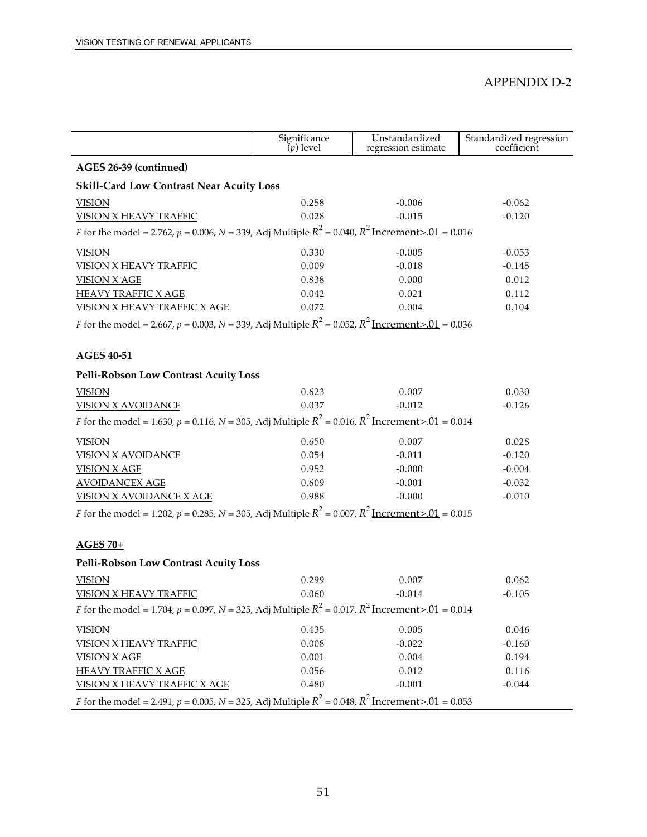#### APPENDIX D-2

|                                                                                                                                     | Significance<br>$(p)$ level | Unstandardized<br>regression estimate | Standardized regression<br>coefficient |  |  |  |  |
|-------------------------------------------------------------------------------------------------------------------------------------|-----------------------------|---------------------------------------|----------------------------------------|--|--|--|--|
| AGES 26-39 (continued)                                                                                                              |                             |                                       |                                        |  |  |  |  |
| <b>Skill-Card Low Contrast Near Acuity Loss</b>                                                                                     |                             |                                       |                                        |  |  |  |  |
| <b>VISION</b>                                                                                                                       | 0.258                       | $-0.006$                              | $-0.062$                               |  |  |  |  |
| <b>VISION X HEAVY TRAFFIC</b>                                                                                                       | 0.028                       | $-0.015$                              | $-0.120$                               |  |  |  |  |
| <i>F</i> for the model = 2.762, <i>p</i> = 0.006, <i>N</i> = 339, Adj Multiple $R^2$ = 0.040, $R^2$ Increment>.01 = 0.016           |                             |                                       |                                        |  |  |  |  |
| <b>VISION</b>                                                                                                                       | 0.330                       | $-0.005$                              | $-0.053$                               |  |  |  |  |
| <b>VISION X HEAVY TRAFFIC</b>                                                                                                       | 0.009                       | $-0.018$                              | $-0.145$                               |  |  |  |  |
| <b>VISION X AGE</b>                                                                                                                 | 0.838                       | 0.000                                 | 0.012                                  |  |  |  |  |
| <b>HEAVY TRAFFIC X AGE</b>                                                                                                          | 0.042                       | 0.021                                 | 0.112                                  |  |  |  |  |
| <b>VISION X HEAVY TRAFFIC X AGE</b>                                                                                                 | 0.072                       | 0.004                                 | 0.104                                  |  |  |  |  |
| <i>F</i> for the model = 2.667, <i>p</i> = 0.003, <i>N</i> = 339, Adj Multiple $R^2$ = 0.052, $R^2$ <u>Increment&gt;.01</u> = 0.036 |                             |                                       |                                        |  |  |  |  |
|                                                                                                                                     |                             |                                       |                                        |  |  |  |  |
| <b>AGES 40-51</b>                                                                                                                   |                             |                                       |                                        |  |  |  |  |
| Pelli-Robson Low Contrast Acuity Loss                                                                                               |                             |                                       |                                        |  |  |  |  |
| <b>VISION</b>                                                                                                                       | 0.623                       | 0.007                                 | 0.030                                  |  |  |  |  |
| <b>VISION X AVOIDANCE</b>                                                                                                           | 0.037                       | $-0.012$                              | $-0.126$                               |  |  |  |  |
| <i>F</i> for the model = 1.630, <i>p</i> = 0.116, <i>N</i> = 305, Adj Multiple $R^2$ = 0.016, $R^2$ Increment>.01 = 0.014           |                             |                                       |                                        |  |  |  |  |
| <b>VISION</b>                                                                                                                       | 0.650                       | 0.007                                 | 0.028                                  |  |  |  |  |
| <b>VISION X AVOIDANCE</b>                                                                                                           | 0.054                       | $-0.011$                              | $-0.120$                               |  |  |  |  |
| <b>VISION X AGE</b>                                                                                                                 | 0.952                       | $-0.000$                              | $-0.004$                               |  |  |  |  |
| <b>AVOIDANCEX AGE</b>                                                                                                               | 0.609                       | $-0.001$                              | $-0.032$                               |  |  |  |  |
| <b>VISION X AVOIDANCE X AGE</b>                                                                                                     | 0.988                       | $-0.000$                              | $-0.010$                               |  |  |  |  |
| <i>F</i> for the model = 1.202, <i>p</i> = 0.285, <i>N</i> = 305, Adj Multiple $R^2$ = 0.007, $R^2$ Increment>.01 = 0.015           |                             |                                       |                                        |  |  |  |  |
|                                                                                                                                     |                             |                                       |                                        |  |  |  |  |
| $AGES 70+$                                                                                                                          |                             |                                       |                                        |  |  |  |  |
| Pelli-Robson Low Contrast Acuity Loss                                                                                               |                             |                                       |                                        |  |  |  |  |
| <b>VISION</b>                                                                                                                       | 0.299                       | 0.007                                 | 0.062                                  |  |  |  |  |
| <b>VISION X HEAVY TRAFFIC</b>                                                                                                       | 0.060                       | $-0.014$                              | $-0.105$                               |  |  |  |  |
| <i>F</i> for the model = 1.704, <i>p</i> = 0.097, <i>N</i> = 325, Adj Multiple $R^2$ = 0.017, $R^2$ Increment>.01 = 0.014           |                             |                                       |                                        |  |  |  |  |
| <b>VISION</b>                                                                                                                       | 0.435                       | 0.005                                 | 0.046                                  |  |  |  |  |
| VISION X HEAVY TRAFFIC                                                                                                              | 0.008                       | $-0.022$                              | $-0.160$                               |  |  |  |  |
| <b>VISION X AGE</b>                                                                                                                 | 0.001                       | 0.004                                 | 0.194                                  |  |  |  |  |
| <b>HEAVY TRAFFIC X AGE</b>                                                                                                          | 0.056                       | 0.012                                 | 0.116                                  |  |  |  |  |
| VISION X HEAVY TRAFFIC X AGE                                                                                                        | 0.480                       | $-0.001$                              | $-0.044$                               |  |  |  |  |
| <i>F</i> for the model = 2.491, $p = 0.005$ , $N = 325$ , Adj Multiple $R^2 = 0.048$ , $R^2$ Increment > 01 = 0.053                 |                             |                                       |                                        |  |  |  |  |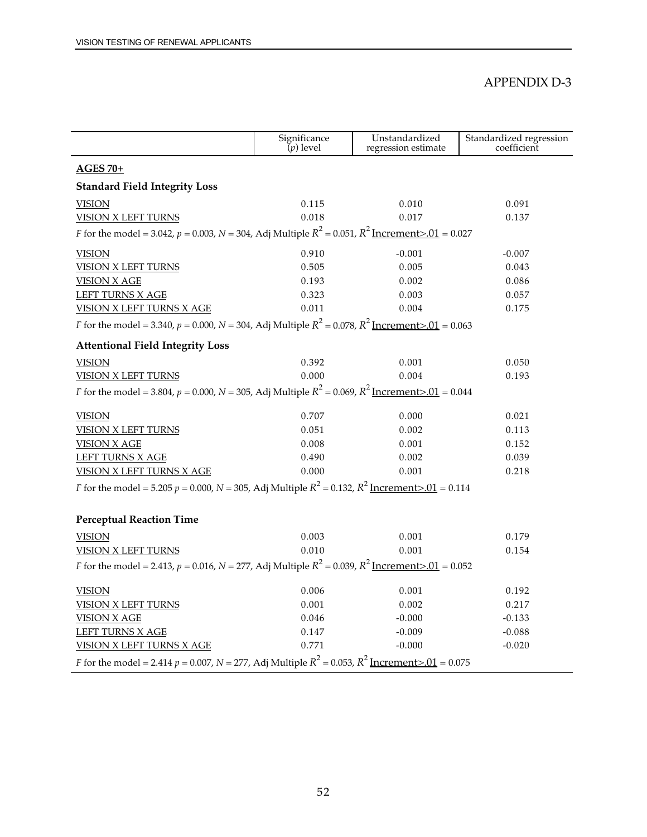#### APPENDIX D-3

|                                                                                                                                 | Significance $(p)$ level | Unstandardized<br>regression estimate | Standardized regression<br>coefficient |
|---------------------------------------------------------------------------------------------------------------------------------|--------------------------|---------------------------------------|----------------------------------------|
| $AGES 70+$                                                                                                                      |                          |                                       |                                        |
| <b>Standard Field Integrity Loss</b>                                                                                            |                          |                                       |                                        |
| <b>VISION</b>                                                                                                                   | 0.115                    | 0.010                                 | 0.091                                  |
| <b>VISION X LEFT TURNS</b>                                                                                                      | 0.018                    | 0.017                                 | 0.137                                  |
| <i>F</i> for the model = 3.042, $p = 0.003$ , $N = 304$ , Adj Multiple $R^2 = 0.051$ , $R^2$ Increment>.01 = 0.027              |                          |                                       |                                        |
| <b>VISION</b>                                                                                                                   | 0.910                    | $-0.001$                              | $-0.007$                               |
| <b>VISION X LEFT TURNS</b>                                                                                                      | 0.505                    | 0.005                                 | 0.043                                  |
| <b>VISION X AGE</b>                                                                                                             | 0.193                    | 0.002                                 | 0.086                                  |
| <b>LEFT TURNS X AGE</b>                                                                                                         | 0.323                    | 0.003                                 | 0.057                                  |
| VISION X LEFT TURNS X AGE                                                                                                       | 0.011                    | 0.004                                 | 0.175                                  |
| <i>F</i> for the model = 3.340, $p = 0.000$ , $N = 304$ , Adj Multiple $R^2 = 0.078$ , $R^2$ Increment>.01 = 0.063              |                          |                                       |                                        |
| <b>Attentional Field Integrity Loss</b>                                                                                         |                          |                                       |                                        |
| <b>VISION</b>                                                                                                                   | 0.392                    | 0.001                                 | 0.050                                  |
| <b>VISION X LEFT TURNS</b>                                                                                                      | 0.000                    | 0.004                                 | 0.193                                  |
| <i>F</i> for the model = 3.804, <i>p</i> = 0.000, <i>N</i> = 305, Adj Multiple $R^2$ = 0.069, $R^2$ Increment>.01 = 0.044       |                          |                                       |                                        |
| <b>VISION</b>                                                                                                                   | 0.707                    | 0.000                                 | 0.021                                  |
| <b>VISION X LEFT TURNS</b>                                                                                                      | 0.051                    | 0.002                                 | 0.113                                  |
| <b>VISION X AGE</b>                                                                                                             | 0.008                    | 0.001                                 | 0.152                                  |
| <b>LEFT TURNS X AGE</b>                                                                                                         | 0.490                    | 0.002                                 | 0.039                                  |
| VISION X LEFT TURNS X AGE                                                                                                       | 0.000                    | 0.001                                 | 0.218                                  |
| <i>F</i> for the model = 5.205 $p = 0.000$ , <i>N</i> = 305, Adj Multiple $R^2 = 0.132$ , $R^2$ <u>Increment&gt;.01</u> = 0.114 |                          |                                       |                                        |
| <b>Perceptual Reaction Time</b>                                                                                                 |                          |                                       |                                        |
| <b>VISION</b>                                                                                                                   | 0.003                    | 0.001                                 | 0.179                                  |
| <b>VISION X LEFT TURNS</b>                                                                                                      | 0.010                    | 0.001                                 | 0.154                                  |
| <i>F</i> for the model = 2.413, <i>p</i> = 0.016, <i>N</i> = 277, Adj Multiple $R^2$ = 0.039, $R^2$ Increment>.01 = 0.052       |                          |                                       |                                        |
|                                                                                                                                 |                          |                                       |                                        |
| <b>VISION</b>                                                                                                                   | 0.006                    | 0.001                                 | 0.192                                  |
| <b>VISION X LEFT TURNS</b>                                                                                                      | 0.001                    | 0.002                                 | 0.217                                  |
| <b>VISION X AGE</b>                                                                                                             | 0.046                    | $-0.000$                              | $-0.133$                               |
| <b>LEFT TURNS X AGE</b>                                                                                                         | 0.147                    | $-0.009$                              | $-0.088$                               |
| VISION X LEFT TURNS X AGE                                                                                                       | 0.771                    | $-0.000$                              | $-0.020$                               |
| <i>F</i> for the model = 2.414 $p = 0.007$ , <i>N</i> = 277, Adj Multiple $R^2 = 0.053$ , $R^2$ <u>Increment&gt;.01</u> = 0.075 |                          |                                       |                                        |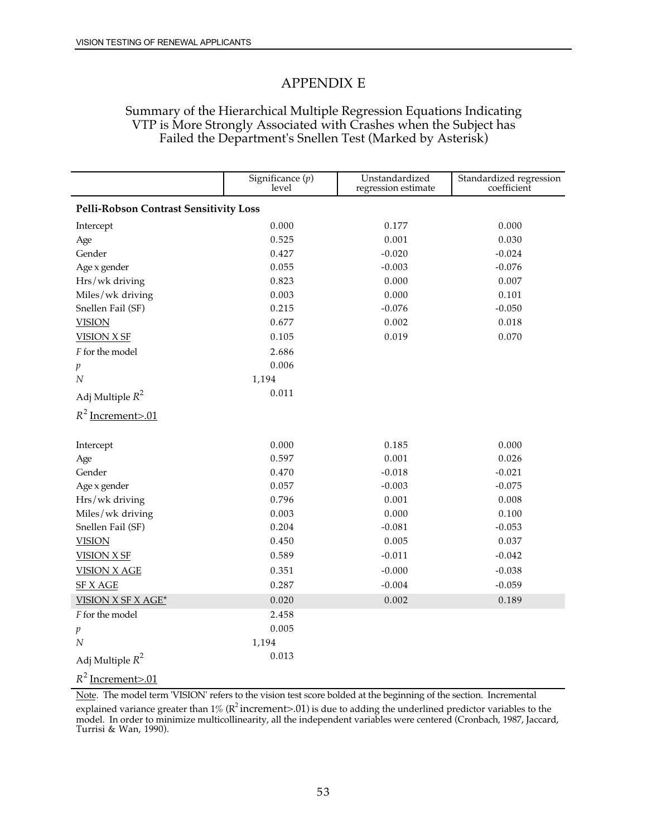### APPENDIX E

### Summary of the Hierarchical Multiple Regression Equations Indicating VTP is More Strongly Associated with Crashes when the Subject has Failed the Department's Snellen Test (Marked by Asterisk)

|                                               | Significance $(p)$<br>level | Unstandardized<br>regression estimate | Standardized regression<br>coefficient |
|-----------------------------------------------|-----------------------------|---------------------------------------|----------------------------------------|
| <b>Pelli-Robson Contrast Sensitivity Loss</b> |                             |                                       |                                        |
| Intercept                                     | 0.000                       | 0.177                                 | 0.000                                  |
| Age                                           | 0.525                       | 0.001                                 | 0.030                                  |
| Gender                                        | 0.427                       | $-0.020$                              | $-0.024$                               |
| Age x gender                                  | 0.055                       | $-0.003$                              | $-0.076$                               |
| Hrs/wk driving                                | 0.823                       | 0.000                                 | 0.007                                  |
| Miles/wk driving                              | 0.003                       | 0.000                                 | 0.101                                  |
| Snellen Fail (SF)                             | 0.215                       | $-0.076$                              | $-0.050$                               |
| <b>VISION</b>                                 | 0.677                       | 0.002                                 | 0.018                                  |
| <b>VISION X SF</b>                            | 0.105                       | 0.019                                 | 0.070                                  |
| F for the model                               | 2.686                       |                                       |                                        |
| $\boldsymbol{p}$                              | 0.006                       |                                       |                                        |
| $\overline{N}$                                | 1,194                       |                                       |                                        |
| Adj Multiple $R^2$                            | 0.011                       |                                       |                                        |
| $R^2$ Increment>.01                           |                             |                                       |                                        |
| Intercept                                     | 0.000                       | 0.185                                 | 0.000                                  |
| Age                                           | 0.597                       | 0.001                                 | 0.026                                  |
| Gender                                        | 0.470                       | $-0.018$                              | $-0.021$                               |
| Age x gender                                  | 0.057                       | $-0.003$                              | $-0.075$                               |
| Hrs/wk driving                                | 0.796                       | 0.001                                 | 0.008                                  |
| Miles/wk driving                              | 0.003                       | 0.000                                 | 0.100                                  |
| Snellen Fail (SF)                             | 0.204                       | $-0.081$                              | $-0.053$                               |
| <b>VISION</b>                                 | 0.450                       | 0.005                                 | 0.037                                  |
| <b>VISION X SF</b>                            | 0.589                       | $-0.011$                              | $-0.042$                               |
| <b>VISION X AGE</b>                           | 0.351                       | $-0.000$                              | $-0.038$                               |
| <b>SF X AGE</b>                               | 0.287                       | $-0.004$                              | $-0.059$                               |
| <b>VISION X SF X AGE*</b>                     | 0.020                       | 0.002                                 | 0.189                                  |
| F for the model                               | 2.458                       |                                       |                                        |
| p                                             | 0.005                       |                                       |                                        |
| N                                             | 1,194                       |                                       |                                        |
| Adj Multiple $R^2$                            | 0.013                       |                                       |                                        |
| $R^2$ Increment>.01                           |                             |                                       |                                        |

Note. The model term 'VISION' refers to the vision test score bolded at the beginning of the section. Incremental explained variance greater than 1% (R<sup>2</sup> [increment>.01\)](https://increment>.01) is due to adding the underlined predictor variables to the model. In order to minimize multicollinearity, all the independent variables were centered (Cronbach, 1987, Jaccard, Turrisi & Wan, 1990).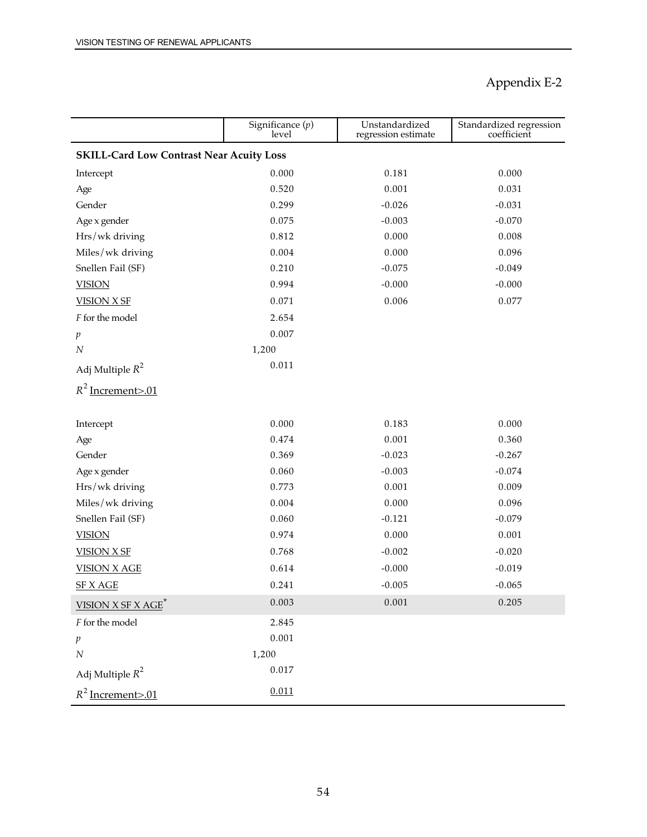|                                                 | Significance $(p)$<br>level | Unstandardized<br>regression estimate | Standardized regression<br>coefficient |  |
|-------------------------------------------------|-----------------------------|---------------------------------------|----------------------------------------|--|
| <b>SKILL-Card Low Contrast Near Acuity Loss</b> |                             |                                       |                                        |  |
| Intercept                                       | 0.000                       | 0.181                                 | 0.000                                  |  |
| Age                                             | 0.520                       | 0.001                                 | 0.031                                  |  |
| Gender                                          | 0.299                       | $-0.026$                              | $-0.031$                               |  |
| Age x gender                                    | 0.075                       | $-0.003$                              | $-0.070$                               |  |
| Hrs/wk driving                                  | 0.812                       | 0.000                                 | 0.008                                  |  |
| Miles/wk driving                                | 0.004                       | 0.000                                 | 0.096                                  |  |
| Snellen Fail (SF)                               | 0.210                       | $-0.075$                              | $-0.049$                               |  |
| <b>VISION</b>                                   | 0.994                       | $-0.000$                              | $-0.000$                               |  |
| <b>VISION X SF</b>                              | 0.071                       | 0.006                                 | 0.077                                  |  |
| F for the model                                 | 2.654                       |                                       |                                        |  |
| p                                               | 0.007                       |                                       |                                        |  |
| $\cal N$                                        | 1,200                       |                                       |                                        |  |
| Adj Multiple $R^2$                              | 0.011                       |                                       |                                        |  |
| $R^2$ Increment>.01                             |                             |                                       |                                        |  |
| Intercept                                       | 0.000                       | 0.183                                 | 0.000                                  |  |
| Age                                             | 0.474                       | 0.001                                 | 0.360                                  |  |
| Gender                                          | 0.369                       | $-0.023$                              | $-0.267$                               |  |
| Age x gender                                    | 0.060                       | $-0.003$                              | $-0.074$                               |  |
| Hrs/wk driving                                  | 0.773                       | 0.001                                 | 0.009                                  |  |
| Miles/wk driving                                | 0.004                       | 0.000                                 | 0.096                                  |  |
| Snellen Fail (SF)                               | 0.060                       | $-0.121$                              | $-0.079$                               |  |
| <b>VISION</b>                                   | 0.974                       | 0.000                                 | 0.001                                  |  |
| <b>VISION X SF</b>                              | 0.768                       | $-0.002$                              | $-0.020$                               |  |
| <b>VISION X AGE</b>                             | 0.614                       | $-0.000$                              | $-0.019$                               |  |
| SF X_AGE                                        | 0.241                       | $-0.005$                              | $-0.065$                               |  |
| <b>VISION X SF X AGE<sup>*</sup></b>            | 0.003                       | 0.001                                 | 0.205                                  |  |
| $\boldsymbol{F}$ for the model                  | 2.845                       |                                       |                                        |  |
| $\,p\,$                                         | 0.001                       |                                       |                                        |  |
| $\cal N$                                        | 1,200                       |                                       |                                        |  |
| Adj Multiple $R^2$                              | $0.017\,$                   |                                       |                                        |  |
| $R^2$ Increment>.01                             | 0.011                       |                                       |                                        |  |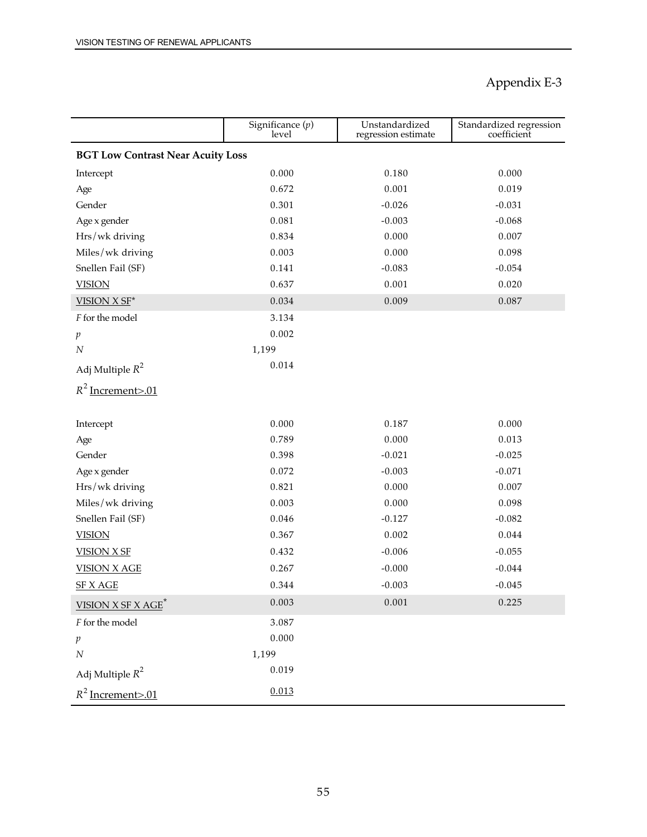|                                          | Significance $(p)$<br>level | Unstandardized<br>regression estimate | Standardized regression<br>coefficient |  |
|------------------------------------------|-----------------------------|---------------------------------------|----------------------------------------|--|
| <b>BGT Low Contrast Near Acuity Loss</b> |                             |                                       |                                        |  |
| Intercept                                | 0.000                       | 0.180                                 | 0.000                                  |  |
| Age                                      | 0.672                       | 0.001                                 | 0.019                                  |  |
| Gender                                   | 0.301                       | $-0.026$                              | $-0.031$                               |  |
| Age x gender                             | 0.081                       | $-0.003$                              | $-0.068$                               |  |
| Hrs/wk driving                           | 0.834                       | 0.000                                 | 0.007                                  |  |
| Miles/wk driving                         | 0.003                       | 0.000                                 | 0.098                                  |  |
| Snellen Fail (SF)                        | 0.141                       | $-0.083$                              | $-0.054$                               |  |
| <b>VISION</b>                            | 0.637                       | 0.001                                 | 0.020                                  |  |
| VISION X SF*                             | 0.034                       | 0.009                                 | 0.087                                  |  |
| F for the model                          | 3.134                       |                                       |                                        |  |
| p                                        | 0.002                       |                                       |                                        |  |
| $\cal N$                                 | 1,199                       |                                       |                                        |  |
| Adj Multiple $R^2$                       | 0.014                       |                                       |                                        |  |
| $R^2$ Increment>.01                      |                             |                                       |                                        |  |
|                                          |                             |                                       |                                        |  |
| Intercept                                | 0.000                       | 0.187                                 | 0.000                                  |  |
| Age                                      | 0.789                       | 0.000                                 | 0.013                                  |  |
| Gender                                   | 0.398                       | $-0.021$                              | $-0.025$                               |  |
| Age x gender                             | 0.072                       | $-0.003$                              | $-0.071$                               |  |
| Hrs/wk driving                           | 0.821                       | 0.000                                 | 0.007                                  |  |
| Miles/wk driving                         | 0.003                       | 0.000                                 | 0.098                                  |  |
| Snellen Fail (SF)                        | 0.046                       | $-0.127$                              | $-0.082$                               |  |
| <b>VISION</b>                            | 0.367                       | 0.002                                 | 0.044                                  |  |
| <b>VISION X SF</b>                       | 0.432                       | $-0.006$                              | $-0.055$                               |  |
| <b>VISION X AGE</b>                      | 0.267                       | $-0.000$                              | $-0.044$                               |  |
| SF X AGE                                 | 0.344                       | $-0.003$                              | $-0.045$                               |  |
| <b>VISION X SF X AGE<sup>*</sup></b>     | 0.003                       | 0.001                                 | 0.225                                  |  |
| $\boldsymbol{F}$ for the model           | 3.087                       |                                       |                                        |  |
| $\,p\,$                                  | 0.000                       |                                       |                                        |  |
| $\cal N$                                 | 1,199                       |                                       |                                        |  |
| Adj Multiple $R^2$                       | 0.019                       |                                       |                                        |  |
| $R^2$ Increment>.01                      | 0.013                       |                                       |                                        |  |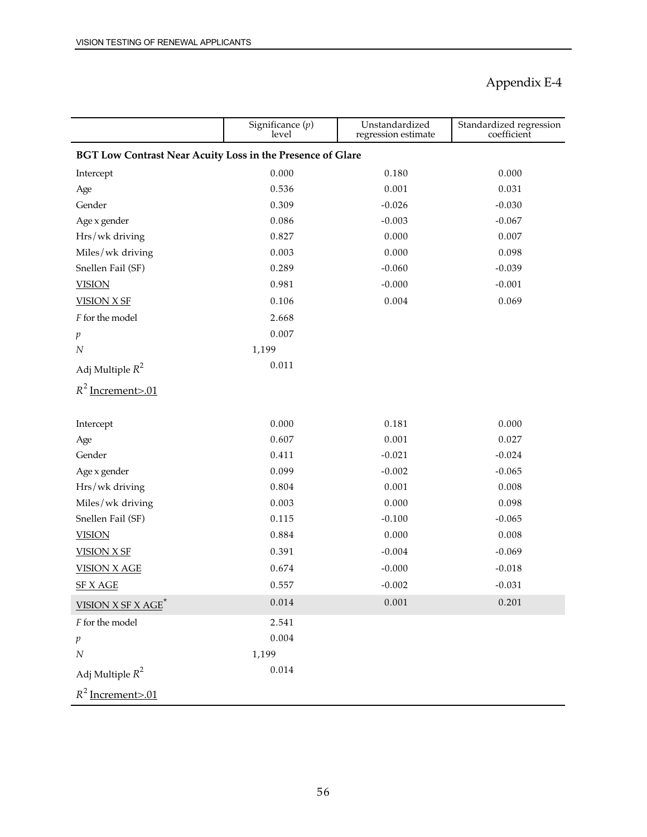|                                                                   | Significance $(p)$<br>level | Unstandardized<br>regression estimate | Standardized regression<br>coefficient |
|-------------------------------------------------------------------|-----------------------------|---------------------------------------|----------------------------------------|
| <b>BGT Low Contrast Near Acuity Loss in the Presence of Glare</b> |                             |                                       |                                        |
| Intercept                                                         | 0.000                       | 0.180                                 | 0.000                                  |
| Age                                                               | 0.536                       | 0.001                                 | 0.031                                  |
| Gender                                                            | 0.309                       | $-0.026$                              | $-0.030$                               |
| Age x gender                                                      | 0.086                       | $-0.003$                              | $-0.067$                               |
| Hrs/wk driving                                                    | 0.827                       | 0.000                                 | 0.007                                  |
| Miles/wk driving                                                  | 0.003                       | 0.000                                 | 0.098                                  |
| Snellen Fail (SF)                                                 | 0.289                       | $-0.060$                              | $-0.039$                               |
| <b>VISION</b>                                                     | 0.981                       | $-0.000$                              | $-0.001$                               |
| <b>VISION X SF</b>                                                | 0.106                       | 0.004                                 | 0.069                                  |
| F for the model                                                   | 2.668                       |                                       |                                        |
| p                                                                 | 0.007                       |                                       |                                        |
| $\cal N$                                                          | 1,199                       |                                       |                                        |
| Adj Multiple $R^2$                                                | 0.011                       |                                       |                                        |
| $R^2$ Increment>.01                                               |                             |                                       |                                        |
| Intercept                                                         | 0.000                       | 0.181                                 | 0.000                                  |
| Age                                                               | 0.607                       | 0.001                                 | 0.027                                  |
| Gender                                                            | 0.411                       | $-0.021$                              | $-0.024$                               |
| Age x gender                                                      | 0.099                       | $-0.002$                              | $-0.065$                               |
| Hrs/wk driving                                                    | 0.804                       | 0.001                                 | 0.008                                  |
| Miles/wk driving                                                  | 0.003                       | 0.000                                 | 0.098                                  |
| Snellen Fail (SF)                                                 | 0.115                       | $-0.100$                              | $-0.065$                               |
| <b>VISION</b>                                                     | 0.884                       | 0.000                                 | 0.008                                  |
| <b>VISION X SF</b>                                                | 0.391                       | $-0.004$                              | $-0.069$                               |
| <b>VISION X AGE</b>                                               | 0.674                       | $-0.000$                              | $-0.018$                               |
| SF X_AGE                                                          | 0.557                       | $-0.002$                              | $-0.031$                               |
| <b>VISION X SF X AGE<sup>*</sup></b>                              | 0.014                       | 0.001                                 | 0.201                                  |
| $\boldsymbol{F}$ for the model                                    | 2.541                       |                                       |                                        |
| $\,p\,$                                                           | 0.004                       |                                       |                                        |
| $\cal N$                                                          | 1,199                       |                                       |                                        |
| Adj Multiple $R^2$                                                | 0.014                       |                                       |                                        |
| $R^2$ Increment>.01                                               |                             |                                       |                                        |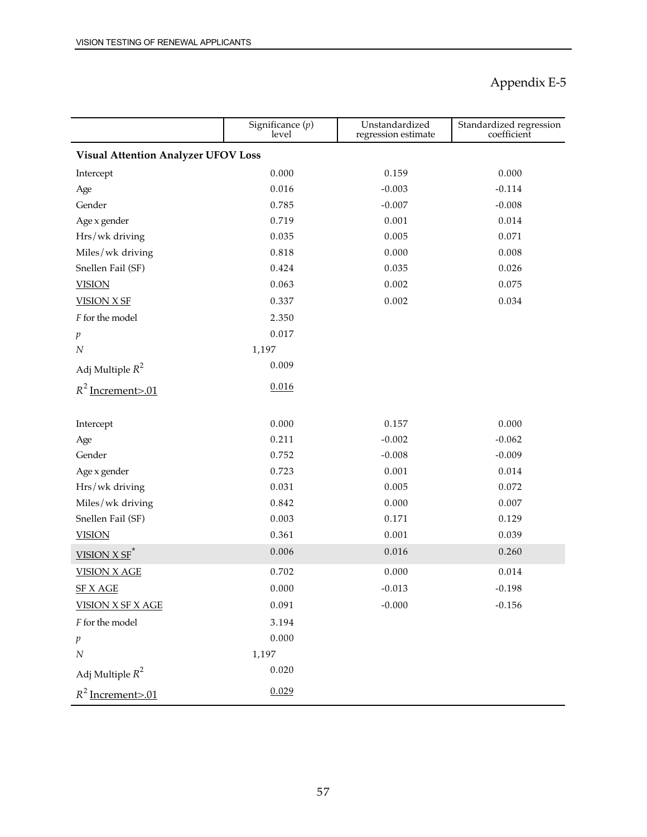|                                            | Significance $(p)$<br>level | Unstandardized<br>regression estimate | Standardized regression<br>coefficient |  |
|--------------------------------------------|-----------------------------|---------------------------------------|----------------------------------------|--|
| <b>Visual Attention Analyzer UFOV Loss</b> |                             |                                       |                                        |  |
| Intercept                                  | 0.000                       | 0.159                                 | 0.000                                  |  |
| Age                                        | 0.016                       | $-0.003$                              | $-0.114$                               |  |
| Gender                                     | 0.785                       | $-0.007$                              | $-0.008$                               |  |
| Age x gender                               | 0.719                       | 0.001                                 | 0.014                                  |  |
| Hrs/wk driving                             | 0.035                       | 0.005                                 | 0.071                                  |  |
| Miles/wk driving                           | 0.818                       | 0.000                                 | 0.008                                  |  |
| Snellen Fail (SF)                          | 0.424                       | 0.035                                 | 0.026                                  |  |
| <b>VISION</b>                              | 0.063                       | 0.002                                 | 0.075                                  |  |
| <b>VISION X SF</b>                         | 0.337                       | 0.002                                 | 0.034                                  |  |
| F for the model                            | 2.350                       |                                       |                                        |  |
| $\boldsymbol{p}$                           | 0.017                       |                                       |                                        |  |
| $\cal N$                                   | 1,197                       |                                       |                                        |  |
| Adj Multiple $R^2$                         | 0.009                       |                                       |                                        |  |
| $R^2$ Increment>.01                        | 0.016                       |                                       |                                        |  |
|                                            |                             |                                       |                                        |  |
| Intercept                                  | 0.000                       | 0.157                                 | 0.000                                  |  |
| Age                                        | 0.211                       | $-0.002$                              | $-0.062$                               |  |
| Gender                                     | 0.752                       | $-0.008$                              | $-0.009$                               |  |
| Age x gender                               | 0.723                       | 0.001                                 | 0.014                                  |  |
| Hrs/wk driving                             | 0.031                       | 0.005                                 | 0.072                                  |  |
| Miles/wk driving                           | 0.842                       | 0.000                                 | 0.007                                  |  |
| Snellen Fail (SF)                          | 0.003                       | 0.171                                 | 0.129                                  |  |
| <b>VISION</b>                              | 0.361                       | 0.001                                 | 0.039                                  |  |
| $VISION X SF$ <sup>*</sup>                 | 0.006                       | 0.016                                 | 0.260                                  |  |
| <b>VISION X AGE</b>                        | 0.702                       | 0.000                                 | 0.014                                  |  |
| <b>SF X AGE</b>                            | 0.000                       | $-0.013$                              | $-0.198$                               |  |
| <b>VISION X SF X AGE</b>                   | 0.091                       | $-0.000$                              | $-0.156$                               |  |
| $\boldsymbol{F}$ for the model             | 3.194                       |                                       |                                        |  |
| p                                          | 0.000                       |                                       |                                        |  |
| $\cal N$                                   | 1,197                       |                                       |                                        |  |
| Adj Multiple $R^2$                         | 0.020                       |                                       |                                        |  |
| $R^2$ Increment>.01                        | 0.029                       |                                       |                                        |  |